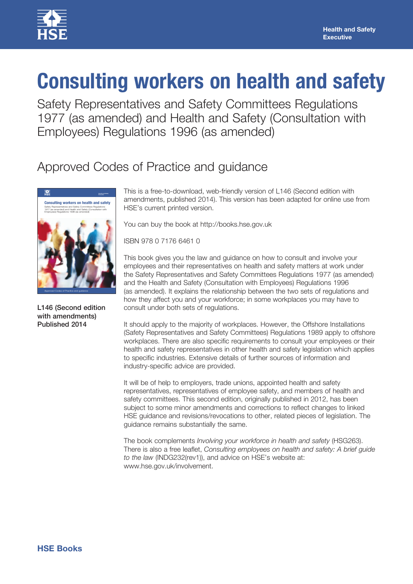

# **Consulting workers on health and safety**

Safety Representatives and Safety Committees Regulations 1977 (as amended) and Health and Safety (Consultation with Employees) Regulations 1996 (as amended)

# Approved Codes of Practice and guidance



L146 (Second edition with amendments) Published 2014

This is a free-to-download, web-friendly version of L146 (Second edition with amendments, published 2014). This version has been adapted for online use from HSE's current printed version.

You can buy the book at http://books.hse.gov.uk

ISBN 978 0 7176 6461 0

This book gives you the law and guidance on how to consult and involve your employees and their representatives on health and safety matters at work under the Safety Representatives and Safety Committees Regulations 1977 (as amended) and the Health and Safety (Consultation with Employees) Regulations 1996 (as amended). It explains the relationship between the two sets of regulations and how they affect you and your workforce; in some workplaces you may have to consult under both sets of regulations.

It should apply to the majority of workplaces. However, the Offshore Installations (Safety Representatives and Safety Committees) Regulations 1989 apply to offshore workplaces. There are also specific requirements to consult your employees or their health and safety representatives in other health and safety legislation which applies to specific industries. Extensive details of further sources of information and industry-specific advice are provided.

It will be of help to employers, trade unions, appointed health and safety representatives, representatives of employee safety, and members of health and safety committees. This second edition, originally published in 2012, has been subject to some minor amendments and corrections to reflect changes to linked HSE guidance and revisions/revocations to other, related pieces of legislation. The guidance remains substantially the same.

The book complements *Involving your workforce in health and safety* (HSG263). There is also a free leaflet, *Consulting employees on health and safety: A brief guide to the law* (INDG232(rev1)), and advice on HSE's website at: www.hse.gov.uk/involvement.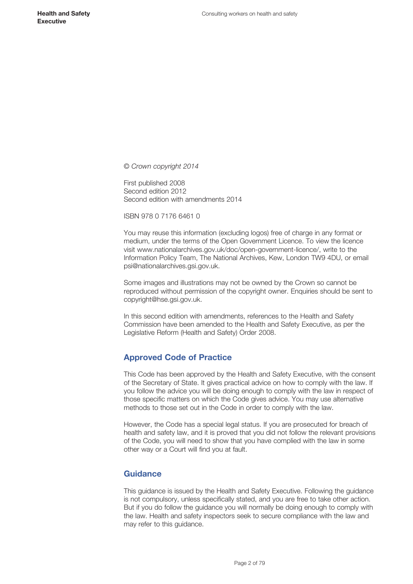© *Crown copyright 2014*

First published 2008 Second edition 2012 Second edition with amendments 2014

ISBN 978 0 7176 6461 0

You may reuse this information (excluding logos) free of charge in any format or medium, under the terms of the Open Government Licence. To view the licence visit [www.nationalarchives.gov.uk/doc/open-government-licence/](http://), write to the Information Policy Team, The National Archives, Kew, London TW9 4DU, or email [psi@nationalarchives.gsi.gov.uk](http://).

Some images and illustrations may not be owned by the Crown so cannot be reproduced without permission of the copyright owner. Enquiries should be sent to [copyright@hse.gsi.gov.uk.](http://)

In this second edition with amendments, references to the Health and Safety Commission have been amended to the Health and Safety Executive, as per the Legislative Reform (Health and Safety) Order 2008.

### **Approved Code of Practice**

This Code has been approved by the Health and Safety Executive, with the consent of the Secretary of State. It gives practical advice on how to comply with the law. If you follow the advice you will be doing enough to comply with the law in respect of those specific matters on which the Code gives advice. You may use alternative methods to those set out in the Code in order to comply with the law.

However, the Code has a special legal status. If you are prosecuted for breach of health and safety law, and it is proved that you did not follow the relevant provisions of the Code, you will need to show that you have complied with the law in some other way or a Court will find you at fault.

### **Guidance**

This guidance is issued by the Health and Safety Executive. Following the guidance is not compulsory, unless specifically stated, and you are free to take other action. But if you do follow the guidance you will normally be doing enough to comply with the law. Health and safety inspectors seek to secure compliance with the law and may refer to this guidance.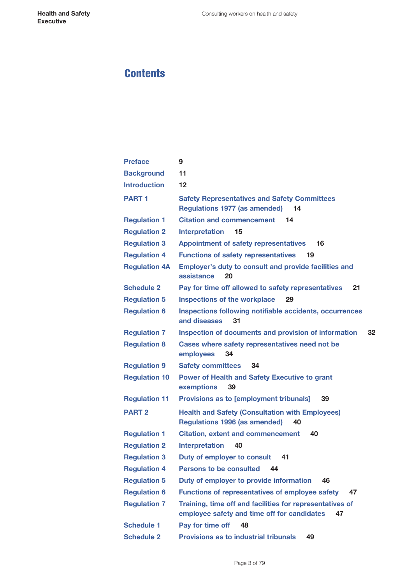# **Contents**

| <b>Preface</b>       | 9                                                                                                             |
|----------------------|---------------------------------------------------------------------------------------------------------------|
| <b>Background</b>    | 11                                                                                                            |
| <b>Introduction</b>  | 12                                                                                                            |
| <b>PART 1</b>        | <b>Safety Representatives and Safety Committees</b><br><b>Regulations 1977 (as amended)</b><br>14             |
| <b>Regulation 1</b>  | <b>Citation and commencement</b><br>14                                                                        |
| <b>Regulation 2</b>  | <b>Interpretation</b><br>15                                                                                   |
| <b>Regulation 3</b>  | <b>Appointment of safety representatives</b><br>16                                                            |
| <b>Regulation 4</b>  | <b>Functions of safety representatives</b><br>19                                                              |
| <b>Regulation 4A</b> | Employer's duty to consult and provide facilities and<br>assistance<br>20                                     |
| <b>Schedule 2</b>    | Pay for time off allowed to safety representatives<br>21                                                      |
| <b>Regulation 5</b>  | <b>Inspections of the workplace</b><br>29                                                                     |
| <b>Regulation 6</b>  | <b>Inspections following notifiable accidents, occurrences</b><br>and diseases<br>31                          |
| <b>Regulation 7</b>  | Inspection of documents and provision of information<br>32                                                    |
| <b>Regulation 8</b>  | Cases where safety representatives need not be<br>employees<br>34                                             |
| <b>Regulation 9</b>  | <b>Safety committees</b><br>34                                                                                |
| <b>Regulation 10</b> | <b>Power of Health and Safety Executive to grant</b><br>exemptions<br>39                                      |
| <b>Regulation 11</b> | Provisions as to [employment tribunals]<br>39                                                                 |
| <b>PART 2</b>        | <b>Health and Safety (Consultation with Employees)</b><br><b>Regulations 1996 (as amended)</b><br>40          |
| <b>Regulation 1</b>  | <b>Citation, extent and commencement</b><br>40                                                                |
| <b>Regulation 2</b>  | Interpretation<br>40                                                                                          |
| <b>Regulation 3</b>  | Duty of employer to consult<br>41                                                                             |
| <b>Regulation 4</b>  | Persons to be consulted 44                                                                                    |
| <b>Regulation 5</b>  | Duty of employer to provide information<br>46                                                                 |
| <b>Regulation 6</b>  | <b>Functions of representatives of employee safety</b><br>47                                                  |
| <b>Regulation 7</b>  | Training, time off and facilities for representatives of<br>employee safety and time off for candidates<br>47 |
| <b>Schedule 1</b>    | Pay for time off<br>48                                                                                        |
| <b>Schedule 2</b>    | <b>Provisions as to industrial tribunals</b><br>49                                                            |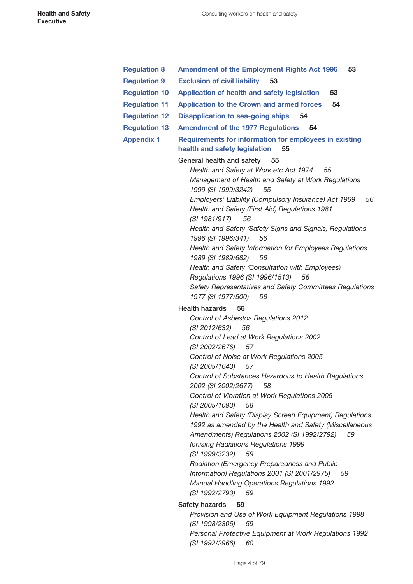**[Regulation 8 Amendment of the Employment Rights Act 1996 53](#page-52-0) [Regulation 9 Exclusion of civil liability 53](#page-52-0) [Regulation 10 Application of health and safety legislation 53](#page-52-0) [Regulation 11 Application to the Crown and armed forces 54](#page-53-0) [Regulation 12 Disapplication to sea-going ships 54](#page-53-0) [Regulation 13 Amendment of the 1977 Regulations 54](#page-53-0) [Appendix 1 Requirements for information for employees in existing](#page-54-0)   [health and safety legislation 55](#page-54-0)** [General health and safety](#page-54-0) **55**

*[Health and Safety at Work etc Act 1974](#page-54-0)**55 [Management of Health and Safety at Work Regulations](#page-54-0)  [1999 \(SI 1999/3242\)](#page-54-0)**55 [Employers' Liability \(Compulsory Insurance\) Act 1969](#page-55-0)**56 [Health and Safety \(First Aid\) Regulations 1981](#page-55-0)  [\(SI 1981/917\)](#page-55-0)**56 [Health and Safety \(Safety Signs and Signals\) Regulations](#page-55-0)  [1996 \(SI 1996/341\)](#page-55-0)**56 [Health and Safety Information for Employees Regulations](#page-55-0)  [1989 \(SI 1989/682\)](#page-55-0)**56 [Health and Safety \(Consultation with Employees\)](#page-55-0)  [Regulations 1996 \(SI 1996/1513\)](#page-55-0)**56 [Safety Representatives and Safety Committees Regulations](#page-55-0)  [1977 \(SI 1977/500\)](#page-55-0)**56*

### [Health hazards](#page-55-0) **56**

*[Control of Asbestos Regulations 2012](#page-55-0)  [\(SI 2012/632\)](#page-55-0)**56 [Control of Lead at Work Regulations 2002](#page-56-0)  [\(SI 2002/2676\)](#page-56-0)**57 [Control of Noise at Work Regulations 2005](#page-56-0)  [\(SI 2005/1643\)](#page-56-0)**57 [Control of Substances Hazardous to Health Regulations](#page-57-0)  [2002 \(SI 2002/2677\)](#page-57-0)**58 [Control of Vibration at Work Regulations 2005](#page-57-0)  [\(SI 2005/1093\)](#page-57-0)**58 [Health and Safety \(Display Screen Equipment\) Regulations](#page-58-0)  [1992 as amended by the Health and Safety \(Miscellaneous](#page-58-0)  [Amendments\) Regulations 2002 \(SI 1992/2792\)](#page-58-0)**59 [Ionising Radiations Regulations 1999](#page-58-0)  [\(SI 1999/3232\)](#page-58-0)**59 [Radiation \(Emergency Preparedness and Public](#page-58-0)  [Information\) Regulations 2001 \(SI 2001/2975\)](#page-58-0)**59 [Manual Handling Operations Regulations 1992](#page-58-0)  [\(SI 1992/2793\)](#page-58-0)**59*

### [Safety hazards](#page-58-0) **59**

*[Provision and Use of Work Equipment Regulations 1998](#page-58-0)  [\(SI 1998/2306\)](#page-58-0)**59 [Personal Protective Equipment at Work Regulations 1992](#page-59-0)  [\(SI 1992/2966\)](#page-59-0)**60*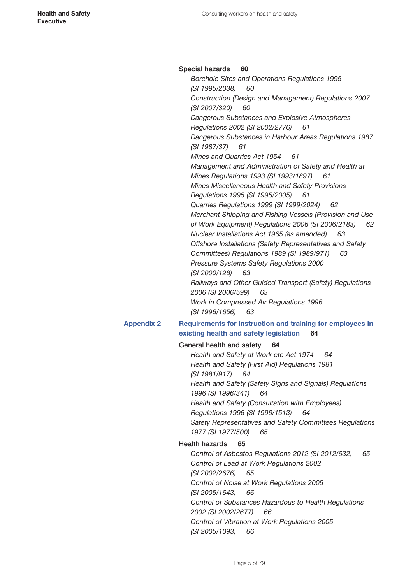[Special hazards](#page-59-0) **60** *[Borehole Sites and Operations Regulations 1995](#page-59-0)  [\(SI 1995/2038\)](#page-59-0)**60 [Construction \(Design and Management\) Regulations 2007](#page-59-0)  [\(SI 2007/320\)](#page-59-0)**60 [Dangerous Substances and Explosive Atmospheres](#page-60-0)  [Regulations 2002 \(SI 2002/2776\)](#page-60-0)**61 [Dangerous Substances in Harbour Areas Regulations 1987](#page-60-0)  [\(SI 1987/37\)](#page-60-0)**61 [Mines and Quarries Act 1954](#page-60-0)**61 [Management and Administration of Safety and Health at](#page-60-0)  [Mines Regulations 1993 \(SI 1993/1897\)](#page-60-0)**61 [Mines Miscellaneous Health and Safety Provisions](#page-60-0)  [Regulations 1995 \(SI 1995/2005\)](#page-60-0)**61 [Quarries Regulations 1999 \(SI 1999/2024\)](#page-61-0)**62 [Merchant Shipping and Fishing Vessels \(Provision and Use](#page-61-0)  [of Work Equipment\) Regulations 2006 \(SI 2006/2183\)](#page-61-0)**62 [Nuclear Installations Act 1965 \(as amended\)](#page-62-0)**63 [Offshore Installations \(Safety Representatives and Safety](#page-62-0)  [Committees\) Regulations 1989 \(SI 1989/971\)](#page-62-0)**63 [Pressure Systems Safety Regulations 2000](#page-62-0)  [\(SI 2000/128\)](#page-62-0)**63 [Railways and Other Guided Transport \(Safety\) Regulations](#page-62-0)  [2006 \(SI 2006/599\)](#page-62-0)**63 [Work in Compressed Air Regulations 1996](#page-62-0)  [\(SI 1996/1656\)](#page-62-0)**63*

### **[Appendix 2 Requirements for instruction and training for employees in](#page-63-0)   [existing health and safety legislation 64](#page-63-0)**

### [General health and safety](#page-63-0) **64**

*[Health and Safety at Work etc Act 1974](#page-63-0)**64 [Health and Safety \(First Aid\) Regulations 1981](#page-63-0)  [\(SI 1981/917\)](#page-63-0)**64 [Health and Safety \(Safety Signs and Signals\) Regulations](#page-63-0)  [1996 \(SI 1996/341\)](#page-63-0)**64 [Health and Safety \(Consultation with Employees\)](#page-63-0)  [Regulations 1996 \(SI 1996/1513\)](#page-63-0)**64 [Safety Representatives and Safety Committees Regulations](#page-64-0)  [1977 \(SI 1977/500\)](#page-64-0)**65*

### [Health hazards](#page-64-0) **65**

*[Control of Asbestos Regulations 2012 \(SI 2012/632\)](#page-64-0)**65 [Control of Lead at Work Regulations 2002](#page-64-0)  [\(SI 2002/2676\)](#page-64-0)**65 [Control of Noise at Work Regulations 2005](#page-65-0)  [\(SI 2005/1643\)](#page-65-0)**66 [Control of Substances Hazardous to Health Regulations](#page-65-0)  [2002 \(SI 2002/2677\)](#page-65-0)**66 [Control of Vibration at Work Regulations 2005](#page-65-0)  [\(SI 2005/1093\)](#page-65-0)**66*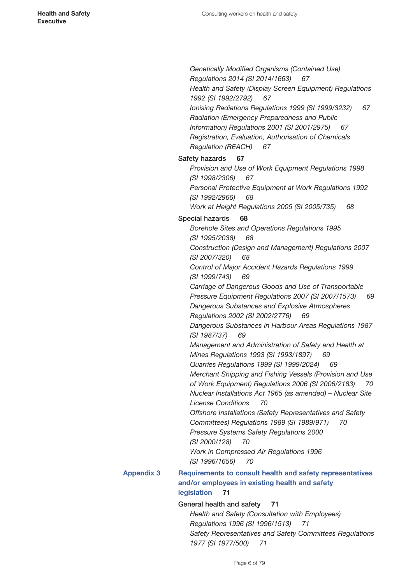*[Genetically Modified Organisms \(Contained Use\)](#page-66-0)  [Regulations 2014 \(SI 2014/1663\)](#page-66-0)**67 [Health and Safety \(Display Screen Equipment\) Regulations](#page-66-0)  [1992 \(SI 1992/2792\)](#page-66-0)**67 [Ionising Radiations Regulations 1999 \(SI 1999/3232\)](#page-66-0)**67 [Radiation \(Emergency Preparedness and Public](#page-66-0)  [Information\) Regulations 2001 \(SI 2001/2975\)](#page-66-0)**67 [Registration, Evaluation, Authorisation of Chemicals](#page-66-0)  [Regulation \(REACH\)](#page-66-0)**67* [Safety hazards](#page-66-0) **67** *[Provision and Use of Work Equipment Regulations 1998](#page-66-0) [\(SI 1998/2306\)](#page-66-0)**67 [Personal Protective Equipment at Work Regulations 1992](#page-67-0)  [\(SI 1992/2966\)](#page-67-0)**68 [Work at Height Regulations 2005 \(SI 2005/735\)](#page-67-0)**68* [Special hazards](#page-67-0) **68** *[Borehole Sites and Operations Regulations 1995](#page-67-0) [\(SI 1995/2038\)](#page-67-0)**68 [Construction \(Design and Management\) Regulations 2007](#page-67-0)  [\(SI 2007/320\)](#page-67-0)**68 [Control of Major Accident Hazards Regulations 1999](#page-68-0)  [\(SI 1999/743\)](#page-68-0)**69 [Carriage of Dangerous Goods and Use of Transportable](#page-68-0)  [Pressure Equipment Regulations 2007 \(SI 2007/1573\)](#page-68-0)**69 [Dangerous Substances and Explosive Atmospheres](#page-68-0)  [Regulations 2002 \(SI 2002/2776\)](#page-68-0)**69 [Dangerous Substances in Harbour Areas Regulations 1987](#page-68-0)  [\(SI 1987/37\)](#page-68-0)**69 [Management and Administration of Safety and Health at](#page-68-0)  [Mines Regulations 1993 \(SI 1993/1897\)](#page-68-0)**69 [Quarries Regulations 1999 \(SI 1999/2024\)](#page-68-0)**69 [Merchant Shipping and Fishing Vessels \(Provision and Use](#page-69-0)  [of Work Equipment\) Regulations 2006 \(SI 2006/2183\)](#page-69-0)**70 [Nuclear Installations Act 1965 \(as amended\) – Nuclear Site](#page-69-0)  [License Conditions](#page-69-0)**70 [Offshore Installations \(Safety Representatives and Safety](#page-69-0)  [Committees\) Regulations 1989 \(SI 1989/971\)](#page-69-0)**70 [Pressure Systems Safety Regulations 2000](#page-69-0)  [\(SI 2000/128\)](#page-69-0)**70 [Work in Compressed Air Regulations 1996](#page-69-0)  [\(SI 1996/1656\)](#page-69-0)**70* **[Appendix 3 Requirements to consult health and safety representatives](#page-70-0)   [and/or employees in existing health and safety](#page-70-0)   [legislation 71](#page-70-0)**

### [General health and safety](#page-70-0) **71**

*[Health and Safety \(Consultation with Employees\)](#page-70-0)  [Regulations 1996 \(SI 1996/1513\)](#page-70-0)**71 [Safety Representatives and Safety Committees Regulations](#page-70-0)  [1977 \(SI 1977/500\)](#page-70-0)**71*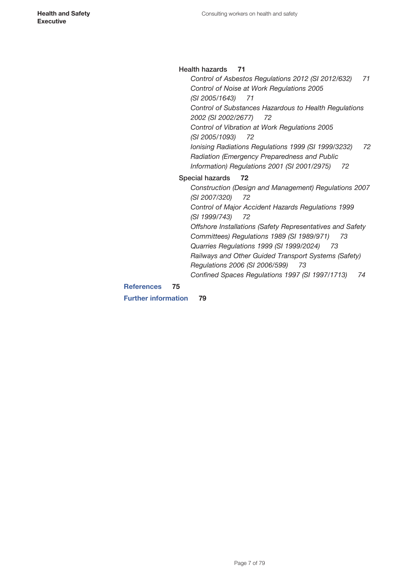### [Health hazards](#page-70-0) **71**

*[Control of Asbestos Regulations 2012 \(SI 2012/632\)](#page-70-0)**71 [Control of Noise at Work Regulations 2005](#page-70-0)  [\(SI 2005/1643\)](#page-70-0)**71 [Control of Substances Hazardous to Health Regulations](#page-71-0)  [2002 \(SI 2002/2677\)](#page-71-0)**72 [Control of Vibration at Work Regulations 2005](#page-71-0)  [\(SI 2005/1093\)](#page-71-0)**72 [Ionising Radiations Regulations 1999 \(SI 1999/3232\)](#page-71-0)**72 [Radiation \(Emergency Preparedness and Public](#page-71-0)  [Information\) Regulations 2001 \(SI 2001/2975\)](#page-71-0)**72*

### [Special hazards](#page-71-0) **72**

*[Construction \(Design and Management\) Regulations 2007](#page-71-0)  [\(SI 2007/320\)](#page-71-0)**72 [Control of Major Accident Hazards Regulations 1999](#page-71-0)  [\(SI 1999/743\)](#page-71-0)**72 [Offshore Installations \(Safety Representatives and Safety](#page-72-0)  [Committees\) Regulations 1989 \(SI 1989/971\)](#page-72-0)**73 [Quarries Regulations 1999 \(SI 1999/2024\)](#page-72-0)**73 [Railways and Other Guided Transport Systems \(Safety\)](#page-72-0)  [Regulations 2006 \(SI 2006/599\)](#page-72-0)**73 [Confined Spaces Regulations 1997 \(SI 1997/1713\)](#page-73-0)**74*

**[References 75](#page-74-0)**

**[Further information 79](#page-78-0)**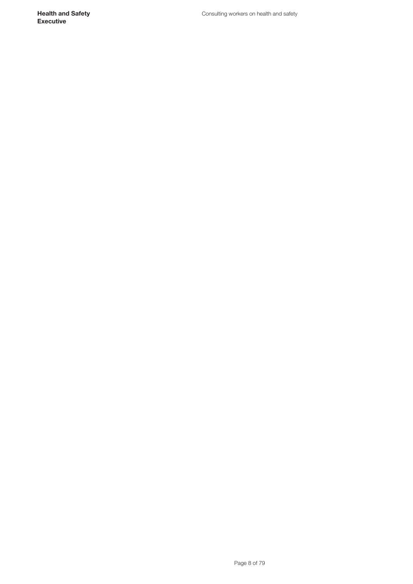**Health and Safety Executive**

Consulting workers on health and safety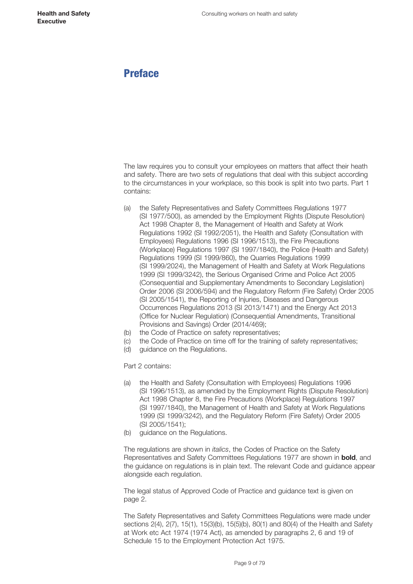# <span id="page-8-0"></span>Preface

The law requires you to consult your employees on matters that affect their heath and safety. There are two sets of regulations that deal with this subject according to the circumstances in your workplace, so this book is split into two parts. Part 1 contains:

- (a) the Safety Representatives and Safety Committees Regulations 1977 (SI 1977/500), as amended by the Employment Rights (Dispute Resolution) Act 1998 Chapter 8, the Management of Health and Safety at Work Regulations 1992 (SI 1992/2051), the Health and Safety (Consultation with Employees) Regulations 1996 (SI 1996/1513), the Fire Precautions (Workplace) Regulations 1997 (SI 1997/1840), the Police (Health and Safety) Regulations 1999 (SI 1999/860), the Quarries Regulations 1999 (SI 1999/2024), the Management of Health and Safety at Work Regulations 1999 (SI 1999/3242), the Serious Organised Crime and Police Act 2005 (Consequential and Supplementary Amendments to Secondary Legislation) Order 2006 (SI 2006/594) and the Regulatory Reform (Fire Safety) Order 2005 (SI 2005/1541), the Reporting of Injuries, Diseases and Dangerous Occurrences Regulations 2013 (SI 2013/1471) and the Energy Act 2013 (Office for Nuclear Regulation) (Consequential Amendments, Transitional Provisions and Savings) Order (2014/469);
- (b) the Code of Practice on safety representatives;
- (c) the Code of Practice on time off for the training of safety representatives;
- (d) guidance on the Regulations.

Part 2 contains:

- (a) the Health and Safety (Consultation with Employees) Regulations 1996 (SI 1996/1513), as amended by the Employment Rights (Dispute Resolution) Act 1998 Chapter 8, the Fire Precautions (Workplace) Regulations 1997 (SI 1997/1840), the Management of Health and Safety at Work Regulations 1999 (SI 1999/3242), and the Regulatory Reform (Fire Safety) Order 2005 (SI 2005/1541);
- (b) guidance on the Regulations.

The regulations are shown in *italics*, the Codes of Practice on the Safety Representatives and Safety Committees Regulations 1977 are shown in **bold**, and the guidance on regulations is in plain text. The relevant Code and guidance appear alongside each regulation.

The legal status of Approved Code of Practice and guidance text is given on page 2.

The Safety Representatives and Safety Committees Regulations were made under sections 2(4), 2(7), 15(1), 15(3)(b), 15(5)(b), 80(1) and 80(4) of the Health and Safety at Work etc Act 1974 (1974 Act), as amended by paragraphs 2, 6 and 19 of Schedule 15 to the Employment Protection Act 1975.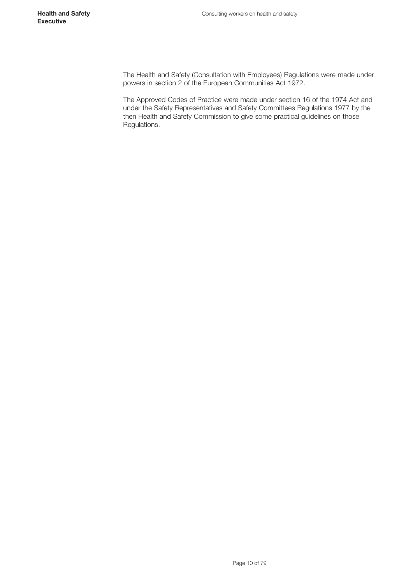The Health and Safety (Consultation with Employees) Regulations were made under powers in section 2 of the European Communities Act 1972.

The Approved Codes of Practice were made under section 16 of the 1974 Act and under the Safety Representatives and Safety Committees Regulations 1977 by the then Health and Safety Commission to give some practical guidelines on those Regulations.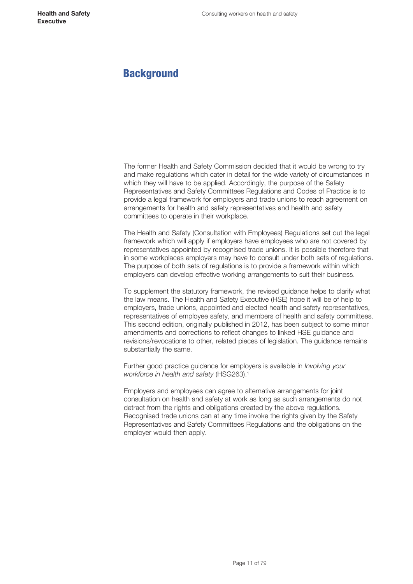# <span id="page-10-0"></span>**Background**

The former Health and Safety Commission decided that it would be wrong to try and make regulations which cater in detail for the wide variety of circumstances in which they will have to be applied. Accordingly, the purpose of the Safety Representatives and Safety Committees Regulations and Codes of Practice is to provide a legal framework for employers and trade unions to reach agreement on arrangements for health and safety representatives and health and safety committees to operate in their workplace.

The Health and Safety (Consultation with Employees) Regulations set out the legal framework which will apply if employers have employees who are not covered by representatives appointed by recognised trade unions. It is possible therefore that in some workplaces employers may have to consult under both sets of regulations. The purpose of both sets of regulations is to provide a framework within which employers can develop effective working arrangements to suit their business.

To supplement the statutory framework, the revised guidance helps to clarify what the law means. The Health and Safety Executive (HSE) hope it will be of help to employers, trade unions, appointed and elected health and safety representatives, representatives of employee safety, and members of health and safety committees. This second edition, originally published in 2012, has been subject to some minor amendments and corrections to reflect changes to linked HSE guidance and revisions/revocations to other, related pieces of legislation. The guidance remains substantially the same.

Further good practice guidance for employers is available in *Involving your workforce in health and safety* (HSG263).1

Employers and employees can agree to alternative arrangements for joint consultation on health and safety at work as long as such arrangements do not detract from the rights and obligations created by the above regulations. Recognised trade unions can at any time invoke the rights given by the Safety Representatives and Safety Committees Regulations and the obligations on the employer would then apply.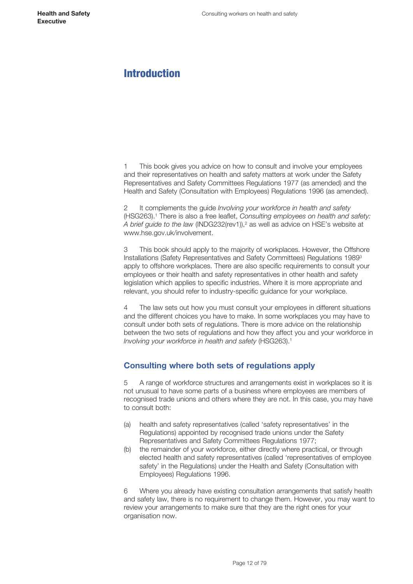# <span id="page-11-0"></span>Introduction

1 This book gives you advice on how to consult and involve your employees and their representatives on health and safety matters at work under the Safety Representatives and Safety Committees Regulations 1977 (as amended) and the Health and Safety (Consultation with Employees) Regulations 1996 (as amended).

2 It complements the guide *Involving your workforce in health and safety*  (HSG263).1 There is also a free leaflet, *Consulting employees on health and safety: A brief guide to the law* (INDG232(rev1)),2 as well as advice on HSE's website at www.hse.gov.uk/involvement.

This book should apply to the majority of workplaces. However, the Offshore Installations (Safety Representatives and Safety Committees) Regulations 19893 apply to offshore workplaces. There are also specific requirements to consult your employees or their health and safety representatives in other health and safety legislation which applies to specific industries. Where it is more appropriate and relevant, you should refer to industry-specific guidance for your workplace.

4 The law sets out how you must consult your employees in different situations and the different choices you have to make. In some workplaces you may have to consult under both sets of regulations. There is more advice on the relationship between the two sets of regulations and how they affect you and your workforce in *Involving your workforce in health and safety* (HSG263).1

### **Consulting where both sets of regulations apply**

5 A range of workforce structures and arrangements exist in workplaces so it is not unusual to have some parts of a business where employees are members of recognised trade unions and others where they are not. In this case, you may have to consult both:

- (a) health and safety representatives (called 'safety representatives' in the Regulations) appointed by recognised trade unions under the Safety Representatives and Safety Committees Regulations 1977;
- (b) the remainder of your workforce, either directly where practical, or through elected health and safety representatives (called 'representatives of employee safety' in the Regulations) under the Health and Safety (Consultation with Employees) Regulations 1996.

6 Where you already have existing consultation arrangements that satisfy health and safety law, there is no requirement to change them. However, you may want to review your arrangements to make sure that they are the right ones for your organisation now.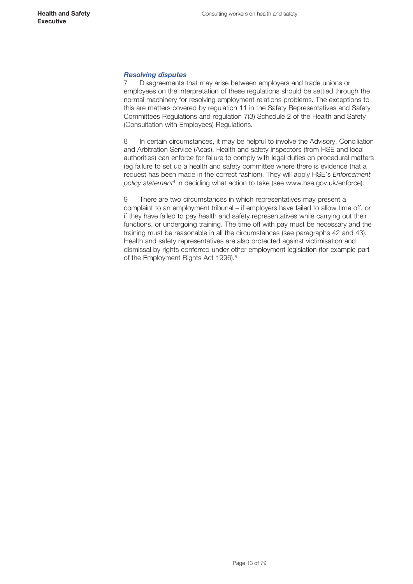### *Resolving disputes*

7 Disagreements that may arise between employers and trade unions or employees on the interpretation of these regulations should be settled through the normal machinery for resolving employment relations problems. The exceptions to this are matters covered by regulation 11 in the Safety Representatives and Safety Committees Regulations and regulation 7(3) Schedule 2 of the Health and Safety (Consultation with Employees) Regulations.

8 In certain circumstances, it may be helpful to involve the Advisory, Conciliation and Arbitration Service (Acas). Health and safety inspectors (from HSE and local authorities) can enforce for failure to comply with legal duties on procedural matters (eg failure to set up a health and safety committee where there is evidence that a request has been made in the correct fashion). They will apply HSE's *Enforcement policy statement*4 in deciding what action to take (see www.hse.gov.uk/enforce).

9 There are two circumstances in which representatives may present a complaint to an employment tribunal – if employers have failed to allow time off, or if they have failed to pay health and safety representatives while carrying out their functions, or undergoing training. The time off with pay must be necessary and the training must be reasonable in all the circumstances (see paragraphs 42 and 43). Health and safety representatives are also protected against victimisation and dismissal by rights conferred under other employment legislation (for example part of the Employment Rights Act 1996).<sup>5</sup>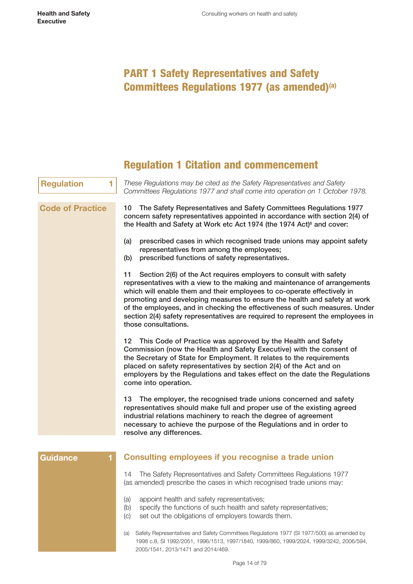# <span id="page-13-0"></span>PART 1 Safety Representatives and Safety Committees Regulations 1977 (as amended)(a)

# Regulation 1 Citation and commencement

*These Regulations may be cited as the Safety Representatives and Safety Committees Regulations 1977 and shall come into operation on 1 October 1978.* 10 The Safety Representatives and Safety Committees Regulations 1977 concern safety representatives appointed in accordance with section 2(4) of the Health and Safety at Work etc Act 1974 (the 1974 Act)<sup>6</sup> and cover: (a) prescribed cases in which recognised trade unions may appoint safety representatives from among the employees; (b) prescribed functions of safety representatives. 11 Section 2(6) of the Act requires employers to consult with safety representatives with a view to the making and maintenance of arrangements which will enable them and their employees to co-operate effectively in promoting and developing measures to ensure the health and safety at work of the employees, and in checking the effectiveness of such measures. Under section 2(4) safety representatives are required to represent the employees in those consultations. 12 This Code of Practice was approved by the Health and Safety Commission (now the Health and Safety Executive) with the consent of the Secretary of State for Employment. It relates to the requirements placed on safety representatives by section 2(4) of the Act and on employers by the Regulations and takes effect on the date the Regulations come into operation. 13 The employer, the recognised trade unions concerned and safety representatives should make full and proper use of the existing agreed industrial relations machinery to reach the degree of agreement necessary to achieve the purpose of the Regulations and in order to resolve any differences. **Consulting employees if you recognise a trade union Regulation 1 Guidance 1 Code of Practice**

> 14 The Safety Representatives and Safety Committees Regulations 1977 (as amended) prescribe the cases in which recognised trade unions may:

- (a) appoint health and safety representatives;
- (b) specify the functions of such health and safety representatives;
- (c) set out the obligations of employers towards them.
- (a) Safety Representatives and Safety Committees Regulations 1977 (SI 1977/500) as amended by 1998 c.8, SI 1992/2051, 1996/1513, 1997/1840, 1999/860, 1999/2024, 1999/3242, 2006/594, 2005/1541, 2013/1471 and 2014/469.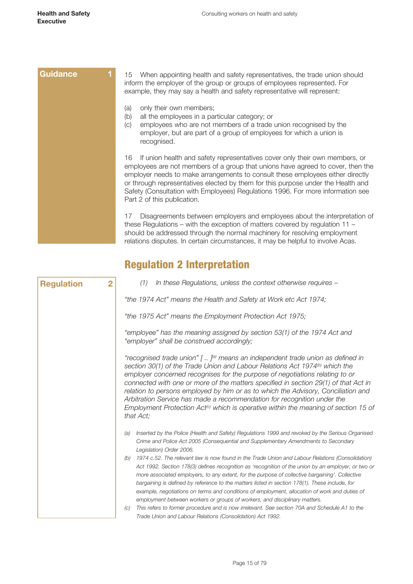<span id="page-14-0"></span>

| <b>Guidance</b> | When appointing health and safety representatives, the trade union should<br>15<br>inform the employer of the group or groups of employees represented. For<br>example, they may say a health and safety representative will represent:                                                                                                                                                                                                                      |
|-----------------|--------------------------------------------------------------------------------------------------------------------------------------------------------------------------------------------------------------------------------------------------------------------------------------------------------------------------------------------------------------------------------------------------------------------------------------------------------------|
|                 | only their own members;<br>(a)<br>all the employees in a particular category; or<br>(b)<br>employees who are not members of a trade union recognised by the<br>(c)<br>employer, but are part of a group of employees for which a union is<br>recognised.                                                                                                                                                                                                     |
|                 | If union health and safety representatives cover only their own members, or<br>16<br>employees are not members of a group that unions have agreed to cover, then the<br>employer needs to make arrangements to consult these employees either directly<br>or through representatives elected by them for this purpose under the Health and<br>Safety (Consultation with Employees) Regulations 1996. For more information see<br>Part 2 of this publication. |
|                 | Disagreements between employers and employees about the interpretation of<br>17<br>these Regulations – with the exception of matters covered by regulation $11 -$<br>should be addressed through the normal machinery for resolving employment<br>relations disputes. In certain circumstances, it may be helpful to involve Acas.                                                                                                                           |

| <b>Regulation 2 Interpretation</b> |  |  |  |
|------------------------------------|--|--|--|
|------------------------------------|--|--|--|

| <b>Regulation</b> | $\overline{2}$ | In these Regulations, unless the context otherwise requires -<br>(1)                                                                                                                                                                                                                                                                                                                                                                                                                                                                                                                                                                             |
|-------------------|----------------|--------------------------------------------------------------------------------------------------------------------------------------------------------------------------------------------------------------------------------------------------------------------------------------------------------------------------------------------------------------------------------------------------------------------------------------------------------------------------------------------------------------------------------------------------------------------------------------------------------------------------------------------------|
|                   |                | "the 1974 Act" means the Health and Safety at Work etc Act 1974;                                                                                                                                                                                                                                                                                                                                                                                                                                                                                                                                                                                 |
|                   |                | "the 1975 Act" means the Employment Protection Act 1975;                                                                                                                                                                                                                                                                                                                                                                                                                                                                                                                                                                                         |
|                   |                | "employee" has the meaning assigned by section 53(1) of the 1974 Act and<br>"employer" shall be construed accordingly;                                                                                                                                                                                                                                                                                                                                                                                                                                                                                                                           |
|                   |                | "recognised trade union" $[]^{a}$ means an independent trade union as defined in<br>section 30(1) of the Trade Union and Labour Relations Act 1974 <sup>(b)</sup> which the<br>employer concerned recognises for the purpose of negotiations relating to or<br>connected with one or more of the matters specified in section 29(1) of that Act in<br>relation to persons employed by him or as to which the Advisory, Conciliation and<br>Arbitration Service has made a recommendation for recognition under the<br>Employment Protection Act <sup>(c)</sup> which is operative within the meaning of section 15 of<br>that Act;               |
|                   |                | Inserted by the Police (Health and Safety) Regulations 1999 and revoked by the Serious Organised<br>(a)<br>Crime and Police Act 2005 (Consequential and Supplementary Amendments to Secondary<br>Legislation) Order 2006.<br>1974 c.52. The relevant law is now found in the Trade Union and Labour Relations (Consolidation)<br>(b)<br>Act 1992. Section 178(3) defines recognition as 'recognition of the union by an employer, or two or<br>more associated employers, to any extent, for the purpose of collective bargaining'. Collective<br>bargaining is defined by reference to the matters listed in section 178(1). These include, for |
|                   |                | example, negotiations on terms and conditions of employment, allocation of work and duties of<br>employment between workers or groups of workers, and disciplinary matters.                                                                                                                                                                                                                                                                                                                                                                                                                                                                      |
|                   |                | This refers to former procedure and is now irrelevant. See section 70A and Schedule A1 to the<br>(C)<br>Trade Union and Labour Relations (Consolidation) Act 1992.                                                                                                                                                                                                                                                                                                                                                                                                                                                                               |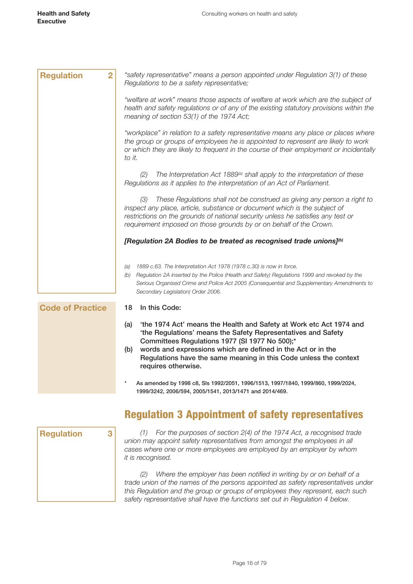<span id="page-15-0"></span>

| $\overline{2}$<br><b>Regulation</b> | "safety representative" means a person appointed under Regulation 3(1) of these<br>Regulations to be a safety representative;                                                                                                                                                                                                                                    |
|-------------------------------------|------------------------------------------------------------------------------------------------------------------------------------------------------------------------------------------------------------------------------------------------------------------------------------------------------------------------------------------------------------------|
|                                     | "welfare at work" means those aspects of welfare at work which are the subject of<br>health and safety regulations or of any of the existing statutory provisions within the<br>meaning of section 53(1) of the 1974 Act;                                                                                                                                        |
|                                     | "workplace" in relation to a safety representative means any place or places where<br>the group or groups of employees he is appointed to represent are likely to work<br>or which they are likely to frequent in the course of their employment or incidentally<br>to it.                                                                                       |
|                                     | The Interpretation Act 1889 <sup>(a)</sup> shall apply to the interpretation of these<br>(2)<br>Regulations as it applies to the interpretation of an Act of Parliament.                                                                                                                                                                                         |
|                                     | (3) These Regulations shall not be construed as giving any person a right to<br>inspect any place, article, substance or document which is the subject of<br>restrictions on the grounds of national security unless he satisfies any test or<br>requirement imposed on those grounds by or on behalf of the Crown.                                              |
|                                     | [Regulation 2A Bodies to be treated as recognised trade unions] <sup>(b)</sup>                                                                                                                                                                                                                                                                                   |
|                                     | 1889 c.63. The Interpretation Act 1978 (1978 c.30) is now in force.<br>(a)<br>Regulation 2A inserted by the Police (Health and Safety) Regulations 1999 and revoked by the<br>(b)<br>Serious Organised Crime and Police Act 2005 (Consequential and Supplementary Amendments to<br>Secondary Legislation) Order 2006.                                            |
| <b>Code of Practice</b>             | 18<br>In this Code:                                                                                                                                                                                                                                                                                                                                              |
|                                     | 'the 1974 Act' means the Health and Safety at Work etc Act 1974 and<br>(a)<br>'the Regulations' means the Safety Representatives and Safety<br>Committees Regulations 1977 (SI 1977 No 500);*<br>words and expressions which are defined in the Act or in the<br>(b)<br>Regulations have the same meaning in this Code unless the context<br>requires otherwise. |
|                                     | As amended by 1998 c8, Sls 1992/2051, 1996/1513, 1997/1840, 1999/860, 1999/2024,<br>1999/3242, 2006/594, 2005/1541, 2013/1471 and 2014/469.                                                                                                                                                                                                                      |
|                                     |                                                                                                                                                                                                                                                                                                                                                                  |



# Regulation 3 Appointment of safety representatives

*(1) For the purposes of section 2(4) of the 1974 Act, a recognised trade union may appoint safety representatives from amongst the employees in all cases where one or more employees are employed by an employer by whom it is recognised.* 

*(2) Where the employer has been notified in writing by or on behalf of a trade union of the names of the persons appointed as safety representatives under this Regulation and the group or groups of employees they represent, each such safety representative shall have the functions set out in Regulation 4 below.*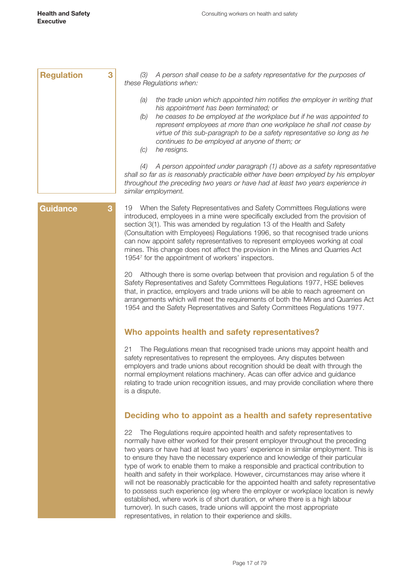| <b>Regulation</b> | 3 | A person shall cease to be a safety representative for the purposes of<br>(3)<br>these Regulations when:                                                                                                                                                                                                                                                                                                                               |
|-------------------|---|----------------------------------------------------------------------------------------------------------------------------------------------------------------------------------------------------------------------------------------------------------------------------------------------------------------------------------------------------------------------------------------------------------------------------------------|
|                   |   | the trade union which appointed him notifies the employer in writing that<br>(a)<br>his appointment has been terminated; or<br>he ceases to be employed at the workplace but if he was appointed to<br>(b)<br>represent employees at more than one workplace he shall not cease by<br>virtue of this sub-paragraph to be a safety representative so long as he<br>continues to be employed at anyone of them; or<br>he resigns.<br>(C) |
|                   |   | A person appointed under paragraph (1) above as a safety representative<br>(4)<br>shall so far as is reasonably practicable either have been employed by his employer<br>throughout the preceding two years or have had at least two years experience in<br>similar employment.                                                                                                                                                        |

**Guidance 3**

19 When the Safety Representatives and Safety Committees Regulations were introduced, employees in a mine were specifically excluded from the provision of section 3(1). This was amended by regulation 13 of the Health and Safety (Consultation with Employees) Regulations 1996, so that recognised trade unions can now appoint safety representatives to represent employees working at coal mines. This change does not affect the provision in the Mines and Quarries Act 1954<sup>7</sup> for the appointment of workers' inspectors.

20 Although there is some overlap between that provision and regulation 5 of the Safety Representatives and Safety Committees Regulations 1977, HSE believes that, in practice, employers and trade unions will be able to reach agreement on arrangements which will meet the requirements of both the Mines and Quarries Act 1954 and the Safety Representatives and Safety Committees Regulations 1977.

### **Who appoints health and safety representatives?**

21 The Regulations mean that recognised trade unions may appoint health and safety representatives to represent the employees. Any disputes between employers and trade unions about recognition should be dealt with through the normal employment relations machinery. Acas can offer advice and guidance relating to trade union recognition issues, and may provide conciliation where there is a dispute.

### **Deciding who to appoint as a health and safety representative**

22 The Regulations require appointed health and safety representatives to normally have either worked for their present employer throughout the preceding two years or have had at least two years' experience in similar employment. This is to ensure they have the necessary experience and knowledge of their particular type of work to enable them to make a responsible and practical contribution to health and safety in their workplace. However, circumstances may arise where it will not be reasonably practicable for the appointed health and safety representative to possess such experience (eg where the employer or workplace location is newly established, where work is of short duration, or where there is a high labour turnover). In such cases, trade unions will appoint the most appropriate representatives, in relation to their experience and skills.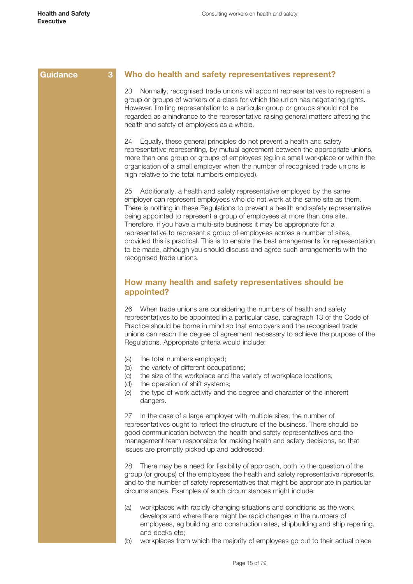| 3<br><b>Guidance</b> | Who do health and safety representatives represent?                                                                                                                                                                                                                                                                                                                                                                                                                                                                                                                                                                                                                                          |
|----------------------|----------------------------------------------------------------------------------------------------------------------------------------------------------------------------------------------------------------------------------------------------------------------------------------------------------------------------------------------------------------------------------------------------------------------------------------------------------------------------------------------------------------------------------------------------------------------------------------------------------------------------------------------------------------------------------------------|
|                      | 23 Normally, recognised trade unions will appoint representatives to represent a<br>group or groups of workers of a class for which the union has negotiating rights.<br>However, limiting representation to a particular group or groups should not be<br>regarded as a hindrance to the representative raising general matters affecting the<br>health and safety of employees as a whole.                                                                                                                                                                                                                                                                                                 |
|                      | Equally, these general principles do not prevent a health and safety<br>24<br>representative representing, by mutual agreement between the appropriate unions,<br>more than one group or groups of employees (eg in a small workplace or within the<br>organisation of a small employer when the number of recognised trade unions is<br>high relative to the total numbers employed).                                                                                                                                                                                                                                                                                                       |
|                      | Additionally, a health and safety representative employed by the same<br>25<br>employer can represent employees who do not work at the same site as them.<br>There is nothing in these Regulations to prevent a health and safety representative<br>being appointed to represent a group of employees at more than one site.<br>Therefore, if you have a multi-site business it may be appropriate for a<br>representative to represent a group of employees across a number of sites,<br>provided this is practical. This is to enable the best arrangements for representation<br>to be made, although you should discuss and agree such arrangements with the<br>recognised trade unions. |
|                      | How many health and safety representatives should be<br>appointed?                                                                                                                                                                                                                                                                                                                                                                                                                                                                                                                                                                                                                           |
|                      | When trade unions are considering the numbers of health and safety<br>26<br>representatives to be appointed in a particular case, paragraph 13 of the Code of<br>Practice should be borne in mind so that employers and the recognised trade<br>unions can reach the degree of agreement necessary to achieve the purpose of the<br>Regulations. Appropriate criteria would include:                                                                                                                                                                                                                                                                                                         |
|                      | the total numbers employed;<br>(a)<br>(b)<br>the variety of different occupations;<br>the size of the workplace and the variety of workplace locations;<br>$\left( \circ \right)$<br>the operation of shift systems;<br>(d)<br>the type of work activity and the degree and character of the inherent<br>(e)<br>dangers.                                                                                                                                                                                                                                                                                                                                                                     |
|                      | In the case of a large employer with multiple sites, the number of<br>27<br>representatives ought to reflect the structure of the business. There should be<br>good communication between the health and safety representatives and the<br>management team responsible for making health and safety decisions, so that<br>issues are promptly picked up and addressed.                                                                                                                                                                                                                                                                                                                       |
|                      | There may be a need for flexibility of approach, both to the question of the<br>28<br>group (or groups) of the employees the health and safety representative represents,<br>and to the number of safety representatives that might be appropriate in particular<br>circumstances. Examples of such circumstances might include:                                                                                                                                                                                                                                                                                                                                                             |
|                      | workplaces with rapidly changing situations and conditions as the work<br>(a)<br>develops and where there might be rapid changes in the numbers of<br>employees, eg building and construction sites, shipbuilding and ship repairing,<br>and docks etc;                                                                                                                                                                                                                                                                                                                                                                                                                                      |

(b) workplaces from which the majority of employees go out to their actual place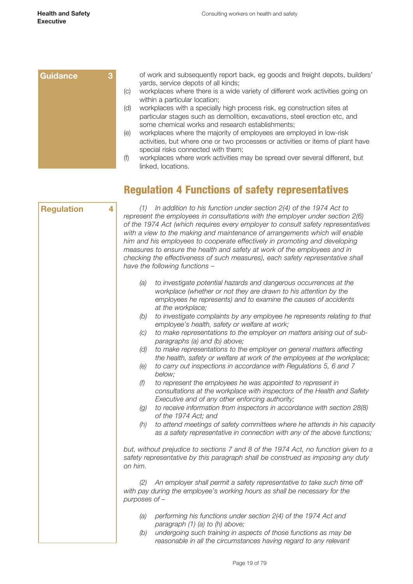<span id="page-18-0"></span>

| <b>Guidance</b><br>3 | of work and subsequently report back, eg goods and freight depots, builders'<br>yards, service depots of all kinds;<br>workplaces where there is a wide variety of different work activities going on<br>(C)<br>within a particular location;<br>workplaces with a specially high process risk, eg construction sites at<br>(d)<br>particular stages such as demolition, excavations, steel erection etc, and<br>some chemical works and research establishments;<br>workplaces where the majority of employees are employed in low-risk<br>(e)<br>activities, but where one or two processes or activities or items of plant have<br>special risks connected with them;<br>workplaces where work activities may be spread over several different, but<br>(f)<br>linked, locations. |
|----------------------|-------------------------------------------------------------------------------------------------------------------------------------------------------------------------------------------------------------------------------------------------------------------------------------------------------------------------------------------------------------------------------------------------------------------------------------------------------------------------------------------------------------------------------------------------------------------------------------------------------------------------------------------------------------------------------------------------------------------------------------------------------------------------------------|
|----------------------|-------------------------------------------------------------------------------------------------------------------------------------------------------------------------------------------------------------------------------------------------------------------------------------------------------------------------------------------------------------------------------------------------------------------------------------------------------------------------------------------------------------------------------------------------------------------------------------------------------------------------------------------------------------------------------------------------------------------------------------------------------------------------------------|

# Regulation 4 Functions of safety representatives

| <b>Regulation</b> | 4 | $(1)$ In addition to his function under section 2(4) of the 1974 Act to<br>represent the employees in consultations with the employer under section 2(6)<br>of the 1974 Act (which requires every employer to consult safety representatives<br>with a view to the making and maintenance of arrangements which will enable<br>him and his employees to cooperate effectively in promoting and developing<br>measures to ensure the health and safety at work of the employees and in<br>checking the effectiveness of such measures), each safety representative shall<br>have the following functions -                                                                                                                                                                                                                                                                                                                                                                                                                                                                                                                                                                                                                                                                                                        |
|-------------------|---|------------------------------------------------------------------------------------------------------------------------------------------------------------------------------------------------------------------------------------------------------------------------------------------------------------------------------------------------------------------------------------------------------------------------------------------------------------------------------------------------------------------------------------------------------------------------------------------------------------------------------------------------------------------------------------------------------------------------------------------------------------------------------------------------------------------------------------------------------------------------------------------------------------------------------------------------------------------------------------------------------------------------------------------------------------------------------------------------------------------------------------------------------------------------------------------------------------------------------------------------------------------------------------------------------------------|
|                   |   | to investigate potential hazards and dangerous occurrences at the<br>(a)<br>workplace (whether or not they are drawn to his attention by the<br>employees he represents) and to examine the causes of accidents<br>at the workplace;<br>(b)<br>to investigate complaints by any employee he represents relating to that<br>employee's health, safety or welfare at work;<br>(C)<br>to make representations to the employer on matters arising out of sub-<br>paragraphs (a) and (b) above;<br>(d)<br>to make representations to the employer on general matters affecting<br>the health, safety or welfare at work of the employees at the workplace;<br>to carry out inspections in accordance with Regulations 5, 6 and 7<br>(e)<br>below;<br>(f)<br>to represent the employees he was appointed to represent in<br>consultations at the workplace with inspectors of the Health and Safety<br>Executive and of any other enforcing authority;<br>to receive information from inspectors in accordance with section 28(8)<br>(g)<br>of the 1974 Act; and<br>(h)<br>to attend meetings of safety committees where he attends in his capacity<br>as a safety representative in connection with any of the above functions;<br>but, without prejudice to sections 7 and 8 of the 1974 Act, no function given to a |
|                   |   | safety representative by this paragraph shall be construed as imposing any duty<br>on him.                                                                                                                                                                                                                                                                                                                                                                                                                                                                                                                                                                                                                                                                                                                                                                                                                                                                                                                                                                                                                                                                                                                                                                                                                       |
|                   |   | An employer shall permit a safety representative to take such time off<br>with pay during the employee's working hours as shall be necessary for the<br>purposes of $-$                                                                                                                                                                                                                                                                                                                                                                                                                                                                                                                                                                                                                                                                                                                                                                                                                                                                                                                                                                                                                                                                                                                                          |
|                   |   | (a)<br>performing his functions under section 2(4) of the 1974 Act and<br>paragraph (1) (a) to (h) above;<br>undergoing such training in aspects of those functions as may be<br>(b)<br>reasonable in all the circumstances having regard to any relevant                                                                                                                                                                                                                                                                                                                                                                                                                                                                                                                                                                                                                                                                                                                                                                                                                                                                                                                                                                                                                                                        |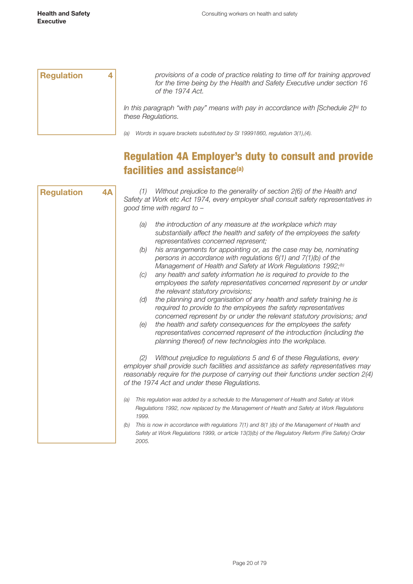<span id="page-19-0"></span>

| <b>Regulation</b> | provisions of a code of practice relating to time off for training approved<br>for the time being by the Health and Safety Executive under section 16<br>of the 1974 Act. |
|-------------------|---------------------------------------------------------------------------------------------------------------------------------------------------------------------------|
|                   | In this paragraph "with pay" means with pay in accordance with [Schedule $2^{(a)}$ to<br>these Regulations.                                                               |
|                   | Words in square brackets substituted by SI 19991860, regulation 3(1), (4).<br>la.                                                                                         |

# Regulation 4A Employer's duty to consult and provide facilities and assistance<sup>(a)</sup>

| <b>Regulation</b> | 4A | (1) Without prejudice to the generality of section 2(6) of the Health and<br>Safety at Work etc Act 1974, every employer shall consult safety representatives in<br>good time with regard to -                                                                                                                                                                                                                      |
|-------------------|----|---------------------------------------------------------------------------------------------------------------------------------------------------------------------------------------------------------------------------------------------------------------------------------------------------------------------------------------------------------------------------------------------------------------------|
|                   |    | the introduction of any measure at the workplace which may<br>(a)<br>substantially affect the health and safety of the employees the safety<br>representatives concerned represent;                                                                                                                                                                                                                                 |
|                   |    | his arrangements for appointing or, as the case may be, nominating<br>(b)<br>persons in accordance with regulations $6(1)$ and $7(1)(b)$ of the<br>Management of Health and Safety at Work Regulations 1992; <sup>(b)</sup>                                                                                                                                                                                         |
|                   |    | any health and safety information he is required to provide to the<br>(C)<br>employees the safety representatives concerned represent by or under                                                                                                                                                                                                                                                                   |
|                   |    | the relevant statutory provisions;<br>the planning and organisation of any health and safety training he is<br>(d)<br>required to provide to the employees the safety representatives<br>concerned represent by or under the relevant statutory provisions; and<br>the health and safety consequences for the employees the safety<br>(e)<br>representatives concerned represent of the introduction (including the |
|                   |    | planning thereof) of new technologies into the workplace.<br>Without prejudice to regulations 5 and 6 of these Regulations, every<br>(2)<br>employer shall provide such facilities and assistance as safety representatives may<br>reasonably require for the purpose of carrying out their functions under section $2(4)$<br>of the 1974 Act and under these Regulations.                                          |
|                   |    | This regulation was added by a schedule to the Management of Health and Safety at Work<br>(a)<br>Regulations 1992, now replaced by the Management of Health and Safety at Work Regulations<br>1999.                                                                                                                                                                                                                 |
|                   |    | This is now in accordance with regulations $7(1)$ and $8(1)$ (b) of the Management of Health and<br>(b)<br>Safety at Work Regulations 1999, or article 13(3)(b) of the Regulatory Reform (Fire Safety) Order<br>2005.                                                                                                                                                                                               |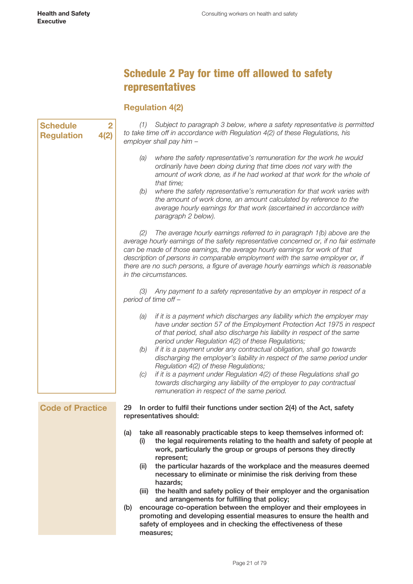# Schedule 2 Pay for time off allowed to safety representatives

# **Regulation 4(2)**

<span id="page-20-0"></span>

| $\overline{2}$<br><b>Schedule</b><br>4(2)<br><b>Regulation</b> | (1) Subject to paragraph 3 below, where a safety representative is permitted<br>to take time off in accordance with Regulation 4(2) of these Regulations, his<br>employer shall pay him -                                                                                                                                                                                                                                                                                                                                                                                                                                                                                                                                                                                |
|----------------------------------------------------------------|--------------------------------------------------------------------------------------------------------------------------------------------------------------------------------------------------------------------------------------------------------------------------------------------------------------------------------------------------------------------------------------------------------------------------------------------------------------------------------------------------------------------------------------------------------------------------------------------------------------------------------------------------------------------------------------------------------------------------------------------------------------------------|
|                                                                | where the safety representative's remuneration for the work he would<br>(a)<br>ordinarily have been doing during that time does not vary with the<br>amount of work done, as if he had worked at that work for the whole of<br>that time;<br>where the safety representative's remuneration for that work varies with<br>(b)<br>the amount of work done, an amount calculated by reference to the<br>average hourly earnings for that work (ascertained in accordance with<br>paragraph 2 below).                                                                                                                                                                                                                                                                        |
|                                                                | The average hourly earnings referred to in paragraph 1(b) above are the<br>(2)<br>average hourly earnings of the safety representative concerned or, if no fair estimate<br>can be made of those earnings, the average hourly earnings for work of that<br>description of persons in comparable employment with the same employer or, if<br>there are no such persons, a figure of average hourly earnings which is reasonable<br>in the circumstances.                                                                                                                                                                                                                                                                                                                  |
|                                                                | Any payment to a safety representative by an employer in respect of a<br>(3)<br>period of time off -                                                                                                                                                                                                                                                                                                                                                                                                                                                                                                                                                                                                                                                                     |
|                                                                | if it is a payment which discharges any liability which the employer may<br>(a)<br>have under section 57 of the Employment Protection Act 1975 in respect<br>of that period, shall also discharge his liability in respect of the same<br>period under Regulation 4(2) of these Regulations;<br>(b)<br>if it is a payment under any contractual obligation, shall go towards<br>discharging the employer's liability in respect of the same period under<br>Regulation 4(2) of these Regulations;<br>if it is a payment under Regulation 4(2) of these Regulations shall go<br>(C)<br>towards discharging any liability of the employer to pay contractual<br>remuneration in respect of the same period.                                                                |
| <b>Code of Practice</b>                                        | In order to fulfil their functions under section 2(4) of the Act, safety<br>29<br>representatives should:                                                                                                                                                                                                                                                                                                                                                                                                                                                                                                                                                                                                                                                                |
|                                                                | take all reasonably practicable steps to keep themselves informed of:<br>(a)<br>the legal requirements relating to the health and safety of people at<br>(i)<br>work, particularly the group or groups of persons they directly<br>represent;<br>the particular hazards of the workplace and the measures deemed<br>(ii)<br>necessary to eliminate or minimise the risk deriving from these<br>hazards;<br>(iii) the health and safety policy of their employer and the organisation<br>and arrangements for fulfilling that policy;<br>encourage co-operation between the employer and their employees in<br>(b)<br>promoting and developing essential measures to ensure the health and<br>safety of employees and in checking the effectiveness of these<br>measures; |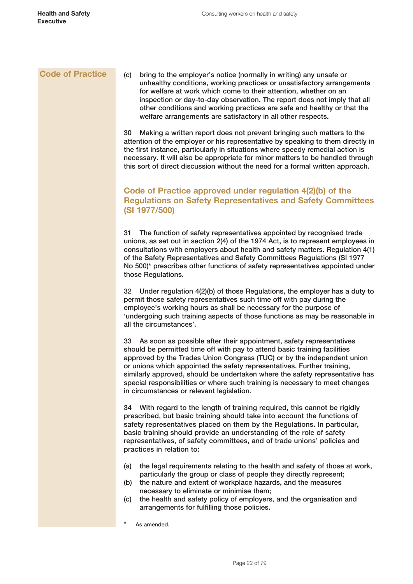(c) bring to the employer's notice (normally in writing) any unsafe or unhealthy conditions, working practices or unsatisfactory arrangements for welfare at work which come to their attention, whether on an inspection or day-to-day observation. The report does not imply that all other conditions and working practices are safe and healthy or that the welfare arrangements are satisfactory in all other respects. **Code of Practice**

> 30 Making a written report does not prevent bringing such matters to the attention of the employer or his representative by speaking to them directly in the first instance, particularly in situations where speedy remedial action is necessary. It will also be appropriate for minor matters to be handled through this sort of direct discussion without the need for a formal written approach.

### **Code of Practice approved under regulation 4(2)(b) of the Regulations on Safety Representatives and Safety Committees (SI 1977/500)**

31 The function of safety representatives appointed by recognised trade unions, as set out in section 2(4) of the 1974 Act, is to represent employees in consultations with employers about health and safety matters. Regulation 4(1) of the Safety Representatives and Safety Committees Regulations (SI 1977 No 500)\* prescribes other functions of safety representatives appointed under those Regulations.

32 Under regulation 4(2)(b) of those Regulations, the employer has a duty to permit those safety representatives such time off with pay during the employee's working hours as shall be necessary for the purpose of 'undergoing such training aspects of those functions as may be reasonable in all the circumstances'.

33 As soon as possible after their appointment, safety representatives should be permitted time off with pay to attend basic training facilities approved by the Trades Union Congress (TUC) or by the independent union or unions which appointed the safety representatives. Further training, similarly approved, should be undertaken where the safety representative has special responsibilities or where such training is necessary to meet changes in circumstances or relevant legislation.

34 With regard to the length of training required, this cannot be rigidly prescribed, but basic training should take into account the functions of safety representatives placed on them by the Regulations. In particular, basic training should provide an understanding of the role of safety representatives, of safety committees, and of trade unions' policies and practices in relation to:

- (a) the legal requirements relating to the health and safety of those at work, particularly the group or class of people they directly represent;
- (b) the nature and extent of workplace hazards, and the measures necessary to eliminate or minimise them;
- (c) the health and safety policy of employers, and the organisation and arrangements for fulfilling those policies.
- As amended.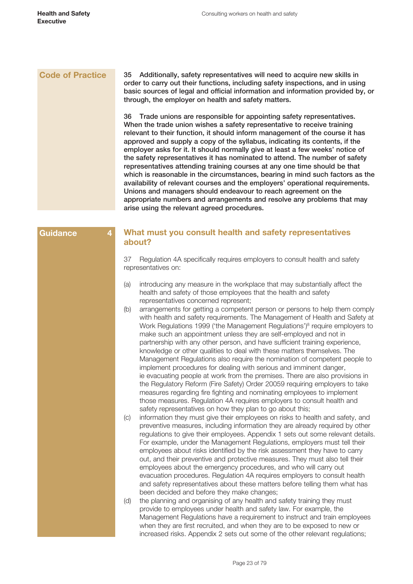### **Code of Practice**

35 Additionally, safety representatives will need to acquire new skills in order to carry out their functions, including safety inspections, and in using basic sources of legal and official information and information provided by, or through, the employer on health and safety matters.

36 Trade unions are responsible for appointing safety representatives. When the trade union wishes a safety representative to receive training relevant to their function, it should inform management of the course it has approved and supply a copy of the syllabus, indicating its contents, if the employer asks for it. It should normally give at least a few weeks' notice of the safety representatives it has nominated to attend. The number of safety representatives attending training courses at any one time should be that which is reasonable in the circumstances, bearing in mind such factors as the availability of relevant courses and the employers' operational requirements. Unions and managers should endeavour to reach agreement on the appropriate numbers and arrangements and resolve any problems that may arise using the relevant agreed procedures.

# **Guidance 4**

### **What must you consult health and safety representatives about?**

37 Regulation 4A specifically requires employers to consult health and safety representatives on:

- (a) introducing any measure in the workplace that may substantially affect the health and safety of those employees that the health and safety representatives concerned represent;
- (b) arrangements for getting a competent person or persons to help them comply with health and safety requirements. The Management of Health and Safety at Work Regulations 1999 ('the Management Regulations')<sup>8</sup> require employers to make such an appointment unless they are self-employed and not in partnership with any other person, and have sufficient training experience, knowledge or other qualities to deal with these matters themselves. The Management Regulations also require the nomination of competent people to implement procedures for dealing with serious and imminent danger, ie evacuating people at work from the premises. There are also provisions in the Regulatory Reform (Fire Safety) Order 20059 requiring employers to take measures regarding fire fighting and nominating employees to implement those measures. Regulation 4A requires employers to consult health and safety representatives on how they plan to go about this:
- (c) information they must give their employees on risks to health and safety, and preventive measures, including information they are already required by other regulations to give their employees. Appendix 1 sets out some relevant details. For example, under the Management Regulations, employers must tell their employees about risks identified by the risk assessment they have to carry out, and their preventive and protective measures. They must also tell their employees about the emergency procedures, and who will carry out evacuation procedures. Regulation 4A requires employers to consult health and safety representatives about these matters before telling them what has been decided and before they make changes;
- (d) the planning and organising of any health and safety training they must provide to employees under health and safety law. For example, the Management Regulations have a requirement to instruct and train employees when they are first recruited, and when they are to be exposed to new or increased risks. Appendix 2 sets out some of the other relevant regulations;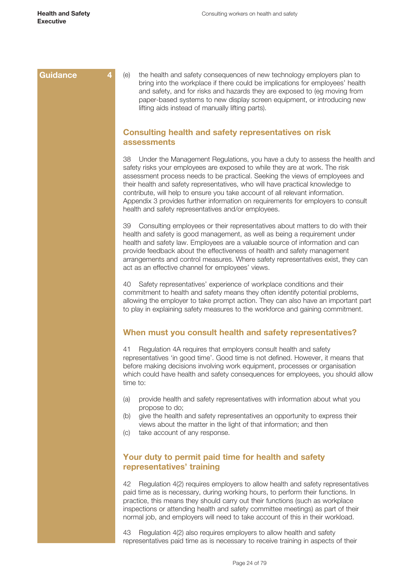| <b>Guidance</b><br>4 | the health and safety consequences of new technology employers plan to<br>(e)<br>bring into the workplace if there could be implications for employees' health<br>and safety, and for risks and hazards they are exposed to (eg moving from<br>paper-based systems to new display screen equipment, or introducing new<br>lifting aids instead of manually lifting parts).                                                                                                                                                                                   |
|----------------------|--------------------------------------------------------------------------------------------------------------------------------------------------------------------------------------------------------------------------------------------------------------------------------------------------------------------------------------------------------------------------------------------------------------------------------------------------------------------------------------------------------------------------------------------------------------|
|                      | <b>Consulting health and safety representatives on risk</b><br><b>assessments</b>                                                                                                                                                                                                                                                                                                                                                                                                                                                                            |
|                      | Under the Management Regulations, you have a duty to assess the health and<br>38<br>safety risks your employees are exposed to while they are at work. The risk<br>assessment process needs to be practical. Seeking the views of employees and<br>their health and safety representatives, who will have practical knowledge to<br>contribute, will help to ensure you take account of all relevant information.<br>Appendix 3 provides further information on requirements for employers to consult<br>health and safety representatives and/or employees. |
|                      | Consulting employees or their representatives about matters to do with their<br>39<br>health and safety is good management, as well as being a requirement under<br>health and safety law. Employees are a valuable source of information and can<br>provide feedback about the effectiveness of health and safety management<br>arrangements and control measures. Where safety representatives exist, they can<br>act as an effective channel for employees' views.                                                                                        |
|                      | Safety representatives' experience of workplace conditions and their<br>40<br>commitment to health and safety means they often identify potential problems,<br>allowing the employer to take prompt action. They can also have an important part<br>to play in explaining safety measures to the workforce and gaining commitment.                                                                                                                                                                                                                           |
|                      | When must you consult health and safety representatives?                                                                                                                                                                                                                                                                                                                                                                                                                                                                                                     |
|                      | Regulation 4A requires that employers consult health and safety<br>41<br>representatives 'in good time'. Good time is not defined. However, it means that<br>before making decisions involving work equipment, processes or organisation<br>which could have health and safety consequences for employees, you should allow<br>time to:                                                                                                                                                                                                                      |
|                      | provide health and safety representatives with information about what you<br>(a)<br>propose to do;<br>give the health and safety representatives an opportunity to express their<br>(b)<br>views about the matter in the light of that information; and then<br>take account of any response.<br>(C)                                                                                                                                                                                                                                                         |
|                      | Your duty to permit paid time for health and safety<br>representatives' training                                                                                                                                                                                                                                                                                                                                                                                                                                                                             |
|                      | 42<br>Regulation 4(2) requires employers to allow health and safety representatives<br>paid time as is necessary, during working hours, to perform their functions. In<br>practice, this means they should carry out their functions (such as workplace<br>inspections or attending health and safety committee meetings) as part of their<br>normal job, and employers will need to take account of this in their workload.                                                                                                                                 |
|                      | 43<br>Regulation 4(2) also requires employers to allow health and safety<br>representatives paid time as is necessary to receive training in aspects of their                                                                                                                                                                                                                                                                                                                                                                                                |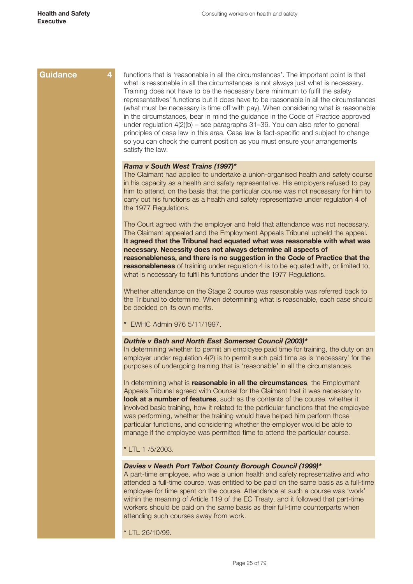| <b>Guidance</b><br>4 | functions that is 'reasonable in all the circumstances'. The important point is that<br>what is reasonable in all the circumstances is not always just what is necessary.<br>Training does not have to be the necessary bare minimum to fulfil the safety<br>representatives' functions but it does have to be reasonable in all the circumstances<br>(what must be necessary is time off with pay). When considering what is reasonable<br>in the circumstances, bear in mind the guidance in the Code of Practice approved<br>under regulation $4(2)(b)$ – see paragraphs 31–36. You can also refer to general<br>principles of case law in this area. Case law is fact-specific and subject to change<br>so you can check the current position as you must ensure your arrangements<br>satisfy the law. |
|----------------------|------------------------------------------------------------------------------------------------------------------------------------------------------------------------------------------------------------------------------------------------------------------------------------------------------------------------------------------------------------------------------------------------------------------------------------------------------------------------------------------------------------------------------------------------------------------------------------------------------------------------------------------------------------------------------------------------------------------------------------------------------------------------------------------------------------|
|                      | Rama v South West Trains (1997)*<br>The Claimant had applied to undertake a union-organised health and safety course<br>in his capacity as a health and safety representative. His employers refused to pay<br>him to attend, on the basis that the particular course was not necessary for him to<br>carry out his functions as a health and safety representative under regulation 4 of<br>the 1977 Regulations.                                                                                                                                                                                                                                                                                                                                                                                         |
|                      | The Court agreed with the employer and held that attendance was not necessary.<br>The Claimant appealed and the Employment Appeals Tribunal upheld the appeal.<br>It agreed that the Tribunal had equated what was reasonable with what was<br>necessary. Necessity does not always determine all aspects of<br>reasonableness, and there is no suggestion in the Code of Practice that the<br><b>reasonableness</b> of training under regulation 4 is to be equated with, or limited to,<br>what is necessary to fulfil his functions under the 1977 Regulations.                                                                                                                                                                                                                                         |
|                      | Whether attendance on the Stage 2 course was reasonable was referred back to<br>the Tribunal to determine. When determining what is reasonable, each case should<br>be decided on its own merits.                                                                                                                                                                                                                                                                                                                                                                                                                                                                                                                                                                                                          |
|                      | * EWHC Admin 976 5/11/1997.                                                                                                                                                                                                                                                                                                                                                                                                                                                                                                                                                                                                                                                                                                                                                                                |
|                      | Duthie v Bath and North East Somerset Council (2003)*<br>In determining whether to permit an employee paid time for training, the duty on an<br>employer under regulation 4(2) is to permit such paid time as is 'necessary' for the<br>purposes of undergoing training that is 'reasonable' in all the circumstances.                                                                                                                                                                                                                                                                                                                                                                                                                                                                                     |
|                      | In determining what is <b>reasonable in all the circumstances</b> , the Employment<br>Appeals Tribunal agreed with Counsel for the Claimant that it was necessary to<br>look at a number of features, such as the contents of the course, whether it<br>involved basic training, how it related to the particular functions that the employee<br>was performing, whether the training would have helped him perform those<br>particular functions, and considering whether the employer would be able to<br>manage if the employee was permitted time to attend the particular course.                                                                                                                                                                                                                     |
|                      | * LTL 1/5/2003.                                                                                                                                                                                                                                                                                                                                                                                                                                                                                                                                                                                                                                                                                                                                                                                            |
|                      | Davies v Neath Port Talbot County Borough Council (1999)*<br>A part-time employee, who was a union health and safety representative and who<br>attended a full-time course, was entitled to be paid on the same basis as a full-time<br>employee for time spent on the course. Attendance at such a course was 'work'<br>within the meaning of Article 119 of the EC Treaty, and it followed that part-time<br>workers should be paid on the same basis as their full-time counterparts when<br>attending such courses away from work.                                                                                                                                                                                                                                                                     |
|                      | * LTL 26/10/99.                                                                                                                                                                                                                                                                                                                                                                                                                                                                                                                                                                                                                                                                                                                                                                                            |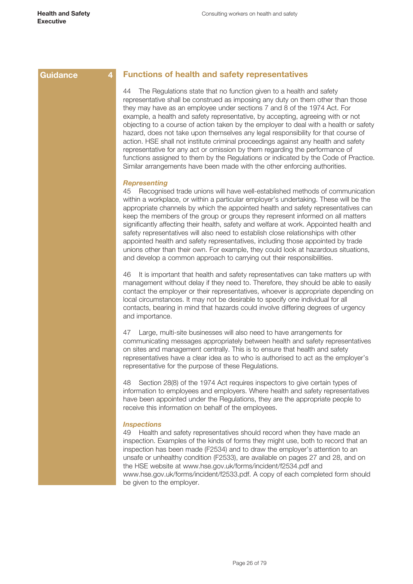| <b>Guidance</b> |  |
|-----------------|--|
|                 |  |
|                 |  |

### **Functions of health and safety representatives**

44 The Regulations state that no function given to a health and safety representative shall be construed as imposing any duty on them other than those they may have as an employee under sections 7 and 8 of the 1974 Act. For example, a health and safety representative, by accepting, agreeing with or not objecting to a course of action taken by the employer to deal with a health or safety hazard, does not take upon themselves any legal responsibility for that course of action. HSE shall not institute criminal proceedings against any health and safety representative for any act or omission by them regarding the performance of functions assigned to them by the Regulations or indicated by the Code of Practice. Similar arrangements have been made with the other enforcing authorities.

### *Representing*

45 Recognised trade unions will have well-established methods of communication within a workplace, or within a particular employer's undertaking. These will be the appropriate channels by which the appointed health and safety representatives can keep the members of the group or groups they represent informed on all matters significantly affecting their health, safety and welfare at work. Appointed health and safety representatives will also need to establish close relationships with other appointed health and safety representatives, including those appointed by trade unions other than their own. For example, they could look at hazardous situations, and develop a common approach to carrying out their responsibilities.

46 It is important that health and safety representatives can take matters up with management without delay if they need to. Therefore, they should be able to easily contact the employer or their representatives, whoever is appropriate depending on local circumstances. It may not be desirable to specify one individual for all contacts, bearing in mind that hazards could involve differing degrees of urgency and importance.

47 Large, multi-site businesses will also need to have arrangements for communicating messages appropriately between health and safety representatives on sites and management centrally. This is to ensure that health and safety representatives have a clear idea as to who is authorised to act as the employer's representative for the purpose of these Regulations.

48 Section 28(8) of the 1974 Act requires inspectors to give certain types of information to employees and employers. Where health and safety representatives have been appointed under the Regulations, they are the appropriate people to receive this information on behalf of the employees.

### *Inspections*

49 Health and safety representatives should record when they have made an inspection. Examples of the kinds of forms they might use, both to record that an inspection has been made (F2534) and to draw the employer's attention to an unsafe or unhealthy condition (F2533), are available on pages 27 and 28, and on the HSE website at www.hse.gov.uk/forms/incident/f2534.pdf and www.hse.gov.uk/forms/incident/f2533.pdf. A copy of each completed form should be given to the employer.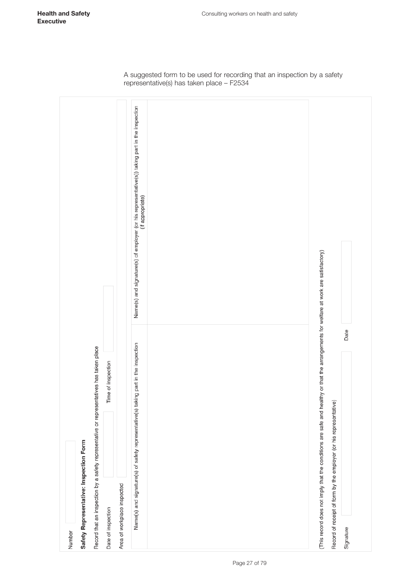| Number                                                                                                                                                                                                   |                                                                                                                   |
|----------------------------------------------------------------------------------------------------------------------------------------------------------------------------------------------------------|-------------------------------------------------------------------------------------------------------------------|
| Safety Representative: Inspection Form                                                                                                                                                                   |                                                                                                                   |
| Record that an inspection by a safety representative or representatives has taken place                                                                                                                  |                                                                                                                   |
| Time of inspection<br>Date of inspection                                                                                                                                                                 |                                                                                                                   |
| Area of workplace inspected                                                                                                                                                                              |                                                                                                                   |
| Name(s) and signature(s) of safety representative(s) taking part in the inspection                                                                                                                       | Name(s) and signature(s) of employer (or his representative(s)) taking part in the inspection<br>(if appropriate) |
|                                                                                                                                                                                                          |                                                                                                                   |
| (This record does not imply that the conditions are safe and healthy or that the arrangements for welfare at work are satisfactory)<br>Record of receipt of form by the employer (or his representative) |                                                                                                                   |
| Date<br>Signature                                                                                                                                                                                        |                                                                                                                   |
|                                                                                                                                                                                                          |                                                                                                                   |
|                                                                                                                                                                                                          |                                                                                                                   |

A suggested form to be used for recording that an inspection by a safety representative(s) has taken place – F2534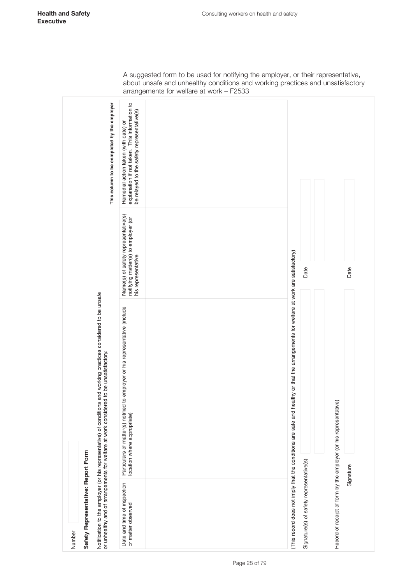| Safety Representative: Report Form<br>Number      |                                                                                                                                                                                                           |                                                                                                  |                                                                                                                                     |                                             |
|---------------------------------------------------|-----------------------------------------------------------------------------------------------------------------------------------------------------------------------------------------------------------|--------------------------------------------------------------------------------------------------|-------------------------------------------------------------------------------------------------------------------------------------|---------------------------------------------|
|                                                   | Notification to the employer (or his representative) of conditions and working practices considered to be unsafe<br>or unhealthy and of arrangements for welfare at work considered to be unsatisfactory. |                                                                                                  | This column to be completed by the employer                                                                                         |                                             |
| Date and time of inspection<br>or matter observed | to employer or his representative (include<br>Particulars of matter(s) notified<br>location where appropriate)                                                                                            | Name(s) of safety representative(s)<br>notifying matter(s) to employer (or<br>his representative | explanation if not taken. This information to<br>be relayed to the safety representative(s)<br>Remedial action taken (with date) or |                                             |
|                                                   |                                                                                                                                                                                                           |                                                                                                  |                                                                                                                                     | arrangements for weitare at work<br>– ΓΖΌΟΟ |
|                                                   |                                                                                                                                                                                                           |                                                                                                  |                                                                                                                                     |                                             |
| Signature(s) of safety representative(s)          | (This record does not imply that the conditions are safe and healthy or that the arrangements for welfare at work are satisfactory)                                                                       | Date                                                                                             |                                                                                                                                     |                                             |
|                                                   |                                                                                                                                                                                                           |                                                                                                  |                                                                                                                                     |                                             |
|                                                   | Record of receipt of form by the employer (or his representative)<br>Signature                                                                                                                            | Date                                                                                             |                                                                                                                                     |                                             |
|                                                   |                                                                                                                                                                                                           |                                                                                                  |                                                                                                                                     |                                             |

A suggested form to be used for notifying the employer, or their representative, about unsafe and unhealthy conditions and working practices and unsatisfactory arrangements for welfare at work – F2533

Consulting workers on health and safety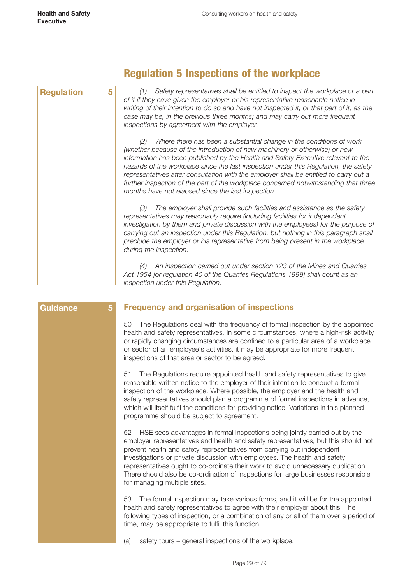**Guidance 5**

<span id="page-28-0"></span>*(1) Safety representatives shall be entitled to inspect the workplace or a part of it if they have given the employer or his representative reasonable notice in writing of their intention to do so and have not inspected it, or that part of it, as the case may be, in the previous three months; and may carry out more frequent inspections by agreement with the employer. (2) Where there has been a substantial change in the conditions of work (whether because of the introduction of new machinery or otherwise) or new information has been published by the Health and Safety Executive relevant to the hazards of the workplace since the last inspection under this Regulation, the safety representatives after consultation with the employer shall be entitled to carry out a*  further inspection of the part of the workplace concerned notwithstanding that three *months have not elapsed since the last inspection. (3) The employer shall provide such facilities and assistance as the safety representatives may reasonably require (including facilities for independent investigation by them and private discussion with the employees) for the purpose of carrying out an inspection under this Regulation, but nothing in this paragraph shall preclude the employer or his representative from being present in the workplace during the inspection. (4) An inspection carried out under section 123 of the Mines and Quarries Act 1954 [or regulation 40 of the Quarries Regulations 1999] shall count as an inspection under this Regulation.*  **Regulation 5**

# Regulation 5 Inspections of the workplace

# **Frequency and organisation of inspections**

50 The Regulations deal with the frequency of formal inspection by the appointed health and safety representatives. In some circumstances, where a high-risk activity or rapidly changing circumstances are confined to a particular area of a workplace

51 The Regulations require appointed health and safety representatives to give safety representatives should plan a programme of formal inspections in advance, which will itself fulfil the conditions for providing notice. Variations in this planned

52 HSE sees advantages in formal inspections being jointly carried out by the employer representatives and health and safety representatives, but this should not representatives ought to co-ordinate their work to avoid unnecessary duplication. There should also be co-ordination of inspections for large businesses responsible

53 The formal inspection may take various forms, and it will be for the appointed following types of inspection, or a combination of any or all of them over a period of

(a) safety tours – general inspections of the workplace;

or sector of an employee's activities, it may be appropriate for more frequent inspections of that area or sector to be agreed. reasonable written notice to the employer of their intention to conduct a formal inspection of the workplace. Where possible, the employer and the health and programme should be subject to agreement. prevent health and safety representatives from carrying out independent investigations or private discussion with employees. The health and safety for managing multiple sites. health and safety representatives to agree with their employer about this. The time, may be appropriate to fulfil this function: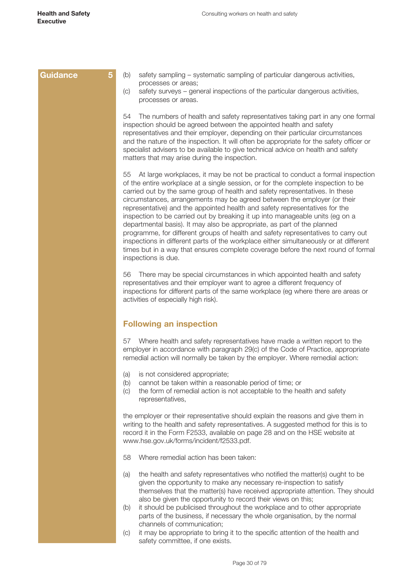| Guidance<br>5 | safety sampling – systematic sampling of particular dangerous activities,<br>(b)<br>processes or areas;<br>safety surveys – general inspections of the particular dangerous activities,<br>(C)<br>processes or areas.                                                                                                                                                                                                                                                                                                                                                                                                                                                                                                                                                                                                                                                      |
|---------------|----------------------------------------------------------------------------------------------------------------------------------------------------------------------------------------------------------------------------------------------------------------------------------------------------------------------------------------------------------------------------------------------------------------------------------------------------------------------------------------------------------------------------------------------------------------------------------------------------------------------------------------------------------------------------------------------------------------------------------------------------------------------------------------------------------------------------------------------------------------------------|
|               | 54<br>The numbers of health and safety representatives taking part in any one formal<br>inspection should be agreed between the appointed health and safety<br>representatives and their employer, depending on their particular circumstances<br>and the nature of the inspection. It will often be appropriate for the safety officer or<br>specialist advisers to be available to give technical advice on health and safety<br>matters that may arise during the inspection.                                                                                                                                                                                                                                                                                                                                                                                           |
|               | 55<br>At large workplaces, it may be not be practical to conduct a formal inspection<br>of the entire workplace at a single session, or for the complete inspection to be<br>carried out by the same group of health and safety representatives. In these<br>circumstances, arrangements may be agreed between the employer (or their<br>representative) and the appointed health and safety representatives for the<br>inspection to be carried out by breaking it up into manageable units (eg on a<br>departmental basis). It may also be appropriate, as part of the planned<br>programme, for different groups of health and safety representatives to carry out<br>inspections in different parts of the workplace either simultaneously or at different<br>times but in a way that ensures complete coverage before the next round of formal<br>inspections is due. |
|               | 56<br>There may be special circumstances in which appointed health and safety<br>representatives and their employer want to agree a different frequency of<br>inspections for different parts of the same workplace (eg where there are areas or<br>activities of especially high risk).                                                                                                                                                                                                                                                                                                                                                                                                                                                                                                                                                                                   |
|               | <b>Following an inspection</b>                                                                                                                                                                                                                                                                                                                                                                                                                                                                                                                                                                                                                                                                                                                                                                                                                                             |
|               | 57<br>Where health and safety representatives have made a written report to the<br>employer in accordance with paragraph 29(c) of the Code of Practice, appropriate<br>remedial action will normally be taken by the employer. Where remedial action:                                                                                                                                                                                                                                                                                                                                                                                                                                                                                                                                                                                                                      |
|               | (a) is not considered appropriate;<br>cannot be taken within a reasonable period of time; or<br>(b)<br>the form of remedial action is not acceptable to the health and safety<br>(C)<br>representatives,                                                                                                                                                                                                                                                                                                                                                                                                                                                                                                                                                                                                                                                                   |
|               | the employer or their representative should explain the reasons and give them in<br>writing to the health and safety representatives. A suggested method for this is to<br>record it in the Form F2533, available on page 28 and on the HSE website at<br>www.hse.gov.uk/forms/incident/f2533.pdf.                                                                                                                                                                                                                                                                                                                                                                                                                                                                                                                                                                         |
|               | Where remedial action has been taken:<br>58                                                                                                                                                                                                                                                                                                                                                                                                                                                                                                                                                                                                                                                                                                                                                                                                                                |
|               | the health and safety representatives who notified the matter(s) ought to be<br>(a)<br>given the opportunity to make any necessary re-inspection to satisfy<br>themselves that the matter(s) have received appropriate attention. They should<br>also be given the opportunity to record their views on this;<br>it should be publicised throughout the workplace and to other appropriate<br>(b)<br>parts of the business, if necessary the whole organisation, by the normal<br>channels of communication;                                                                                                                                                                                                                                                                                                                                                               |

(c) it may be appropriate to bring it to the specific attention of the health and safety committee, if one exists.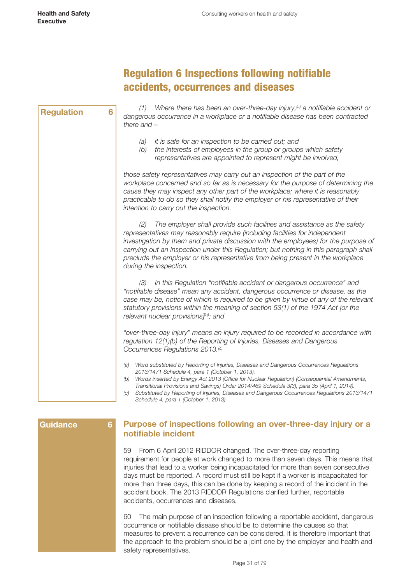# Regulation 6 Inspections following notifiable accidents, occurrences and diseases

<span id="page-30-0"></span>

|                   | Where there has been an over-three-day injury, $\alpha$ a notifiable accident or<br>(1)                                                                                                                                                                                                                                                                                                                                                                                                                     |
|-------------------|-------------------------------------------------------------------------------------------------------------------------------------------------------------------------------------------------------------------------------------------------------------------------------------------------------------------------------------------------------------------------------------------------------------------------------------------------------------------------------------------------------------|
| <b>Regulation</b> | 6<br>dangerous occurrence in a workplace or a notifiable disease has been contracted<br>there and $-$                                                                                                                                                                                                                                                                                                                                                                                                       |
|                   | it is safe for an inspection to be carried out; and<br>(a)<br>(b)<br>the interests of employees in the group or groups which safety<br>representatives are appointed to represent might be involved,                                                                                                                                                                                                                                                                                                        |
|                   | those safety representatives may carry out an inspection of the part of the<br>workplace concerned and so far as is necessary for the purpose of determining the<br>cause they may inspect any other part of the workplace; where it is reasonably<br>practicable to do so they shall notify the employer or his representative of their<br>intention to carry out the inspection.                                                                                                                          |
|                   | The employer shall provide such facilities and assistance as the safety<br>(2)<br>representatives may reasonably require (including facilities for independent<br>investigation by them and private discussion with the employees) for the purpose of<br>carrying out an inspection under this Regulation; but nothing in this paragraph shall<br>preclude the employer or his representative from being present in the workplace<br>during the inspection.                                                 |
|                   | In this Regulation "notifiable accident or dangerous occurrence" and<br>(3)<br>"notifiable disease" mean any accident, dangerous occurrence or disease, as the<br>case may be, notice of which is required to be given by virtue of any of the relevant<br>statutory provisions within the meaning of section 53(1) of the 1974 Act [or the<br>relevant nuclear provisions] <sup>(b)</sup> ; and                                                                                                            |
|                   | "over-three-day injury" means an injury required to be recorded in accordance with<br>regulation 12(1)(b) of the Reporting of Injuries, Diseases and Dangerous<br>Occurrences Regulations 2013. <sup>(c)</sup>                                                                                                                                                                                                                                                                                              |
|                   | Word substituted by Reporting of Injuries, Diseases and Dangerous Occurrences Regulations<br>(a)<br>2013/1471 Schedule 4, para 1 (October 1, 2013).<br>Words inserted by Energy Act 2013 (Office for Nuclear Regulation) (Consequential Amendments,<br>(b)<br>Transitional Provisions and Savings) Order 2014/469 Schedule 3(3), para 35 (April 1, 2014).<br>Substituted by Reporting of Injuries, Diseases and Dangerous Occurrences Regulations 2013/1471<br>(C)<br>Schedule 4, para 1 (October 1, 2013). |

| Guidance |  |
|----------|--|
|          |  |
|          |  |
|          |  |
|          |  |
|          |  |
|          |  |
|          |  |
|          |  |
|          |  |
|          |  |
|          |  |
|          |  |
|          |  |
|          |  |

### **Purpose of inspections following an over-three-day injury or a notifiable incident**

59 From 6 April 2012 RIDDOR changed. The over-three-day reporting requirement for people at work changed to more than seven days. This means that injuries that lead to a worker being incapacitated for more than seven consecutive days must be reported. A record must still be kept if a worker is incapacitated for more than three days, this can be done by keeping a record of the incident in the accident book. The 2013 RIDDOR Regulations clarified further, reportable accidents, occurrences and diseases.

60 The main purpose of an inspection following a reportable accident, dangerous occurrence or notifiable disease should be to determine the causes so that measures to prevent a recurrence can be considered. It is therefore important that the approach to the problem should be a joint one by the employer and health and safety representatives.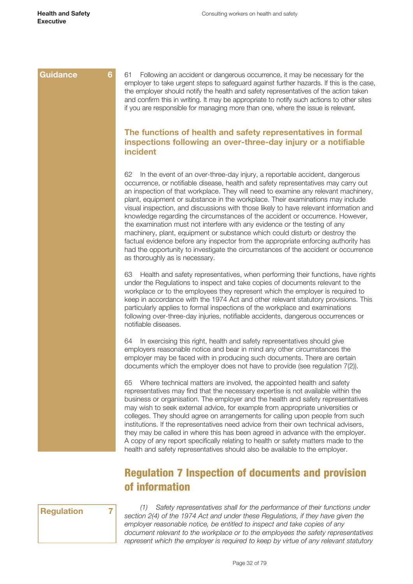<span id="page-31-0"></span>

| <b>Guidance</b><br>$\overline{6}$ | Following an accident or dangerous occurrence, it may be necessary for the<br>61<br>employer to take urgent steps to safeguard against further hazards. If this is the case,<br>the employer should notify the health and safety representatives of the action taken<br>and confirm this in writing. It may be appropriate to notify such actions to other sites<br>if you are responsible for managing more than one, where the issue is relevant.                                                                                                                                                                                                                                                                                                                                                                                                                                                 |
|-----------------------------------|-----------------------------------------------------------------------------------------------------------------------------------------------------------------------------------------------------------------------------------------------------------------------------------------------------------------------------------------------------------------------------------------------------------------------------------------------------------------------------------------------------------------------------------------------------------------------------------------------------------------------------------------------------------------------------------------------------------------------------------------------------------------------------------------------------------------------------------------------------------------------------------------------------|
|                                   | The functions of health and safety representatives in formal<br>inspections following an over-three-day injury or a notifiable<br>incident                                                                                                                                                                                                                                                                                                                                                                                                                                                                                                                                                                                                                                                                                                                                                          |
|                                   | In the event of an over-three-day injury, a reportable accident, dangerous<br>62<br>occurrence, or notifiable disease, health and safety representatives may carry out<br>an inspection of that workplace. They will need to examine any relevant machinery,<br>plant, equipment or substance in the workplace. Their examinations may include<br>visual inspection, and discussions with those likely to have relevant information and<br>knowledge regarding the circumstances of the accident or occurrence. However,<br>the examination must not interfere with any evidence or the testing of any<br>machinery, plant, equipment or substance which could disturb or destroy the<br>factual evidence before any inspector from the appropriate enforcing authority has<br>had the opportunity to investigate the circumstances of the accident or occurrence<br>as thoroughly as is necessary. |
|                                   | 63<br>Health and safety representatives, when performing their functions, have rights<br>under the Regulations to inspect and take copies of documents relevant to the<br>workplace or to the employees they represent which the employer is required to<br>keep in accordance with the 1974 Act and other relevant statutory provisions. This<br>particularly applies to formal inspections of the workplace and examinations<br>following over-three-day injuries, notifiable accidents, dangerous occurrences or<br>notifiable diseases.                                                                                                                                                                                                                                                                                                                                                         |
|                                   | In exercising this right, health and safety representatives should give<br>64<br>employers reasonable notice and bear in mind any other circumstances the<br>employer may be faced with in producing such documents. There are certain<br>documents which the employer does not have to provide (see regulation 7(2)).                                                                                                                                                                                                                                                                                                                                                                                                                                                                                                                                                                              |
|                                   | Where technical matters are involved, the appointed health and safety<br>65<br>representatives may find that the necessary expertise is not available within the<br>business or organisation. The employer and the health and safety representatives<br>may wish to seek external advice, for example from appropriate universities or<br>colleges. They should agree on arrangements for calling upon people from such<br>institutions. If the representatives need advice from their own technical advisers,<br>they may be called in where this has been agreed in advance with the employer.<br>A copy of any report specifically relating to health or safety matters made to the<br>health and safety representatives should also be available to the employer.                                                                                                                               |
|                                   | <b>Requision 7 Inspection of documents and provision</b>                                                                                                                                                                                                                                                                                                                                                                                                                                                                                                                                                                                                                                                                                                                                                                                                                                            |

# Regulation 7 Inspection of documents and provision of information



*(1) Safety representatives shall for the performance of their functions under section 2(4) of the 1974 Act and under these Regulations, if they have given the employer reasonable notice, be entitled to inspect and take copies of any document relevant to the workplace or to the employees the safety representatives represent which the employer is required to keep by virtue of any relevant statutory*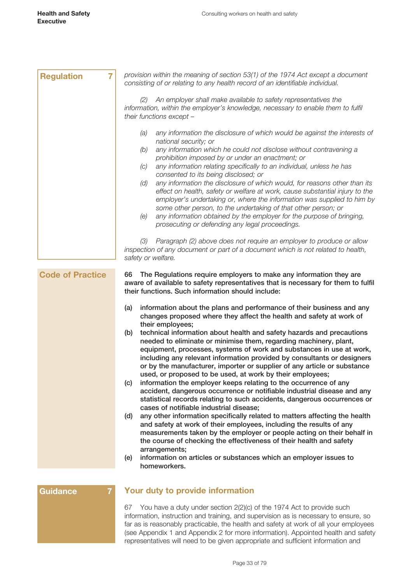| $\overline{7}$<br><b>Regulation</b> | provision within the meaning of section 53(1) of the 1974 Act except a document<br>consisting of or relating to any health record of an identifiable individual.                                                                                                                                                                                                                                                                                                                                                                                                                                                                                                                                          |
|-------------------------------------|-----------------------------------------------------------------------------------------------------------------------------------------------------------------------------------------------------------------------------------------------------------------------------------------------------------------------------------------------------------------------------------------------------------------------------------------------------------------------------------------------------------------------------------------------------------------------------------------------------------------------------------------------------------------------------------------------------------|
|                                     | An employer shall make available to safety representatives the<br>(2)<br>information, within the employer's knowledge, necessary to enable them to fulfil<br>their functions except -                                                                                                                                                                                                                                                                                                                                                                                                                                                                                                                     |
|                                     | any information the disclosure of which would be against the interests of<br>(a)<br>national security; or                                                                                                                                                                                                                                                                                                                                                                                                                                                                                                                                                                                                 |
|                                     | any information which he could not disclose without contravening a<br>(b)<br>prohibition imposed by or under an enactment; or<br>any information relating specifically to an individual, unless he has<br>(C)<br>consented to its being disclosed; or<br>any information the disclosure of which would, for reasons other than its<br>(d)<br>effect on health, safety or welfare at work, cause substantial injury to the<br>employer's undertaking or, where the information was supplied to him by<br>some other person, to the undertaking of that other person; or<br>any information obtained by the employer for the purpose of bringing,<br>(e)<br>prosecuting or defending any legal proceedings. |
|                                     | Paragraph (2) above does not require an employer to produce or allow<br>(3)<br>inspection of any document or part of a document which is not related to health,<br>safety or welfare.                                                                                                                                                                                                                                                                                                                                                                                                                                                                                                                     |
| <b>Code of Practice</b>             | The Regulations require employers to make any information they are<br>66<br>aware of available to safety representatives that is necessary for them to fulfil<br>their functions. Such information should include:                                                                                                                                                                                                                                                                                                                                                                                                                                                                                        |
|                                     | information about the plans and performance of their business and any<br>(a)<br>changes proposed where they affect the health and safety at work of<br>their employees;                                                                                                                                                                                                                                                                                                                                                                                                                                                                                                                                   |
|                                     | technical information about health and safety hazards and precautions<br>(b)<br>needed to eliminate or minimise them, regarding machinery, plant,<br>equipment, processes, systems of work and substances in use at work,<br>including any relevant information provided by consultants or designers<br>or by the manufacturer, importer or supplier of any article or substance<br>used, or proposed to be used, at work by their employees;                                                                                                                                                                                                                                                             |
|                                     | information the employer keeps relating to the occurrence of any<br>(c)<br>accident, dangerous occurrence or notifiable industrial disease and any<br>statistical records relating to such accidents, dangerous occurrences or<br>cases of notifiable industrial disease;                                                                                                                                                                                                                                                                                                                                                                                                                                 |
|                                     | any other information specifically related to matters affecting the health<br>(d)<br>and safety at work of their employees, including the results of any<br>measurements taken by the employer or people acting on their behalf in<br>the course of checking the effectiveness of their health and safety                                                                                                                                                                                                                                                                                                                                                                                                 |
|                                     | arrangements;<br>information on articles or substances which an employer issues to<br>(e)<br>homeworkers.                                                                                                                                                                                                                                                                                                                                                                                                                                                                                                                                                                                                 |
| <b>Guidance</b><br>7                | Your duty to provide information                                                                                                                                                                                                                                                                                                                                                                                                                                                                                                                                                                                                                                                                          |
|                                     | You have a duty under section 2(2)(c) of the 1974 Act to provide such<br>67<br>information, instruction and training, and supervision as is necessary to ensure, so<br>far as is reasonably practicable, the health and safety at work of all your employees<br>(see Appendix 1 and Appendix 2 for more information). Appointed health and safety                                                                                                                                                                                                                                                                                                                                                         |

representatives will need to be given appropriate and sufficient information and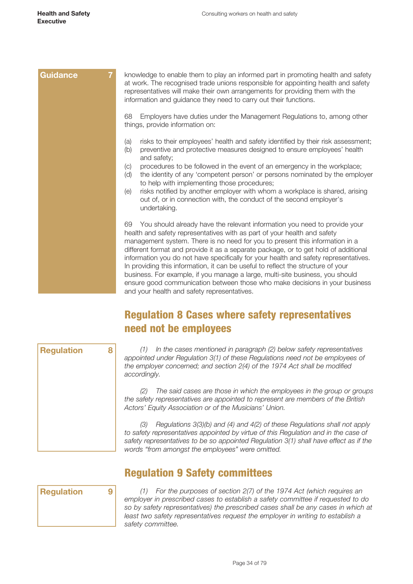<span id="page-33-0"></span>

| 7<br>Guidance | knowledge to enable them to play an informed part in promoting health and safety<br>at work. The recognised trade unions responsible for appointing health and safety<br>representatives will make their own arrangements for providing them with the<br>information and guidance they need to carry out their functions.                                                                                                                                                                                                                                                                                                                                                                                                     |
|---------------|-------------------------------------------------------------------------------------------------------------------------------------------------------------------------------------------------------------------------------------------------------------------------------------------------------------------------------------------------------------------------------------------------------------------------------------------------------------------------------------------------------------------------------------------------------------------------------------------------------------------------------------------------------------------------------------------------------------------------------|
|               | Employers have duties under the Management Regulations to, among other<br>68<br>things, provide information on:                                                                                                                                                                                                                                                                                                                                                                                                                                                                                                                                                                                                               |
|               | risks to their employees' health and safety identified by their risk assessment;<br>(a)<br>preventive and protective measures designed to ensure employees' health<br>(b)<br>and safety;                                                                                                                                                                                                                                                                                                                                                                                                                                                                                                                                      |
|               | procedures to be followed in the event of an emergency in the workplace;<br>(c)<br>the identity of any 'competent person' or persons nominated by the employer<br>(d)<br>to help with implementing those procedures;<br>risks notified by another employer with whom a workplace is shared, arising<br>(e)<br>out of, or in connection with, the conduct of the second employer's<br>undertaking.                                                                                                                                                                                                                                                                                                                             |
|               | You should already have the relevant information you need to provide your<br>69<br>health and safety representatives with as part of your health and safety<br>management system. There is no need for you to present this information in a<br>different format and provide it as a separate package, or to get hold of additional<br>information you do not have specifically for your health and safety representatives.<br>In providing this information, it can be useful to reflect the structure of your<br>business. For example, if you manage a large, multi-site business, you should<br>ensure good communication between those who make decisions in your business<br>and your health and safety representatives. |

# Regulation 8 Cases where safety representatives need not be employees

| <b>Regulation</b> | 8 |
|-------------------|---|
|                   |   |
|                   |   |
|                   |   |
|                   |   |
|                   |   |
|                   |   |

*(1) In the cases mentioned in paragraph (2) below safety representatives appointed under Regulation 3(1) of these Regulations need not be employees of the employer concerned; and section 2(4) of the 1974 Act shall be modified accordingly.* 

*(2) The said cases are those in which the employees in the group or groups the safety representatives are appointed to represent are members of the British Actors' Equity Association or of the Musicians' Union.* 

*(3) Regulations 3(3)(b) and (4) and 4(2) of these Regulations shall not apply to safety representatives appointed by virtue of this Regulation and in the case of safety representatives to be so appointed Regulation 3(1) shall have effect as if the words "from amongst the employees" were omitted.*

### Regulation 9 Safety committees



*(1) For the purposes of section 2(7) of the 1974 Act (which requires an employer in prescribed cases to establish a safety committee if requested to do so by safety representatives) the prescribed cases shall be any cases in which at*  least two safety representatives request the employer in writing to establish a *safety committee.*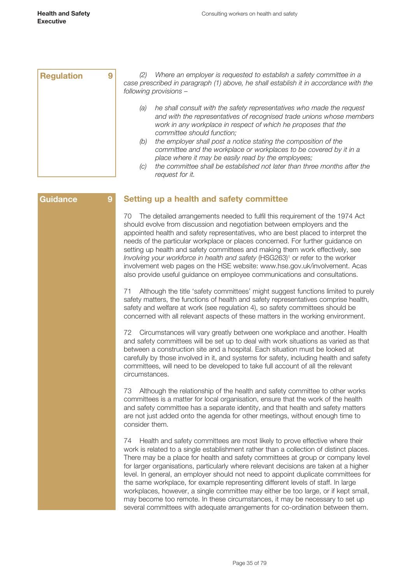| 9<br><b>Regulation</b> | Where an employer is requested to establish a safety committee in a<br>(2)<br>case prescribed in paragraph (1) above, he shall establish it in accordance with the<br>following provisions -                                                                                                                                                                                                                                                                                                                                                                                                                                                                                                                                                                             |
|------------------------|--------------------------------------------------------------------------------------------------------------------------------------------------------------------------------------------------------------------------------------------------------------------------------------------------------------------------------------------------------------------------------------------------------------------------------------------------------------------------------------------------------------------------------------------------------------------------------------------------------------------------------------------------------------------------------------------------------------------------------------------------------------------------|
|                        | he shall consult with the safety representatives who made the request<br>(a)<br>and with the representatives of recognised trade unions whose members<br>work in any workplace in respect of which he proposes that the<br>committee should function;<br>the employer shall post a notice stating the composition of the<br>(b)<br>committee and the workplace or workplaces to be covered by it in a<br>place where it may be easily read by the employees;<br>the committee shall be established not later than three months after the<br>(C)<br>request for it.                                                                                                                                                                                                       |
| 9<br>Guidance          | Setting up a health and safety committee                                                                                                                                                                                                                                                                                                                                                                                                                                                                                                                                                                                                                                                                                                                                 |
|                        | The detailed arrangements needed to fulfil this requirement of the 1974 Act<br>70<br>should evolve from discussion and negotiation between employers and the<br>appointed health and safety representatives, who are best placed to interpret the<br>needs of the particular workplace or places concerned. For further guidance on<br>setting up health and safety committees and making them work effectively, see<br>Involving your workforce in health and safety (HSG263) <sup>1</sup> or refer to the worker<br>involvement web pages on the HSE website: www.hse.gov.uk/involvement. Acas<br>also provide useful guidance on employee communications and consultations.<br>Although the title 'safety committees' might suggest functions limited to purely<br>71 |
|                        | safety matters, the functions of health and safety representatives comprise health,<br>safety and welfare at work (see regulation 4), so safety committees should be<br>concerned with all relevant aspects of these matters in the working environment.                                                                                                                                                                                                                                                                                                                                                                                                                                                                                                                 |

72 Circumstances will vary greatly between one workplace and another. Health and safety committees will be set up to deal with work situations as varied as that between a construction site and a hospital. Each situation must be looked at carefully by those involved in it, and systems for safety, including health and safety committees, will need to be developed to take full account of all the relevant circumstances.

73 Although the relationship of the health and safety committee to other works committees is a matter for local organisation, ensure that the work of the health and safety committee has a separate identity, and that health and safety matters are not just added onto the agenda for other meetings, without enough time to consider them.

74 Health and safety committees are most likely to prove effective where their work is related to a single establishment rather than a collection of distinct places. There may be a place for health and safety committees at group or company level for larger organisations, particularly where relevant decisions are taken at a higher level. In general, an employer should not need to appoint duplicate committees for the same workplace, for example representing different levels of staff. In large workplaces, however, a single committee may either be too large, or if kept small, may become too remote. In these circumstances, it may be necessary to set up several committees with adequate arrangements for co-ordination between them.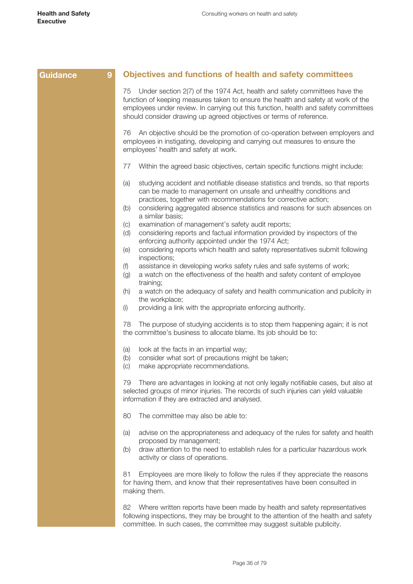| Guidance<br>9 | <b>Objectives and functions of health and safety committees</b>                                                                                                                                                                                                                                                                                                                                                                                                                                                                                                                                                                                                                                                                                                                                                                                                                                                                                                                                                  |
|---------------|------------------------------------------------------------------------------------------------------------------------------------------------------------------------------------------------------------------------------------------------------------------------------------------------------------------------------------------------------------------------------------------------------------------------------------------------------------------------------------------------------------------------------------------------------------------------------------------------------------------------------------------------------------------------------------------------------------------------------------------------------------------------------------------------------------------------------------------------------------------------------------------------------------------------------------------------------------------------------------------------------------------|
|               | Under section 2(7) of the 1974 Act, health and safety committees have the<br>75<br>function of keeping measures taken to ensure the health and safety at work of the<br>employees under review. In carrying out this function, health and safety committees<br>should consider drawing up agreed objectives or terms of reference.                                                                                                                                                                                                                                                                                                                                                                                                                                                                                                                                                                                                                                                                               |
|               | An objective should be the promotion of co-operation between employers and<br>76<br>employees in instigating, developing and carrying out measures to ensure the<br>employees' health and safety at work.                                                                                                                                                                                                                                                                                                                                                                                                                                                                                                                                                                                                                                                                                                                                                                                                        |
|               | 77<br>Within the agreed basic objectives, certain specific functions might include:                                                                                                                                                                                                                                                                                                                                                                                                                                                                                                                                                                                                                                                                                                                                                                                                                                                                                                                              |
|               | studying accident and notifiable disease statistics and trends, so that reports<br>(a)<br>can be made to management on unsafe and unhealthy conditions and<br>practices, together with recommendations for corrective action;<br>considering aggregated absence statistics and reasons for such absences on<br>(b)<br>a similar basis;<br>examination of management's safety audit reports;<br>(C)<br>considering reports and factual information provided by inspectors of the<br>(d)<br>enforcing authority appointed under the 1974 Act;<br>considering reports which health and safety representatives submit following<br>(e)<br>inspections;<br>assistance in developing works safety rules and safe systems of work;<br>(f)<br>a watch on the effectiveness of the health and safety content of employee<br>(g)<br>training;<br>a watch on the adequacy of safety and health communication and publicity in<br>(h)<br>the workplace;<br>(i)<br>providing a link with the appropriate enforcing authority. |
|               | The purpose of studying accidents is to stop them happening again; it is not<br>78<br>the committee's business to allocate blame. Its job should be to:                                                                                                                                                                                                                                                                                                                                                                                                                                                                                                                                                                                                                                                                                                                                                                                                                                                          |
|               | (a)<br>look at the facts in an impartial way;<br>(b)<br>consider what sort of precautions might be taken;<br>(C)<br>make appropriate recommendations.<br>There are advantages in looking at not only legally notifiable cases, but also at<br>79<br>selected groups of minor injuries. The records of such injuries can yield valuable<br>information if they are extracted and analysed.                                                                                                                                                                                                                                                                                                                                                                                                                                                                                                                                                                                                                        |
|               | 80<br>The committee may also be able to:                                                                                                                                                                                                                                                                                                                                                                                                                                                                                                                                                                                                                                                                                                                                                                                                                                                                                                                                                                         |
|               | advise on the appropriateness and adequacy of the rules for safety and health<br>(a)<br>proposed by management;<br>draw attention to the need to establish rules for a particular hazardous work<br>(b)<br>activity or class of operations.                                                                                                                                                                                                                                                                                                                                                                                                                                                                                                                                                                                                                                                                                                                                                                      |
|               | 81<br>Employees are more likely to follow the rules if they appreciate the reasons<br>for having them, and know that their representatives have been consulted in<br>making them.                                                                                                                                                                                                                                                                                                                                                                                                                                                                                                                                                                                                                                                                                                                                                                                                                                |

82 Where written reports have been made by health and safety representatives following inspections, they may be brought to the attention of the health and safety committee. In such cases, the committee may suggest suitable publicity.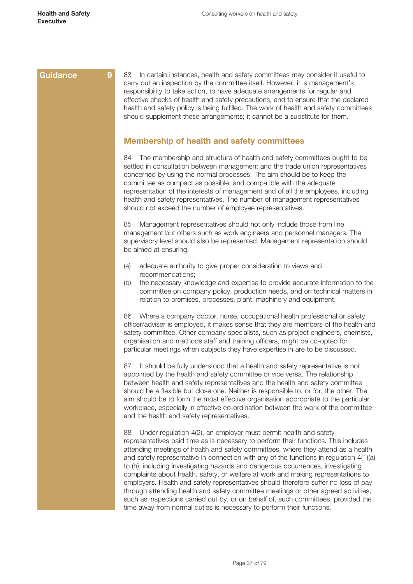| Guidance | 9<br>In certain instances, health and safety committees may consider it useful to<br>83<br>carry out an inspection by the committee itself. However, it is management's<br>responsibility to take action, to have adequate arrangements for regular and<br>effective checks of health and safety precautions, and to ensure that the declared<br>health and safety policy is being fulfilled. The work of health and safety committees<br>should supplement these arrangements; it cannot be a substitute for them.                                                                                                                                                                                                                                                                                                                                                  |
|----------|----------------------------------------------------------------------------------------------------------------------------------------------------------------------------------------------------------------------------------------------------------------------------------------------------------------------------------------------------------------------------------------------------------------------------------------------------------------------------------------------------------------------------------------------------------------------------------------------------------------------------------------------------------------------------------------------------------------------------------------------------------------------------------------------------------------------------------------------------------------------|
|          | <b>Membership of health and safety committees</b>                                                                                                                                                                                                                                                                                                                                                                                                                                                                                                                                                                                                                                                                                                                                                                                                                    |
|          | The membership and structure of health and safety committees ought to be<br>84<br>settled in consultation between management and the trade union representatives<br>concerned by using the normal processes. The aim should be to keep the<br>committee as compact as possible, and compatible with the adequate<br>representation of the interests of management and of all the employees, including<br>health and safety representatives. The number of management representatives<br>should not exceed the number of employee representatives.                                                                                                                                                                                                                                                                                                                    |
|          | Management representatives should not only include those from line<br>85<br>management but others such as work engineers and personnel managers. The<br>supervisory level should also be represented. Management representation should<br>be aimed at ensuring:                                                                                                                                                                                                                                                                                                                                                                                                                                                                                                                                                                                                      |
|          | adequate authority to give proper consideration to views and<br>(a)<br>recommendations;<br>the necessary knowledge and expertise to provide accurate information to the<br>(b)<br>committee on company policy, production needs, and on technical matters in<br>relation to premises, processes, plant, machinery and equipment.                                                                                                                                                                                                                                                                                                                                                                                                                                                                                                                                     |
|          | Where a company doctor, nurse, occupational health professional or safety<br>86<br>officer/adviser is employed, it makes sense that they are members of the health and<br>safety committee. Other company specialists, such as project engineers, chemists,<br>organisation and methods staff and training officers, might be co-opted for<br>particular meetings when subjects they have expertise in are to be discussed.                                                                                                                                                                                                                                                                                                                                                                                                                                          |
|          | It should be fully understood that a health and safety representative is not<br>87<br>appointed by the health and safety committee or vice versa. The relationship<br>between health and safety representatives and the health and safety committee<br>should be a flexible but close one. Neither is responsible to, or for, the other. The<br>aim should be to form the most effective organisation appropriate to the particular<br>workplace, especially in effective co-ordination between the work of the committee<br>and the health and safety representatives.                                                                                                                                                                                                                                                                                              |
|          | Under regulation 4(2), an employer must permit health and safety<br>88<br>representatives paid time as is necessary to perform their functions. This includes<br>attending meetings of health and safety committees, where they attend as a health<br>and safety representative in connection with any of the functions in regulation $4(1)(a)$<br>to (h), including investigating hazards and dangerous occurrences, investigating<br>complaints about health, safety, or welfare at work and making representations to<br>employers. Health and safety representatives should therefore suffer no loss of pay<br>through attending health and safety committee meetings or other agreed activities,<br>such as inspections carried out by, or on behalf of, such committees, provided the<br>time away from normal duties is necessary to perform their functions. |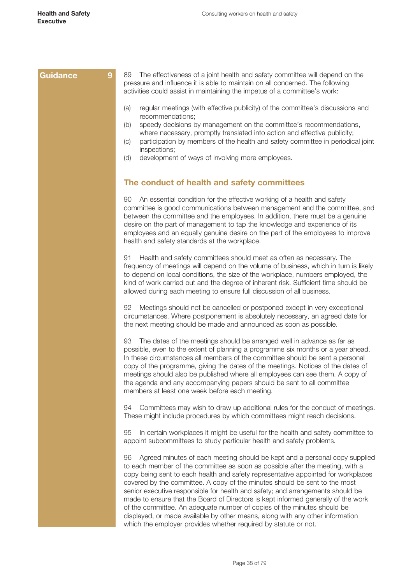| 9<br>Guidance | 89<br>The effectiveness of a joint health and safety committee will depend on the<br>pressure and influence it is able to maintain on all concerned. The following<br>activities could assist in maintaining the impetus of a committee's work:                                                                                                                                                                                                                                                                                                                                                                                                                                                                                            |
|---------------|--------------------------------------------------------------------------------------------------------------------------------------------------------------------------------------------------------------------------------------------------------------------------------------------------------------------------------------------------------------------------------------------------------------------------------------------------------------------------------------------------------------------------------------------------------------------------------------------------------------------------------------------------------------------------------------------------------------------------------------------|
|               | regular meetings (with effective publicity) of the committee's discussions and<br>(a)<br>recommendations;<br>speedy decisions by management on the committee's recommendations,<br>(b)<br>where necessary, promptly translated into action and effective publicity;<br>participation by members of the health and safety committee in periodical joint<br>(c)<br>inspections;<br>development of ways of involving more employees.<br>(d)                                                                                                                                                                                                                                                                                                   |
|               | The conduct of health and safety committees                                                                                                                                                                                                                                                                                                                                                                                                                                                                                                                                                                                                                                                                                                |
|               | An essential condition for the effective working of a health and safety<br>90<br>committee is good communications between management and the committee, and<br>between the committee and the employees. In addition, there must be a genuine<br>desire on the part of management to tap the knowledge and experience of its<br>employees and an equally genuine desire on the part of the employees to improve<br>health and safety standards at the workplace.                                                                                                                                                                                                                                                                            |
|               | Health and safety committees should meet as often as necessary. The<br>91<br>frequency of meetings will depend on the volume of business, which in turn is likely<br>to depend on local conditions, the size of the workplace, numbers employed, the<br>kind of work carried out and the degree of inherent risk. Sufficient time should be<br>allowed during each meeting to ensure full discussion of all business.                                                                                                                                                                                                                                                                                                                      |
|               | Meetings should not be cancelled or postponed except in very exceptional<br>92<br>circumstances. Where postponement is absolutely necessary, an agreed date for<br>the next meeting should be made and announced as soon as possible.                                                                                                                                                                                                                                                                                                                                                                                                                                                                                                      |
|               | The dates of the meetings should be arranged well in advance as far as<br>93<br>possible, even to the extent of planning a programme six months or a year ahead.<br>In these circumstances all members of the committee should be sent a personal<br>copy of the programme, giving the dates of the meetings. Notices of the dates of<br>meetings should also be published where all employees can see them. A copy of<br>the agenda and any accompanying papers should be sent to all committee<br>members at least one week before each meeting.                                                                                                                                                                                         |
|               | Committees may wish to draw up additional rules for the conduct of meetings.<br>94<br>These might include procedures by which committees might reach decisions.                                                                                                                                                                                                                                                                                                                                                                                                                                                                                                                                                                            |
|               | In certain workplaces it might be useful for the health and safety committee to<br>95<br>appoint subcommittees to study particular health and safety problems.                                                                                                                                                                                                                                                                                                                                                                                                                                                                                                                                                                             |
|               | Agreed minutes of each meeting should be kept and a personal copy supplied<br>96<br>to each member of the committee as soon as possible after the meeting, with a<br>copy being sent to each health and safety representative appointed for workplaces<br>covered by the committee. A copy of the minutes should be sent to the most<br>senior executive responsible for health and safety; and arrangements should be<br>made to ensure that the Board of Directors is kept informed generally of the work<br>of the committee. An adequate number of copies of the minutes should be<br>displayed, or made available by other means, along with any other information<br>which the employer provides whether required by statute or not. |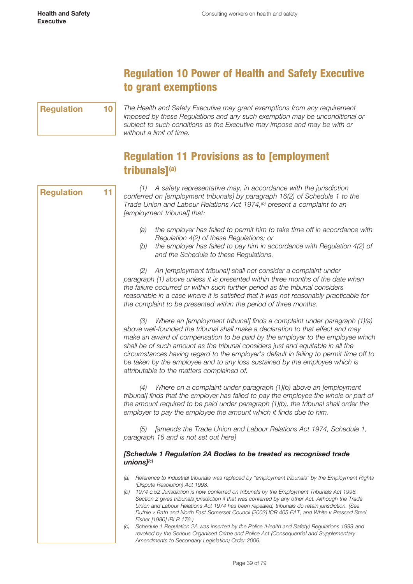# Regulation 10 Power of Health and Safety Executive to grant exemptions

**Regulation 10**

*The Health and Safety Executive may grant exemptions from any requirement imposed by these Regulations and any such exemption may be unconditional or subject to such conditions as the Executive may impose and may be with or without a limit of time.*

# Regulation 11 Provisions as to [employment tribunals](a)

| <b>Regulation</b> | 11 | (1) A safety representative may, in accordance with the jurisdiction<br>conferred on [employment tribunals] by paragraph 16(2) of Schedule 1 to the<br>Trade Union and Labour Relations Act 1974, <sup>(b)</sup> present a complaint to an<br>[employment tribunal] that:                                                                                                                                                                                                                                                                                     |
|-------------------|----|---------------------------------------------------------------------------------------------------------------------------------------------------------------------------------------------------------------------------------------------------------------------------------------------------------------------------------------------------------------------------------------------------------------------------------------------------------------------------------------------------------------------------------------------------------------|
|                   |    | the employer has failed to permit him to take time off in accordance with<br>(a)<br>Regulation 4(2) of these Regulations; or<br>the employer has failed to pay him in accordance with Regulation 4(2) of<br>(b)<br>and the Schedule to these Regulations.                                                                                                                                                                                                                                                                                                     |
|                   |    | An [employment tribunal] shall not consider a complaint under<br>(2)<br>paragraph (1) above unless it is presented within three months of the date when<br>the failure occurred or within such further period as the tribunal considers<br>reasonable in a case where it is satisfied that it was not reasonably practicable for<br>the complaint to be presented within the period of three months.                                                                                                                                                          |
|                   |    | Where an [employment tribunal] finds a complaint under paragraph (1)(a)<br>(3)<br>above well-founded the tribunal shall make a declaration to that effect and may<br>make an award of compensation to be paid by the employer to the employee which<br>shall be of such amount as the tribunal considers just and equitable in all the<br>circumstances having regard to the employer's default in failing to permit time off to<br>be taken by the employee and to any loss sustained by the employee which is<br>attributable to the matters complained of. |
|                   |    | Where on a complaint under paragraph (1)(b) above an [employment<br>(4)<br>tribunal] finds that the employer has failed to pay the employee the whole or part of<br>the amount required to be paid under paragraph (1)(b), the tribunal shall order the<br>employer to pay the employee the amount which it finds due to him.                                                                                                                                                                                                                                 |
|                   |    | [amends the Trade Union and Labour Relations Act 1974, Schedule 1,<br>(5)<br>paragraph 16 and is not set out here]                                                                                                                                                                                                                                                                                                                                                                                                                                            |
|                   |    | [Schedule 1 Regulation 2A Bodies to be treated as recognised trade<br>unions](c)                                                                                                                                                                                                                                                                                                                                                                                                                                                                              |
|                   |    | (a) Reference to industrial tribunals was replaced by "employment tribunals" by the Employment Rights<br>(Dispute Resolution) Act 1998.                                                                                                                                                                                                                                                                                                                                                                                                                       |
|                   |    | 1974 c.52 Jurisdiction is now conferred on tribunals by the Employment Tribunals Act 1996.<br>(b)<br>Section 2 gives tribunals jurisdiction if that was conferred by any other Act. Although the Trade<br>Union and Labour Relations Act 1974 has been repealed, tribunals do retain jurisdiction. (See<br>Duthie v Bath and North East Somerset Council [2003] ICR 405 EAT, and White v Pressed Steel<br>Fisher [1980] IRLR 176.)                                                                                                                            |
|                   |    | Schedule 1 Regulation 2A was inserted by the Police (Health and Safety) Regulations 1999 and<br>(c)<br>revoked by the Serious Organised Crime and Police Act (Consequential and Supplementary<br>Amendments to Secondary Legislation) Order 2006.                                                                                                                                                                                                                                                                                                             |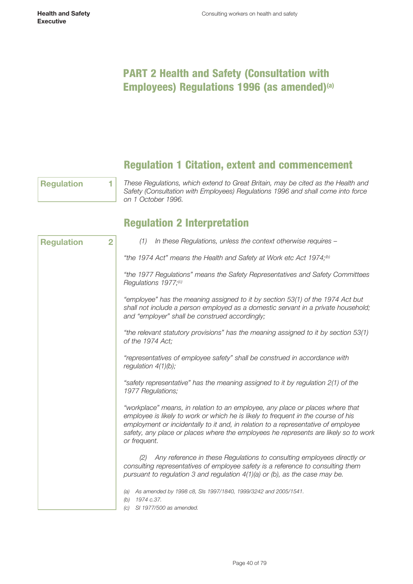## PART 2 Health and Safety (Consultation with Employees) Regulations 1996 (as amended)<sup>(a)</sup>

## Regulation 1 Citation, extent and commencement

**Regulation 1**

*These Regulations, which extend to Great Britain, may be cited as the Health and Safety (Consultation with Employees) Regulations 1996 and shall come into force on 1 October 1996.*

## Regulation 2 Interpretation

| <b>Regulation</b> | $\overline{2}$ | In these Regulations, unless the context otherwise requires -<br>(1)                                                                                                                                                                                                                                                                                           |
|-------------------|----------------|----------------------------------------------------------------------------------------------------------------------------------------------------------------------------------------------------------------------------------------------------------------------------------------------------------------------------------------------------------------|
|                   |                | "the 1974 Act" means the Health and Safety at Work etc Act 1974; <sup>(b)</sup>                                                                                                                                                                                                                                                                                |
|                   |                | "the 1977 Regulations" means the Safety Representatives and Safety Committees<br>Regulations 1977;(c)                                                                                                                                                                                                                                                          |
|                   |                | "employee" has the meaning assigned to it by section 53(1) of the 1974 Act but<br>shall not include a person employed as a domestic servant in a private household;<br>and "employer" shall be construed accordingly;                                                                                                                                          |
|                   |                | "the relevant statutory provisions" has the meaning assigned to it by section 53(1)<br>of the 1974 Act;                                                                                                                                                                                                                                                        |
|                   |                | "representatives of employee safety" shall be construed in accordance with<br>regulation $4(1)(b)$ ;                                                                                                                                                                                                                                                           |
|                   |                | "safety representative" has the meaning assigned to it by regulation 2(1) of the<br>1977 Regulations;                                                                                                                                                                                                                                                          |
|                   |                | "workplace" means, in relation to an employee, any place or places where that<br>employee is likely to work or which he is likely to frequent in the course of his<br>employment or incidentally to it and, in relation to a representative of employee<br>safety, any place or places where the employees he represents are likely so to work<br>or frequent. |
|                   |                | Any reference in these Regulations to consulting employees directly or<br>(2)<br>consulting representatives of employee safety is a reference to consulting them<br>pursuant to regulation 3 and regulation $4(1)(a)$ or (b), as the case may be.                                                                                                              |
|                   |                | As amended by 1998 c8, Sls 1997/1840, 1999/3242 and 2005/1541.<br>(a)<br>1974 c.37.<br>(b)<br>SI 1977/500 as amended.<br>(C)                                                                                                                                                                                                                                   |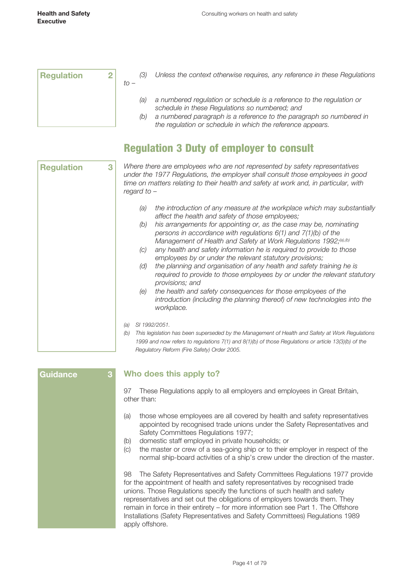| <b>Regulation</b> | 2 | to |
|-------------------|---|----|
|                   |   |    |

- *(3) Unless the context otherwise requires, any reference in these Regulations*
- *(a) a numbered regulation or schedule is a reference to the regulation or schedule in these Regulations so numbered; and*
- *(b) a numbered paragraph is a reference to the paragraph so numbered in the regulation or schedule in which the reference appears.*

## Regulation 3 Duty of employer to consult

| <b>Regulation</b> | 3 | Where there are employees who are not represented by safety representatives<br>under the 1977 Regulations, the employer shall consult those employees in good<br>time on matters relating to their health and safety at work and, in particular, with<br>regard to $-$<br>the introduction of any measure at the workplace which may substantially<br>(a)<br>affect the health and safety of those employees;<br>his arrangements for appointing or, as the case may be, nominating<br>(b)<br>persons in accordance with regulations $6(1)$ and $7(1)(b)$ of the<br>Management of Health and Safety at Work Regulations 1992; <sup>(a),(b)</sup><br>any health and safety information he is required to provide to those<br>(C) |
|-------------------|---|---------------------------------------------------------------------------------------------------------------------------------------------------------------------------------------------------------------------------------------------------------------------------------------------------------------------------------------------------------------------------------------------------------------------------------------------------------------------------------------------------------------------------------------------------------------------------------------------------------------------------------------------------------------------------------------------------------------------------------|
|                   |   | employees by or under the relevant statutory provisions;<br>the planning and organisation of any health and safety training he is<br>(d)<br>required to provide to those employees by or under the relevant statutory<br>provisions; and<br>the health and safety consequences for those employees of the<br>(e)<br>introduction (including the planning thereof) of new technologies into the<br>workplace.<br>SI 1992/2051.<br>(a)<br>This legislation has been superseded by the Management of Health and Safety at Work Regulations<br>(b)<br>1999 and now refers to regulations 7(1) and 8(1)(b) of those Regulations or article 13(3)(b) of the<br>Regulatory Reform (Fire Safety) Order 2005.                            |

| <b>Guidance</b> | 3 |  |
|-----------------|---|--|
|                 |   |  |
|                 |   |  |
|                 |   |  |
|                 |   |  |
|                 |   |  |
|                 |   |  |
|                 |   |  |
|                 |   |  |
|                 |   |  |
|                 |   |  |
|                 |   |  |
|                 |   |  |
|                 |   |  |

## **Who does this apply to?**

97 These Regulations apply to all employers and employees in Great Britain, other than:

- (a) those whose employees are all covered by health and safety representatives appointed by recognised trade unions under the Safety Representatives and Safety Committees Regulations 1977;
- (b) domestic staff employed in private households; or
- (c) the master or crew of a sea-going ship or to their employer in respect of the normal ship-board activities of a ship's crew under the direction of the master.

98 The Safety Representatives and Safety Committees Regulations 1977 provide for the appointment of health and safety representatives by recognised trade unions. Those Regulations specify the functions of such health and safety representatives and set out the obligations of employers towards them. They remain in force in their entirety – for more information see Part 1. The Offshore Installations (Safety Representatives and Safety Committees) Regulations 1989 apply offshore.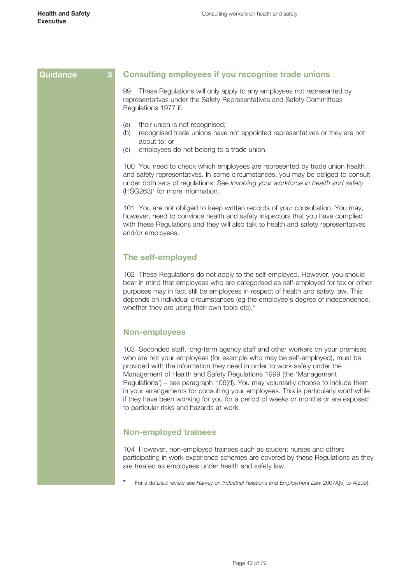| <b>Guidance</b><br>3 | Consulting employees if you recognise trade unions                                                                                                                                                                                                                                                                                                                                                                                                                                                                                                                                                                       |
|----------------------|--------------------------------------------------------------------------------------------------------------------------------------------------------------------------------------------------------------------------------------------------------------------------------------------------------------------------------------------------------------------------------------------------------------------------------------------------------------------------------------------------------------------------------------------------------------------------------------------------------------------------|
|                      | These Regulations will only apply to any employees not represented by<br>99<br>representatives under the Safety Representatives and Safety Committees<br>Regulations 1977 if:                                                                                                                                                                                                                                                                                                                                                                                                                                            |
|                      | their union is not recognised;<br>(a)<br>recognised trade unions have not appointed representatives or they are not<br>(b)<br>about to; or<br>employees do not belong to a trade union.<br>(C)                                                                                                                                                                                                                                                                                                                                                                                                                           |
|                      | 100 You need to check which employees are represented by trade union health<br>and safety representatives. In some circumstances, you may be obliged to consult<br>under both sets of regulations. See Involving your workforce in health and safety<br>(HSG263) <sup>1</sup> for more information.                                                                                                                                                                                                                                                                                                                      |
|                      | 101 You are not obliged to keep written records of your consultation. You may,<br>however, need to convince health and safety inspectors that you have complied<br>with these Regulations and they will also talk to health and safety representatives<br>and/or employees.                                                                                                                                                                                                                                                                                                                                              |
|                      | The self-employed                                                                                                                                                                                                                                                                                                                                                                                                                                                                                                                                                                                                        |
|                      | 102 These Regulations do not apply to the self-employed. However, you should<br>bear in mind that employees who are categorised as self-employed for tax or other<br>purposes may in fact still be employees in respect of health and safety law. This<br>depends on individual circumstances (eg the employee's degree of independence,<br>whether they are using their own tools etc).*                                                                                                                                                                                                                                |
|                      | <b>Non-employees</b>                                                                                                                                                                                                                                                                                                                                                                                                                                                                                                                                                                                                     |
|                      | 103 Seconded staff, long-term agency staff and other workers on your premises<br>who are not your employees (for example who may be self-employed), must be<br>provided with the information they need in order to work safely under the<br>Management of Health and Safety Regulations 1999 (the 'Management<br>Regulations') – see paragraph 106(d). You may voluntarily choose to include them<br>in your arrangements for consulting your employees. This is particularly worthwhile<br>if they have been working for you for a period of weeks or months or are exposed<br>to particular risks and hazards at work. |
|                      | <b>Non-employed trainees</b>                                                                                                                                                                                                                                                                                                                                                                                                                                                                                                                                                                                             |
|                      | 104 However, non-employed trainees such as student nurses and others<br>participating in work experience schemes are covered by these Regulations as they<br>are treated as employees under health and safety law.                                                                                                                                                                                                                                                                                                                                                                                                       |
|                      | $\ast$<br>For a detailed review see Harvey on Industrial Relations and Employment Law 2007A[5] to A[209]. <sup>5</sup>                                                                                                                                                                                                                                                                                                                                                                                                                                                                                                   |
|                      |                                                                                                                                                                                                                                                                                                                                                                                                                                                                                                                                                                                                                          |
|                      |                                                                                                                                                                                                                                                                                                                                                                                                                                                                                                                                                                                                                          |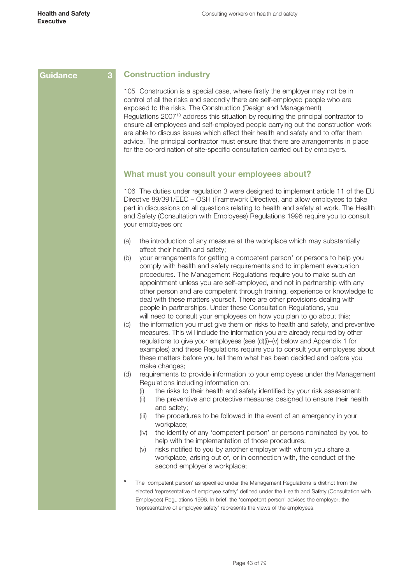| <b>Guidance</b> | <b>Construction industry</b>                                                                                                                                                                                                                                                                                                                                                                                                                                                                                                                                                                                                                                                                                                                                                                                                                                                                                                                                     |  |
|-----------------|------------------------------------------------------------------------------------------------------------------------------------------------------------------------------------------------------------------------------------------------------------------------------------------------------------------------------------------------------------------------------------------------------------------------------------------------------------------------------------------------------------------------------------------------------------------------------------------------------------------------------------------------------------------------------------------------------------------------------------------------------------------------------------------------------------------------------------------------------------------------------------------------------------------------------------------------------------------|--|
|                 | 105 Construction is a special case, where firstly the employer may not be in<br>control of all the risks and secondly there are self-employed people who are<br>exposed to the risks. The Construction (Design and Management)<br>Regulations 2007 <sup>10</sup> address this situation by requiring the principal contractor to<br>ensure all employees and self-employed people carrying out the construction work<br>are able to discuss issues which affect their health and safety and to offer them<br>advice. The principal contractor must ensure that there are arrangements in place<br>for the co-ordination of site-specific consultation carried out by employers.                                                                                                                                                                                                                                                                                  |  |
|                 | What must you consult your employees about?                                                                                                                                                                                                                                                                                                                                                                                                                                                                                                                                                                                                                                                                                                                                                                                                                                                                                                                      |  |
|                 | 106 The duties under regulation 3 were designed to implement article 11 of the EU<br>Directive 89/391/EEC - OSH (Framework Directive), and allow employees to take<br>part in discussions on all questions relating to health and safety at work. The Health<br>and Safety (Consultation with Employees) Regulations 1996 require you to consult<br>your employees on:                                                                                                                                                                                                                                                                                                                                                                                                                                                                                                                                                                                           |  |
|                 | the introduction of any measure at the workplace which may substantially<br>(a)<br>affect their health and safety;                                                                                                                                                                                                                                                                                                                                                                                                                                                                                                                                                                                                                                                                                                                                                                                                                                               |  |
|                 | your arrangements for getting a competent person* or persons to help you<br>(b)<br>comply with health and safety requirements and to implement evacuation<br>procedures. The Management Regulations require you to make such an<br>appointment unless you are self-employed, and not in partnership with any<br>other person and are competent through training, experience or knowledge to<br>deal with these matters yourself. There are other provisions dealing with<br>people in partnerships. Under these Consultation Regulations, you<br>will need to consult your employees on how you plan to go about this;<br>the information you must give them on risks to health and safety, and preventive<br>(C)<br>measures. This will include the information you are already required by other<br>regulations to give your employees (see (d)(i)-(v) below and Appendix 1 for<br>examples) and these Regulations require you to consult your employees about |  |
|                 | these matters before you tell them what has been decided and before you<br>make changes;<br>requirements to provide information to your employees under the Management<br>(d)<br>Regulations including information on:                                                                                                                                                                                                                                                                                                                                                                                                                                                                                                                                                                                                                                                                                                                                           |  |
|                 | the risks to their health and safety identified by your risk assessment;<br>(i)<br>(ii)<br>the preventive and protective measures designed to ensure their health<br>and safety;<br>the procedures to be followed in the event of an emergency in your<br>(iii)<br>workplace;<br>the identity of any 'competent person' or persons nominated by you to<br>(iv)<br>help with the implementation of those procedures;<br>risks notified to you by another employer with whom you share a<br>(v)<br>workplace, arising out of, or in connection with, the conduct of the<br>second employer's workplace;                                                                                                                                                                                                                                                                                                                                                            |  |
|                 | *<br>The 'competent person' as specified under the Management Regulations is distinct from the<br>elected 'representative of employee safety' defined under the Health and Safety (Consultation with<br>Employees) Regulations 1996. In brief, the 'competent person' advises the employer; the<br>'representative of employee safety' represents the views of the employees.                                                                                                                                                                                                                                                                                                                                                                                                                                                                                                                                                                                    |  |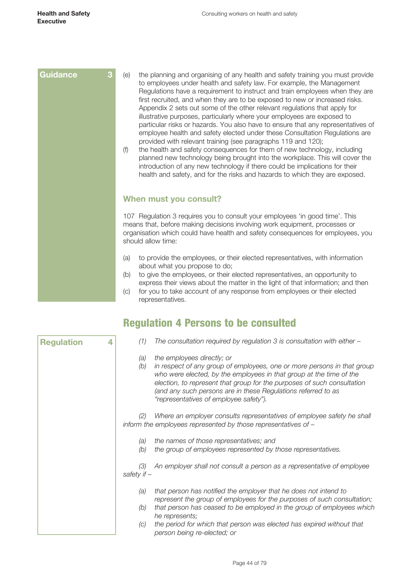| Guidance | the planning and organising of any health and safety training you must provide<br>(e)<br>to employees under health and safety law. For example, the Management<br>Regulations have a requirement to instruct and train employees when they are<br>first recruited, and when they are to be exposed to new or increased risks.<br>Appendix 2 sets out some of the other relevant regulations that apply for<br>illustrative purposes, particularly where your employees are exposed to<br>particular risks or hazards. You also have to ensure that any representatives of<br>employee health and safety elected under these Consultation Regulations are<br>provided with relevant training (see paragraphs 119 and 120);<br>(f)<br>the health and safety consequences for them of new technology, including<br>planned new technology being brought into the workplace. This will cover the<br>introduction of any new technology if there could be implications for their<br>health and safety, and for the risks and hazards to which they are exposed. |
|----------|------------------------------------------------------------------------------------------------------------------------------------------------------------------------------------------------------------------------------------------------------------------------------------------------------------------------------------------------------------------------------------------------------------------------------------------------------------------------------------------------------------------------------------------------------------------------------------------------------------------------------------------------------------------------------------------------------------------------------------------------------------------------------------------------------------------------------------------------------------------------------------------------------------------------------------------------------------------------------------------------------------------------------------------------------------|
|          | When must you consult?                                                                                                                                                                                                                                                                                                                                                                                                                                                                                                                                                                                                                                                                                                                                                                                                                                                                                                                                                                                                                                     |
|          | 107 Regulation 3 requires you to consult your employees 'in good time'. This<br>means that, before making decisions involving work equipment, processes or<br>organisation which could have health and safety consequences for employees, you<br>should allow time:                                                                                                                                                                                                                                                                                                                                                                                                                                                                                                                                                                                                                                                                                                                                                                                        |
|          | to provide the employees, or their elected representatives, with information<br>(a)<br>about what you propose to do;<br>to give the employees, or their elected representatives, an opportunity to<br>(b)<br>express their views about the matter in the light of that information; and then<br>for you to take account of any response from employees or their elected<br>(C)<br>representatives.                                                                                                                                                                                                                                                                                                                                                                                                                                                                                                                                                                                                                                                         |

# Regulation 4 Persons to be consulted

| <b>Regulation</b> | 4 | (1)                  | The consultation required by regulation 3 is consultation with either $-$                                                                                                                                                                                                                                                                                          |
|-------------------|---|----------------------|--------------------------------------------------------------------------------------------------------------------------------------------------------------------------------------------------------------------------------------------------------------------------------------------------------------------------------------------------------------------|
|                   |   | (a)<br>(b)           | the employees directly; or<br>in respect of any group of employees, one or more persons in that group<br>who were elected, by the employees in that group at the time of the<br>election, to represent that group for the purposes of such consultation<br>(and any such persons are in these Regulations referred to as<br>"representatives of employee safety"). |
|                   |   | (2)                  | Where an employer consults representatives of employee safety he shall<br>inform the employees represented by those representatives of -                                                                                                                                                                                                                           |
|                   |   | (a)<br>(b)           | the names of those representatives; and<br>the group of employees represented by those representatives.                                                                                                                                                                                                                                                            |
|                   |   | (3)<br>safety if $-$ | An employer shall not consult a person as a representative of employee                                                                                                                                                                                                                                                                                             |
|                   |   | (a)<br>(b)           | that person has notified the employer that he does not intend to<br>represent the group of employees for the purposes of such consultation;<br>that person has ceased to be employed in the group of employees which                                                                                                                                               |
|                   |   | (C)                  | he represents;<br>the period for which that person was elected has expired without that<br>person being re-elected; or                                                                                                                                                                                                                                             |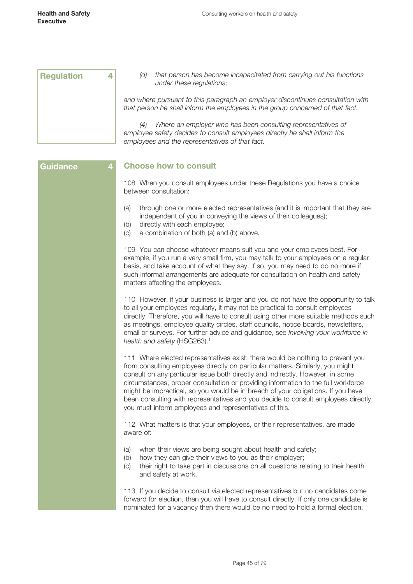

٠

*(d) that person has become incapacitated from carrying out his functions under these regulations;* 

*and where pursuant to this paragraph an employer discontinues consultation with that person he shall inform the employees in the group concerned of that fact.* 

*(4) Where an employer who has been consulting representatives of employee safety decides to consult employees directly he shall inform the employees and the representatives of that fact.*

| Guidance<br>4 | <b>Choose how to consult</b>                                                                                                                                                                                                                                                                                                                                                                                                                                                                                                                                                |
|---------------|-----------------------------------------------------------------------------------------------------------------------------------------------------------------------------------------------------------------------------------------------------------------------------------------------------------------------------------------------------------------------------------------------------------------------------------------------------------------------------------------------------------------------------------------------------------------------------|
|               | 108 When you consult employees under these Regulations you have a choice<br>between consultation:                                                                                                                                                                                                                                                                                                                                                                                                                                                                           |
|               | through one or more elected representatives (and it is important that they are<br>(a)<br>independent of you in conveying the views of their colleagues);<br>directly with each employee;<br>(b)<br>a combination of both (a) and (b) above.<br>(C)                                                                                                                                                                                                                                                                                                                          |
|               | 109 You can choose whatever means suit you and your employees best. For<br>example, if you run a very small firm, you may talk to your employees on a regular<br>basis, and take account of what they say. If so, you may need to do no more if<br>such informal arrangements are adequate for consultation on health and safety<br>matters affecting the employees.                                                                                                                                                                                                        |
|               | 110 However, if your business is larger and you do not have the opportunity to talk<br>to all your employees regularly, it may not be practical to consult employees<br>directly. Therefore, you will have to consult using other more suitable methods such<br>as meetings, employee quality circles, staff councils, notice boards, newsletters,<br>email or surveys. For further advice and guidance, see Involving your workforce in<br>health and safety (HSG263). <sup>1</sup>                                                                                        |
|               | 111 Where elected representatives exist, there would be nothing to prevent you<br>from consulting employees directly on particular matters. Similarly, you might<br>consult on any particular issue both directly and indirectly. However, in some<br>circumstances, proper consultation or providing information to the full workforce<br>might be impractical, so you would be in breach of your obligations. If you have<br>been consulting with representatives and you decide to consult employees directly,<br>you must inform employees and representatives of this. |
|               | 112 What matters is that your employees, or their representatives, are made<br>aware of:                                                                                                                                                                                                                                                                                                                                                                                                                                                                                    |
|               | when their views are being sought about health and safety;<br>(a)<br>how they can give their views to you as their employer;<br>(b)<br>their right to take part in discussions on all questions relating to their health<br>(C)<br>and safety at work.                                                                                                                                                                                                                                                                                                                      |
|               | 113 If you decide to consult via elected representatives but no candidates come<br>forward for election, then you will have to consult directly. If only one candidate is<br>nominated for a vacancy then there would be no need to hold a formal election.                                                                                                                                                                                                                                                                                                                 |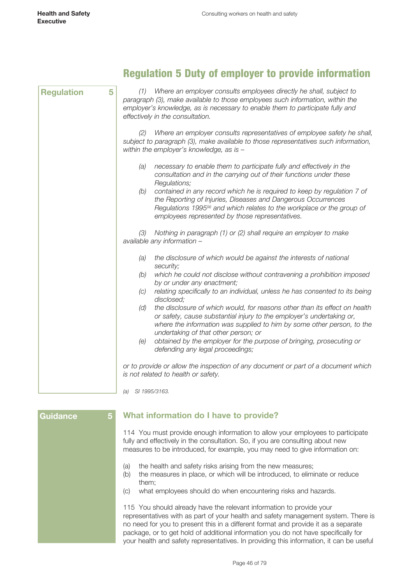## Regulation 5 Duty of employer to provide information

| <b>Regulation</b> | Where an employer consults employees directly he shall, subject to<br>5<br>(1)<br>paragraph (3), make available to those employees such information, within the<br>employer's knowledge, as is necessary to enable them to participate fully and<br>effectively in the consultation.<br>Where an employer consults representatives of employee safety he shall,<br>(2) |
|-------------------|------------------------------------------------------------------------------------------------------------------------------------------------------------------------------------------------------------------------------------------------------------------------------------------------------------------------------------------------------------------------|
|                   | subject to paragraph (3), make available to those representatives such information,<br>within the employer's knowledge, as is -                                                                                                                                                                                                                                        |
|                   | (a)<br>necessary to enable them to participate fully and effectively in the<br>consultation and in the carrying out of their functions under these<br>Regulations;                                                                                                                                                                                                     |
|                   | contained in any record which he is required to keep by regulation 7 of<br>(b)<br>the Reporting of Injuries, Diseases and Dangerous Occurrences<br>Regulations 1995 <sup>(a)</sup> and which relates to the workplace or the group of<br>employees represented by those representatives.                                                                               |
|                   | Nothing in paragraph (1) or (2) shall require an employer to make<br>(3)<br>available any information -                                                                                                                                                                                                                                                                |
|                   | the disclosure of which would be against the interests of national<br>(a)<br>security;                                                                                                                                                                                                                                                                                 |
|                   | which he could not disclose without contravening a prohibition imposed<br>(b)<br>by or under any enactment;                                                                                                                                                                                                                                                            |
|                   | relating specifically to an individual, unless he has consented to its being<br>(C)<br>disclosed;                                                                                                                                                                                                                                                                      |
|                   | (d)<br>the disclosure of which would, for reasons other than its effect on health<br>or safety, cause substantial injury to the employer's undertaking or,<br>where the information was supplied to him by some other person, to the<br>undertaking of that other person; or                                                                                           |
|                   | obtained by the employer for the purpose of bringing, prosecuting or<br>(e)<br>defending any legal proceedings;                                                                                                                                                                                                                                                        |
|                   | or to provide or allow the inspection of any document or part of a document which<br>is not related to health or safety.                                                                                                                                                                                                                                               |
|                   | SI 1995/3163.<br>(a)                                                                                                                                                                                                                                                                                                                                                   |
| Guidance          | What information do I have to provide?                                                                                                                                                                                                                                                                                                                                 |

#### **What information do I have to provide?**

114 You must provide enough information to allow your employees to participate fully and effectively in the consultation. So, if you are consulting about new measures to be introduced, for example, you may need to give information on:

- (a) the health and safety risks arising from the new measures;
- (b) the measures in place, or which will be introduced, to eliminate or reduce them;
- (c) what employees should do when encountering risks and hazards.

115 You should already have the relevant information to provide your representatives with as part of your health and safety management system. There is no need for you to present this in a different format and provide it as a separate package, or to get hold of additional information you do not have specifically for your health and safety representatives. In providing this information, it can be useful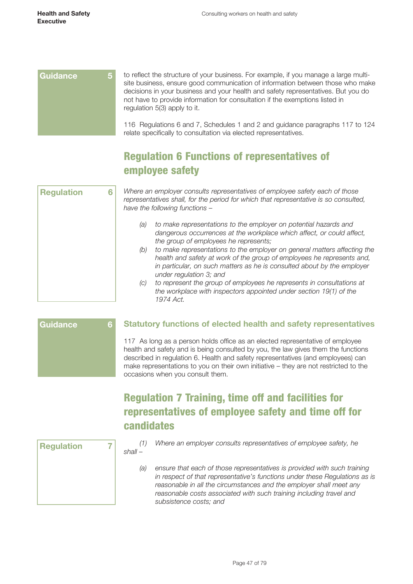to reflect the structure of your business. For example, if you manage a large multisite business, ensure good communication of information between those who make decisions in your business and your health and safety representatives. But you do not have to provide information for consultation if the exemptions listed in regulation 5(3) apply to it. 116 Regulations 6 and 7, Schedules 1 and 2 and guidance paragraphs 117 to 124 relate specifically to consultation via elected representatives. **Guidance 5**

# Regulation 6 Functions of representatives of employee safety

| 6<br><b>Regulation</b> |  | Where an employer consults representatives of employee safety each of those<br>representatives shall, for the period for which that representative is so consulted,<br>have the following functions -                                                           |
|------------------------|--|-----------------------------------------------------------------------------------------------------------------------------------------------------------------------------------------------------------------------------------------------------------------|
|                        |  | to make representations to the employer on potential hazards and<br>(a)<br>dangerous occurrences at the workplace which affect, or could affect,<br>the group of employees he represents;                                                                       |
|                        |  | to make representations to the employer on general matters affecting the<br>(b)<br>health and safety at work of the group of employees he represents and,<br>in particular, on such matters as he is consulted about by the employer<br>under regulation 3; and |
|                        |  | to represent the group of employees he represents in consultations at<br>(C)<br>the workplace with inspectors appointed under section 19(1) of the<br>1974 Act.                                                                                                 |

| <b>Guidance</b> | F |
|-----------------|---|
|                 |   |
|                 |   |
|                 |   |

## **Statutory functions of elected health and safety representatives**

117 As long as a person holds office as an elected representative of employee health and safety and is being consulted by you, the law gives them the functions described in regulation 6. Health and safety representatives (and employees) can make representations to you on their own initiative – they are not restricted to the occasions when you consult them.

# Regulation 7 Training, time off and facilities for representatives of employee safety and time off for candidates



*(1) Where an employer consults representatives of employee safety, he* 

*shall –* 

- 
- *(a) ensure that each of those representatives is provided with such training in respect of that representative's functions under these Regulations as is reasonable in all the circumstances and the employer shall meet any reasonable costs associated with such training including travel and subsistence costs; and*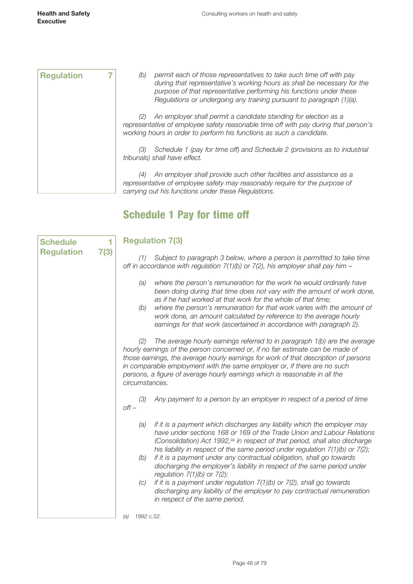**Schedule 1 Regulation 7(3)**



## Schedule 1 Pay for time off

## **Regulation 7(3)**

*(1) Subject to paragraph 3 below, where a person is permitted to take time off in accordance with regulation 7(1)(b) or 7(2), his employer shall pay him –* 

- *(a) where the person's remuneration for the work he would ordinarily have been doing during that time does not vary with the amount of work done, as if he had worked at that work for the whole of that time;*
- *(b) where the person's remuneration for that work varies with the amount of work done, an amount calculated by reference to the average hourly earnings for that work (ascertained in accordance with paragraph 2).*

*(2) The average hourly earnings referred to in paragraph 1(b) are the average hourly earnings of the person concerned or, if no fair estimate can be made of those earnings, the average hourly earnings for work of that description of persons in comparable employment with the same employer or, if there are no such persons, a figure of average hourly earnings which is reasonable in all the circumstances.* 

*(3) Any payment to a person by an employer in respect of a period of time off –* 

- *(a) if it is a payment which discharges any liability which the employer may have under sections 168 or 169 of the Trade Union and Labour Relations (Consolidation) Act 1992,<sup>(a)</sup> in respect of that period, shall also discharge his liability in respect of the same period under regulation 7(1)(b) or 7(2);*
- *(b) if it is a payment under any contractual obligation, shall go towards discharging the employer's liability in respect of the same period under regulation 7(1)(b) or 7(2);*
- *(c) if it is a payment under regulation 7(1)(b) or 7(2), shall go towards discharging any liability of the employer to pay contractual remuneration in respect of the same period.*

*(a) 1992 c.52.*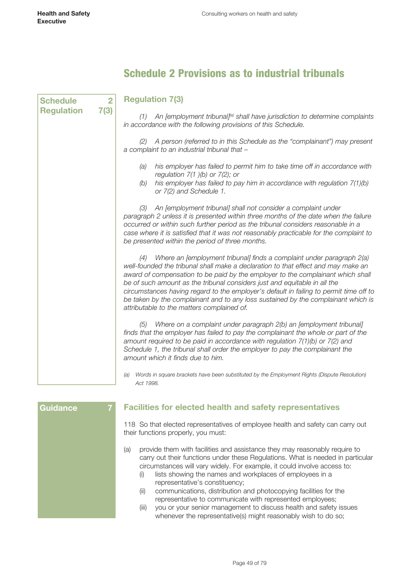## Schedule 2 Provisions as to industrial tribunals

| <b>Schedule</b>   | $\overline{2}$ | <b>Regulation 7(3)</b>                                                                                                                                                                                                                                                                                                                                                                                                                                                                                                                                         |  |  |
|-------------------|----------------|----------------------------------------------------------------------------------------------------------------------------------------------------------------------------------------------------------------------------------------------------------------------------------------------------------------------------------------------------------------------------------------------------------------------------------------------------------------------------------------------------------------------------------------------------------------|--|--|
| <b>Regulation</b> | 7(3)           | An [employment tribunal] <sup>(a)</sup> shall have jurisdiction to determine complaints<br>(1)<br>in accordance with the following provisions of this Schedule.                                                                                                                                                                                                                                                                                                                                                                                                |  |  |
|                   |                | A person (referred to in this Schedule as the "complainant") may present<br>(2)<br>a complaint to an industrial tribunal that -                                                                                                                                                                                                                                                                                                                                                                                                                                |  |  |
|                   |                | his employer has failed to permit him to take time off in accordance with<br>(a)<br>regulation $7(1)$ (b) or $7(2)$ ; or<br>(b)<br>his employer has failed to pay him in accordance with regulation 7(1)(b)<br>or 7(2) and Schedule 1.                                                                                                                                                                                                                                                                                                                         |  |  |
|                   |                | An [employment tribunal] shall not consider a complaint under<br>(3)<br>paragraph 2 unless it is presented within three months of the date when the failure<br>occurred or within such further period as the tribunal considers reasonable in a<br>case where it is satisfied that it was not reasonably practicable for the complaint to<br>be presented within the period of three months.                                                                                                                                                                   |  |  |
|                   |                | Where an [employment tribunal] finds a complaint under paragraph 2(a)<br>(4)<br>well-founded the tribunal shall make a declaration to that effect and may make an<br>award of compensation to be paid by the employer to the complainant which shall<br>be of such amount as the tribunal considers just and equitable in all the<br>circumstances having regard to the employer's default in failing to permit time off to<br>be taken by the complainant and to any loss sustained by the complainant which is<br>attributable to the matters complained of. |  |  |
|                   |                | Where on a complaint under paragraph 2(b) an [employment tribunal]<br>(5)<br>finds that the employer has failed to pay the complainant the whole or part of the<br>amount required to be paid in accordance with regulation $7(1)(b)$ or $7(2)$ and<br>Schedule 1, the tribunal shall order the employer to pay the complainant the<br>amount which it finds due to him.                                                                                                                                                                                       |  |  |
|                   |                | Words in square brackets have been substituted by the Employment Rights (Dispute Resolution)<br>(a)<br>Act 1998.                                                                                                                                                                                                                                                                                                                                                                                                                                               |  |  |
| <b>Guidance</b>   |                | <b>Facilities for elected health and safety representatives</b>                                                                                                                                                                                                                                                                                                                                                                                                                                                                                                |  |  |
|                   |                | 118 So that elected representatives of employee health and safety can carry out<br>their functions properly, you must:                                                                                                                                                                                                                                                                                                                                                                                                                                         |  |  |

- (a) provide them with facilities and assistance they may reasonably require to carry out their functions under these Regulations. What is needed in particular circumstances will vary widely. For example, it could involve access to:
	- (i) lists showing the names and workplaces of employees in a representative's constituency;
	- (ii) communications, distribution and photocopying facilities for the representative to communicate with represented employees;
	- (iii) you or your senior management to discuss health and safety issues whenever the representative(s) might reasonably wish to do so;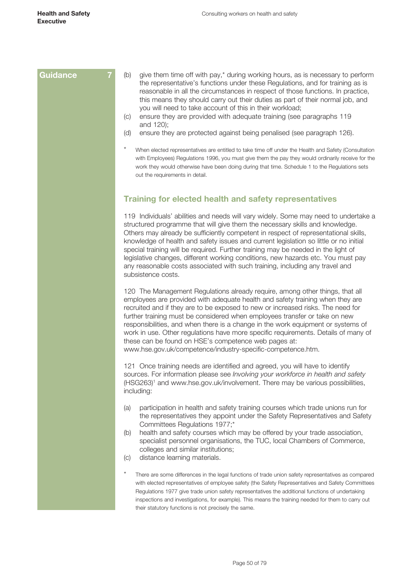| Guidance | give them time off with pay,* during working hours, as is necessary to perform<br>(b)<br>the representative's functions under these Regulations, and for training as is<br>reasonable in all the circumstances in respect of those functions. In practice,<br>this means they should carry out their duties as part of their normal job, and<br>you will need to take account of this in their workload;<br>ensure they are provided with adequate training (see paragraphs 119<br>(C)<br>and 120);<br>ensure they are protected against being penalised (see paragraph 126).<br>(d)<br>$\star$<br>When elected representatives are entitled to take time off under the Health and Safety (Consultation<br>with Employees) Regulations 1996, you must give them the pay they would ordinarily receive for the<br>work they would otherwise have been doing during that time. Schedule 1 to the Regulations sets<br>out the requirements in detail.                                                                                                                                                                                                                                                                                                                                                                |
|----------|-------------------------------------------------------------------------------------------------------------------------------------------------------------------------------------------------------------------------------------------------------------------------------------------------------------------------------------------------------------------------------------------------------------------------------------------------------------------------------------------------------------------------------------------------------------------------------------------------------------------------------------------------------------------------------------------------------------------------------------------------------------------------------------------------------------------------------------------------------------------------------------------------------------------------------------------------------------------------------------------------------------------------------------------------------------------------------------------------------------------------------------------------------------------------------------------------------------------------------------------------------------------------------------------------------------------|
|          | Training for elected health and safety representatives<br>119 Individuals' abilities and needs will vary widely. Some may need to undertake a<br>structured programme that will give them the necessary skills and knowledge.<br>Others may already be sufficiently competent in respect of representational skills,<br>knowledge of health and safety issues and current legislation so little or no initial<br>special training will be required. Further training may be needed in the light of<br>legislative changes, different working conditions, new hazards etc. You must pay<br>any reasonable costs associated with such training, including any travel and<br>subsistence costs.<br>120 The Management Regulations already require, among other things, that all<br>employees are provided with adequate health and safety training when they are<br>recruited and if they are to be exposed to new or increased risks. The need for<br>further training must be considered when employees transfer or take on new<br>responsibilities, and when there is a change in the work equipment or systems of<br>work in use. Other regulations have more specific requirements. Details of many of<br>these can be found on HSE's competence web pages at:                                                  |
|          | www.hse.gov.uk/competence/industry-specific-competence.htm.<br>121 Once training needs are identified and agreed, you will have to identify<br>sources. For information please see Involving your workforce in health and safety<br>(HSG263) <sup>1</sup> and www.hse.gov.uk/involvement. There may be various possibilities,<br>including:<br>participation in health and safety training courses which trade unions run for<br>(a)<br>the representatives they appoint under the Safety Representatives and Safety<br>Committees Regulations 1977;*<br>health and safety courses which may be offered by your trade association,<br>(b)<br>specialist personnel organisations, the TUC, local Chambers of Commerce,<br>colleges and similar institutions;<br>distance learning materials.<br>$\left( \circ \right)$<br>$^{\star}$<br>There are some differences in the legal functions of trade union safety representatives as compared<br>with elected representatives of employee safety (the Safety Representatives and Safety Committees<br>Regulations 1977 give trade union safety representatives the additional functions of undertaking<br>inspections and investigations, for example). This means the training needed for them to carry out<br>their statutory functions is not precisely the same. |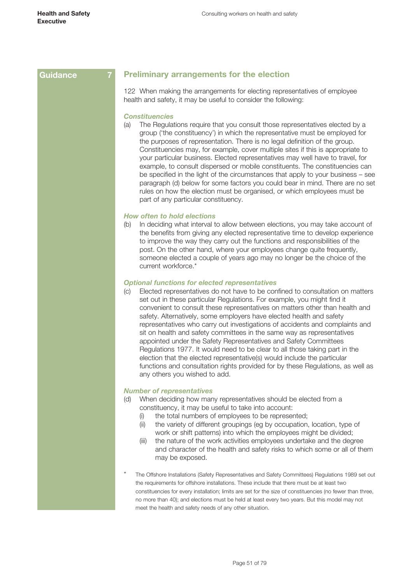| Guidance | <b>Preliminary arrangements for the election</b>                                                                                                                                                                                                                                                                                                                                                                                                                                                                                                                                                                                                                                                                                                                                                                                                                                              |
|----------|-----------------------------------------------------------------------------------------------------------------------------------------------------------------------------------------------------------------------------------------------------------------------------------------------------------------------------------------------------------------------------------------------------------------------------------------------------------------------------------------------------------------------------------------------------------------------------------------------------------------------------------------------------------------------------------------------------------------------------------------------------------------------------------------------------------------------------------------------------------------------------------------------|
|          | 122 When making the arrangements for electing representatives of employee<br>health and safety, it may be useful to consider the following:                                                                                                                                                                                                                                                                                                                                                                                                                                                                                                                                                                                                                                                                                                                                                   |
|          | <b>Constituencies</b><br>The Regulations require that you consult those representatives elected by a<br>(a)<br>group ('the constituency') in which the representative must be employed for<br>the purposes of representation. There is no legal definition of the group.<br>Constituencies may, for example, cover multiple sites if this is appropriate to<br>your particular business. Elected representatives may well have to travel, for<br>example, to consult dispersed or mobile constituents. The constituencies can<br>be specified in the light of the circumstances that apply to your business - see<br>paragraph (d) below for some factors you could bear in mind. There are no set<br>rules on how the election must be organised, or which employees must be<br>part of any particular constituency.                                                                         |
|          | <b>How often to hold elections</b><br>In deciding what interval to allow between elections, you may take account of<br>(b)<br>the benefits from giving any elected representative time to develop experience<br>to improve the way they carry out the functions and responsibilities of the<br>post. On the other hand, where your employees change quite frequently,<br>someone elected a couple of years ago may no longer be the choice of the<br>current workforce.*                                                                                                                                                                                                                                                                                                                                                                                                                      |
|          | <b>Optional functions for elected representatives</b><br>Elected representatives do not have to be confined to consultation on matters<br>(C)<br>set out in these particular Regulations. For example, you might find it<br>convenient to consult these representatives on matters other than health and<br>safety. Alternatively, some employers have elected health and safety<br>representatives who carry out investigations of accidents and complaints and<br>sit on health and safety committees in the same way as representatives<br>appointed under the Safety Representatives and Safety Committees<br>Regulations 1977. It would need to be clear to all those taking part in the<br>election that the elected representative(s) would include the particular<br>functions and consultation rights provided for by these Regulations, as well as<br>any others you wished to add. |
|          | <b>Number of representatives</b><br>When deciding how many representatives should be elected from a<br>(d)<br>constituency, it may be useful to take into account:<br>the total numbers of employees to be represented;<br>(i)<br>the variety of different groupings (eg by occupation, location, type of<br>(ii)<br>work or shift patterns) into which the employees might be divided;<br>the nature of the work activities employees undertake and the degree<br>(iii)<br>and character of the health and safety risks to which some or all of them<br>may be exposed.                                                                                                                                                                                                                                                                                                                      |
|          | The Offshore Installations (Safety Representatives and Safety Committees) Regulations 1989 set out<br>the requirements for offshore installations. These include that there must be at least two<br>constituencies for every installation; limits are set for the size of constituencies (no fewer than three,<br>no more than 40); and elections must be held at least every two years. But this model may not<br>meet the health and safety needs of any other situation.                                                                                                                                                                                                                                                                                                                                                                                                                   |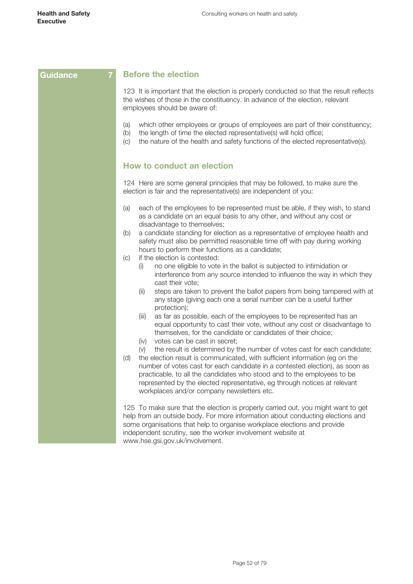| Guidance<br>7 | <b>Before the election</b>                                                                                                                                                                                                                                                                                                                                                                                                                                  |
|---------------|-------------------------------------------------------------------------------------------------------------------------------------------------------------------------------------------------------------------------------------------------------------------------------------------------------------------------------------------------------------------------------------------------------------------------------------------------------------|
|               | 123 It is important that the election is properly conducted so that the result reflects<br>the wishes of those in the constituency. In advance of the election, relevant<br>employees should be aware of:                                                                                                                                                                                                                                                   |
|               | which other employees or groups of employees are part of their constituency;<br>(a)<br>the length of time the elected representative(s) will hold office;<br>(b)<br>the nature of the health and safety functions of the elected representative(s).<br>(C)                                                                                                                                                                                                  |
|               | How to conduct an election                                                                                                                                                                                                                                                                                                                                                                                                                                  |
|               | 124 Here are some general principles that may be followed, to make sure the<br>election is fair and the representative(s) are independent of you:                                                                                                                                                                                                                                                                                                           |
|               | each of the employees to be represented must be able, if they wish, to stand<br>(a)<br>as a candidate on an equal basis to any other, and without any cost or<br>disadvantage to themselves;                                                                                                                                                                                                                                                                |
|               | a candidate standing for election as a representative of employee health and<br>(b)<br>safety must also be permitted reasonable time off with pay during working<br>hours to perform their functions as a candidate;<br>if the election is contested:<br>(C)                                                                                                                                                                                                |
|               | no one eligible to vote in the ballot is subjected to intimidation or<br>(i)<br>interference from any source intended to influence the way in which they<br>cast their vote;                                                                                                                                                                                                                                                                                |
|               | steps are taken to prevent the ballot papers from being tampered with at<br>(ii)<br>any stage (giving each one a serial number can be a useful further<br>protection);                                                                                                                                                                                                                                                                                      |
|               | as far as possible, each of the employees to be represented has an<br>(iii)<br>equal opportunity to cast their vote, without any cost or disadvantage to<br>themselves, for the candidate or candidates of their choice;<br>votes can be cast in secret;<br>(iv)                                                                                                                                                                                            |
|               | the result is determined by the number of votes cast for each candidate;<br>(v)<br>the election result is communicated, with sufficient information (eg on the<br>(d)<br>number of votes cast for each candidate in a contested election), as soon as<br>practicable, to all the candidates who stood and to the employees to be<br>represented by the elected representative, eg through notices at relevant<br>workplaces and/or company newsletters etc. |
|               | 125 To make sure that the election is properly carried out, you might want to get<br>help from an outside body. For more information about conducting elections and<br>some organisations that help to organise workplace elections and provide<br>independent scrutiny, see the worker involvement website at<br>www.hse.gsi.gov.uk/involvement.                                                                                                           |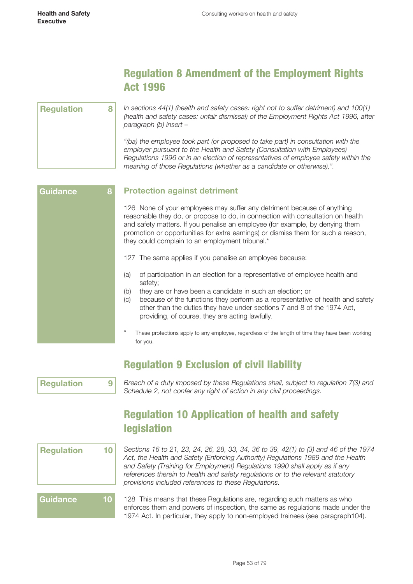# Regulation 8 Amendment of the Employment Rights Act 1996

# **Regulation 8**

**Guidance 8**

*In sections 44(1) (health and safety cases: right not to suffer detriment) and 100(1) (health and safety cases: unfair dismissal) of the Employment Rights Act 1996, after paragraph (b) insert –* 

*"(ba) the employee took part (or proposed to take part) in consultation with the employer pursuant to the Health and Safety (Consultation with Employees) Regulations 1996 or in an election of representatives of employee safety within the meaning of those Regulations (whether as a candidate or otherwise),".*

| 8 | <b>Protection against detriment</b> |  |  |
|---|-------------------------------------|--|--|
|   |                                     |  |  |

126 None of your employees may suffer any detriment because of anything reasonable they do, or propose to do, in connection with consultation on health and safety matters. If you penalise an employee (for example, by denying them promotion or opportunities for extra earnings) or dismiss them for such a reason, they could complain to an employment tribunal.\*

- 127 The same applies if you penalise an employee because:
- (a) of participation in an election for a representative of employee health and safety;
- (b) they are or have been a candidate in such an election; or
- (c) because of the functions they perform as a representative of health and safety other than the duties they have under sections 7 and 8 of the 1974 Act, providing, of course, they are acting lawfully.
- These protections apply to any employee, regardless of the length of time they have been working for you.

## Regulation 9 Exclusion of civil liability

**Regulation 9**

*Breach of a duty imposed by these Regulations shall, subject to regulation 7(3) and Schedule 2, not confer any right of action in any civil proceedings.*

# Regulation 10 Application of health and safety **legislation**

| <b>Regulation</b> | 10 |
|-------------------|----|
|                   |    |
|                   |    |

**Guidance 10**

*Sections 16 to 21, 23, 24, 26, 28, 33, 34, 36 to 39, 42(1) to (3) and 46 of the 1974 Act, the Health and Safety (Enforcing Authority) Regulations 1989 and the Health and Safety (Training for Employment) Regulations 1990 shall apply as if any references therein to health and safety regulations or to the relevant statutory provisions included references to these Regulations.* 

128 This means that these Regulations are, regarding such matters as who enforces them and powers of inspection, the same as regulations made under the 1974 Act. In particular, they apply to non-employed trainees (see paragraph104).

Page 53 of 79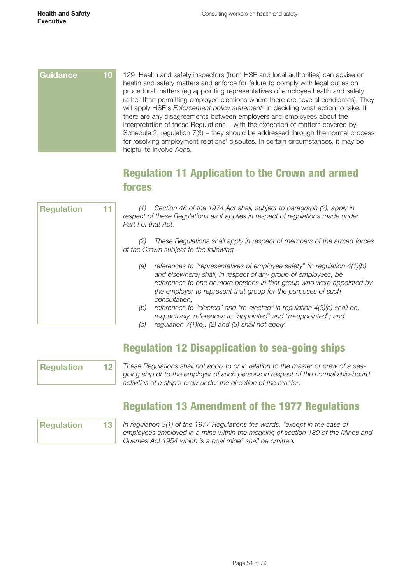

# Regulation 11 Application to the Crown and armed forces

| 11 |
|----|
|    |
|    |
|    |
|    |
|    |
|    |
|    |

*(1) Section 48 of the 1974 Act shall, subject to paragraph (2), apply in respect of these Regulations as it applies in respect of regulations made under Part I of that Act.* 

*(2) These Regulations shall apply in respect of members of the armed forces of the Crown subject to the following –* 

- *(a) references to "representatives of employee safety" (in regulation 4(1)(b) and elsewhere) shall, in respect of any group of employees, be references to one or more persons in that group who were appointed by the employer to represent that group for the purposes of such consultation;*
- *(b) references to "elected" and "re-elected" in regulation 4(3)(c) shall be, respectively, references to "appointed" and "re-appointed"; and*
- *(c) regulation 7(1)(b), (2) and (3) shall not apply.*

## Regulation 12 Disapplication to sea-going ships

**Regulation 12**

*These Regulations shall not apply to or in relation to the master or crew of a seagoing ship or to the employer of such persons in respect of the normal ship-board activities of a ship's crew under the direction of the master.*

Regulation 13 Amendment of the 1977 Regulations

# **Regulation 13**

*In regulation 3(1) of the 1977 Regulations the words, "except in the case of employees employed in a mine within the meaning of section 180 of the Mines and Quarries Act 1954 which is a coal mine" shall be omitted.*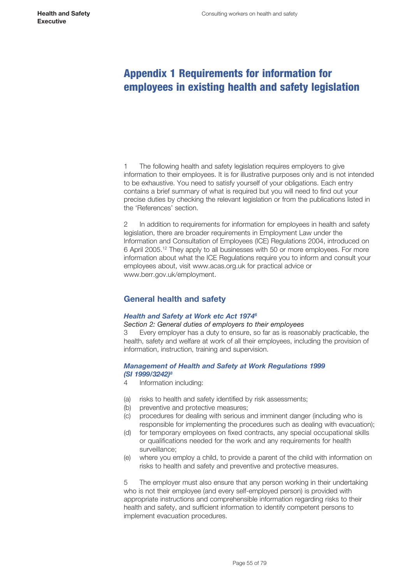# Appendix 1 Requirements for information for employees in existing health and safety legislation

1 The following health and safety legislation requires employers to give information to their employees. It is for illustrative purposes only and is not intended to be exhaustive. You need to satisfy yourself of your obligations. Each entry contains a brief summary of what is required but you will need to find out your precise duties by checking the relevant legislation or from the publications listed in the 'References' section.

2 In addition to requirements for information for employees in health and safety legislation, there are broader requirements in Employment Law under the Information and Consultation of Employees (ICE) Regulations 2004, introduced on 6 April 2005.12 They apply to all businesses with 50 or more employees. For more information about what the ICE Regulations require you to inform and consult your employees about, visit www.acas.org.uk for practical advice or www.berr.gov.uk/employment.

## **General health and safety**

#### *Health and Safety at Work etc Act 19746*

#### *Section 2: General duties of employers to their employees*

3 Every employer has a duty to ensure, so far as is reasonably practicable, the health, safety and welfare at work of all their employees, including the provision of information, instruction, training and supervision.

#### *Management of Health and Safety at Work Regulations 1999 (SI 1999/3242)8*

- 4 Information including:
- (a) risks to health and safety identified by risk assessments;
- (b) preventive and protective measures;
- (c) procedures for dealing with serious and imminent danger (including who is responsible for implementing the procedures such as dealing with evacuation);
- (d) for temporary employees on fixed contracts, any special occupational skills or qualifications needed for the work and any requirements for health surveillance;
- (e) where you employ a child, to provide a parent of the child with information on risks to health and safety and preventive and protective measures.

5 The employer must also ensure that any person working in their undertaking who is not their employee (and every self-employed person) is provided with appropriate instructions and comprehensible information regarding risks to their health and safety, and sufficient information to identify competent persons to implement evacuation procedures.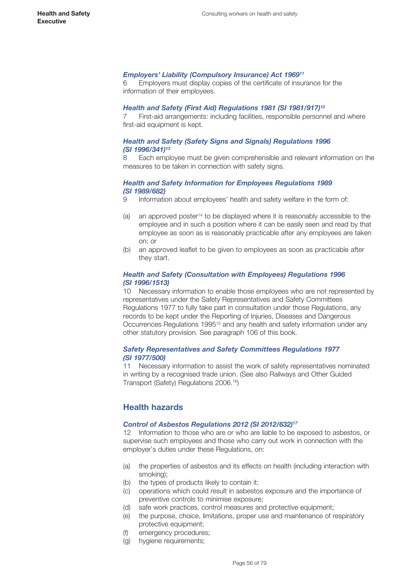# *Employers' Liability (Compulsory Insurance) Act 1969<sup>11</sup>*<br>6 **Employers must display copies of the certificate of insure**

Employers must display copies of the certificate of insurance for the information of their employees.

#### *Health and Safety (First Aid) Regulations 1981 (SI 1981/917)12*

First-aid arrangements: including facilities, responsible personnel and where first-aid equipment is kept.

#### *Health and Safety (Safety Signs and Signals) Regulations 1996 (SI 1996/341)13*

8 Each employee must be given comprehensible and relevant information on the measures to be taken in connection with safety signs.

#### *Health and Safety Information for Employees Regulations 1989 (SI 1989/682)*

- 9 Information about employees' health and safety welfare in the form of:
- (a) an approved poster14 to be displayed where it is reasonably accessible to the employee and in such a position where it can be easily seen and read by that employee as soon as is reasonably practicable after any employees are taken on; or
- (b) an approved leaflet to be given to employees as soon as practicable after they start.

#### *Health and Safety (Consultation with Employees) Regulations 1996 (SI 1996/1513)*

10 Necessary information to enable those employees who are not represented by representatives under the Safety Representatives and Safety Committees Regulations 1977 to fully take part in consultation under those Regulations, any records to be kept under the Reporting of Injuries, Diseases and Dangerous Occurrences Regulations 199515 and any health and safety information under any other statutory provision. See paragraph 106 of this book.

#### *Safety Representatives and Safety Committees Regulations 1977 (SI 1977/500)*

11 Necessary information to assist the work of safety representatives nominated in writing by a recognised trade union. (See also Railways and Other Guided Transport (Safety) Regulations 2006.16)

### **Health hazards**

#### *Control of Asbestos Regulations 2012 (SI 2012/632)17*

12 Information to those who are or who are liable to be exposed to asbestos, or supervise such employees and those who carry out work in connection with the employer's duties under these Regulations, on:

- (a) the properties of asbestos and its effects on health (including interaction with smoking);
- (b) the types of products likely to contain it;
- (c) operations which could result in asbestos exposure and the importance of preventive controls to minimise exposure;
- (d) safe work practices, control measures and protective equipment;
- (e) the purpose, choice, limitations, proper use and maintenance of respiratory protective equipment;
- (f) emergency procedures;
- (g) hygiene requirements;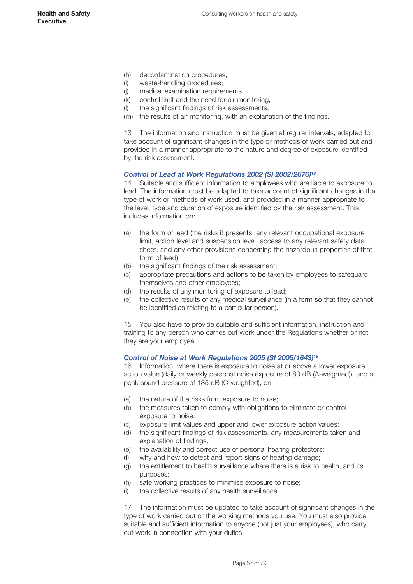- (h) decontamination procedures;
- (i) waste-handling procedures;
- (j) medical examination requirements;
- (k) control limit and the need for air monitoring;
- (l) the significant findings of risk assessments;
- (m) the results of air monitoring, with an explanation of the findings.

13 The information and instruction must be given at regular intervals, adapted to take account of significant changes in the type or methods of work carried out and provided in a manner appropriate to the nature and degree of exposure identified by the risk assessment.

#### *Control of Lead at Work Regulations 2002 (SI 2002/2676)18*

14 Suitable and sufficient information to employees who are liable to exposure to lead. The information must be adapted to take account of significant changes in the type of work or methods of work used, and provided in a manner appropriate to the level, type and duration of exposure identified by the risk assessment. This includes information on:

- (a) the form of lead (the risks it presents, any relevant occupational exposure limit, action level and suspension level, access to any relevant safety data sheet, and any other provisions concerning the hazardous properties of that form of lead);
- (b) the significant findings of the risk assessment;
- (c) appropriate precautions and actions to be taken by employees to safeguard themselves and other employees;
- (d) the results of any monitoring of exposure to lead;
- (e) the collective results of any medical surveillance (in a form so that they cannot be identified as relating to a particular person).

15 You also have to provide suitable and sufficient information, instruction and training to any person who carries out work under the Regulations whether or not they are your employee.

#### *Control of Noise at Work Regulations 2005 (SI 2005/1643)19*

16 Information, where there is exposure to noise at or above a lower exposure action value (daily or weekly personal noise exposure of 80 dB (A-weighted)), and a peak sound pressure of 135 dB (C-weighted), on:

- (a) the nature of the risks from exposure to noise;
- (b) the measures taken to comply with obligations to eliminate or control exposure to noise;
- (c) exposure limit values and upper and lower exposure action values;
- (d) the significant findings of risk assessments, any measurements taken and explanation of findings;
- (e) the availability and correct use of personal hearing protectors;
- (f) why and how to detect and report signs of hearing damage;
- (g) the entitlement to health surveillance where there is a risk to health, and its purposes;
- (h) safe working practices to minimise exposure to noise;
- (i) the collective results of any health surveillance.

17 The information must be updated to take account of significant changes in the type of work carried out or the working methods you use. You must also provide suitable and sufficient information to anyone (not just your employees), who carry out work in connection with your duties.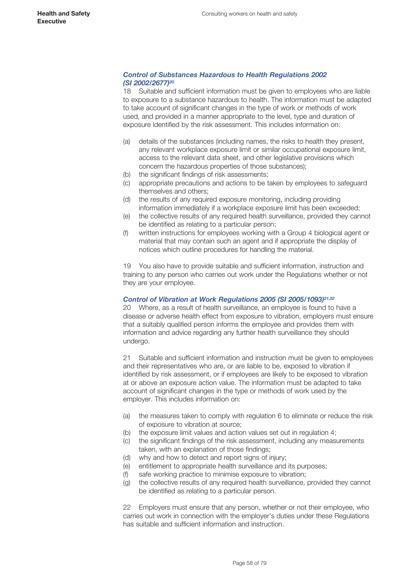#### *Control of Substances Hazardous to Health Regulations 2002 (SI 2002/2677)20*

18 Suitable and sufficient information must be given to employees who are liable to exposure to a substance hazardous to health. The information must be adapted to take account of significant changes in the type of work or methods of work used, and provided in a manner appropriate to the level, type and duration of exposure identified by the risk assessment. This includes information on:

- (a) details of the substances (including names, the risks to health they present, any relevant workplace exposure limit or similar occupational exposure limit, access to the relevant data sheet, and other legislative provisions which concern the hazardous properties of those substances);
- (b) the significant findings of risk assessments;
- (c) appropriate precautions and actions to be taken by employees to safeguard themselves and others;
- (d) the results of any required exposure monitoring, including providing information immediately if a workplace exposure limit has been exceeded;
- (e) the collective results of any required health surveillance, provided they cannot be identified as relating to a particular person;
- (f) written instructions for employees working with a Group 4 biological agent or material that may contain such an agent and if appropriate the display of notices which outline procedures for handling the material.

19 You also have to provide suitable and sufficient information, instruction and training to any person who carries out work under the Regulations whether or not they are your employee.

#### *Control of Vibration at Work Regulations 2005 (SI 2005/1093)21,22*

20 Where, as a result of health surveillance, an employee is found to have a disease or adverse health effect from exposure to vibration, employers must ensure that a suitably qualified person informs the employee and provides them with information and advice regarding any further health surveillance they should undergo.

21 Suitable and sufficient information and instruction must be given to employees and their representatives who are, or are liable to be, exposed to vibration if identified by risk assessment, or if employees are likely to be exposed to vibration at or above an exposure action value. The information must be adapted to take account of significant changes in the type or methods of work used by the employer. This includes information on:

- (a) the measures taken to comply with regulation 6 to eliminate or reduce the risk of exposure to vibration at source;
- (b) the exposure limit values and action values set out in regulation 4;
- (c) the significant findings of the risk assessment, including any measurements taken, with an explanation of those findings;
- (d) why and how to detect and report signs of injury;
- (e) entitlement to appropriate health surveillance and its purposes;
- (f) safe working practice to minimise exposure to vibration;
- (g) the collective results of any required health surveillance, provided they cannot be identified as relating to a particular person.

22 Employers must ensure that any person, whether or not their employee, who carries out work in connection with the employer's duties under these Regulations has suitable and sufficient information and instruction.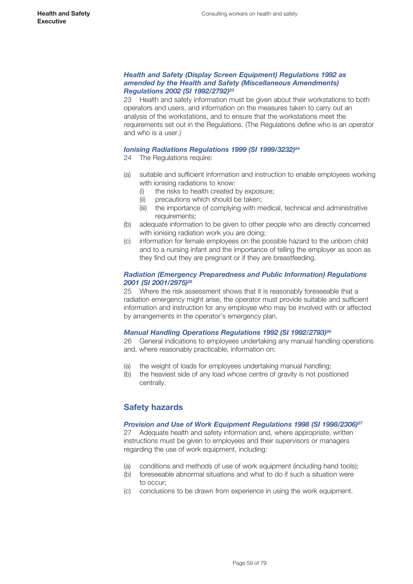#### *Health and Safety (Display Screen Equipment) Regulations 1992 as amended by the Health and Safety (Miscellaneous Amendments) Regulations 2002 (SI 1992/2792)23*

23 Health and safety information must be given about their workstations to both operators and users, and information on the measures taken to carry out an analysis of the workstations, and to ensure that the workstations meet the requirements set out in the Regulations. (The Regulations define who is an operator and who is a user.)

#### *Ionising Radiations Regulations 1999 (SI 1999/3232)24*

- 24 The Regulations require:
- (a) suitable and sufficient information and instruction to enable employees working with ionising radiations to know:
	- (i) the risks to health created by exposure;
	- (ii) precautions which should be taken;
	- (iii) the importance of complying with medical, technical and administrative requirements;
- (b) adequate information to be given to other people who are directly concerned with ionising radiation work you are doing:
- (c) information for female employees on the possible hazard to the unborn child and to a nursing infant and the importance of telling the employer as soon as they find out they are pregnant or if they are breastfeeding.

#### *Radiation (Emergency Preparedness and Public Information) Regulations 2001 (SI 2001/2975)25*

25 Where the risk assessment shows that it is reasonably foreseeable that a radiation emergency might arise, the operator must provide suitable and sufficient information and instruction for any employee who may be involved with or affected by arrangements in the operator's emergency plan.

#### *Manual Handling Operations Regulations 1992 (SI 1992/2793)26*

26 General indications to employees undertaking any manual handling operations and, where reasonably practicable, information on:

- (a) the weight of loads for employees undertaking manual handling;
- (b) the heaviest side of any load whose centre of gravity is not positioned centrally.

## **Safety hazards**

#### *Provision and Use of Work Equipment Regulations 1998 (SI 1998/2306)27*

27 Adequate health and safety information and, where appropriate, written instructions must be given to employees and their supervisors or managers regarding the use of work equipment, including:

- (a) conditions and methods of use of work equipment (including hand tools);
- (b) foreseeable abnormal situations and what to do if such a situation were to occur;
- (c) conclusions to be drawn from experience in using the work equipment.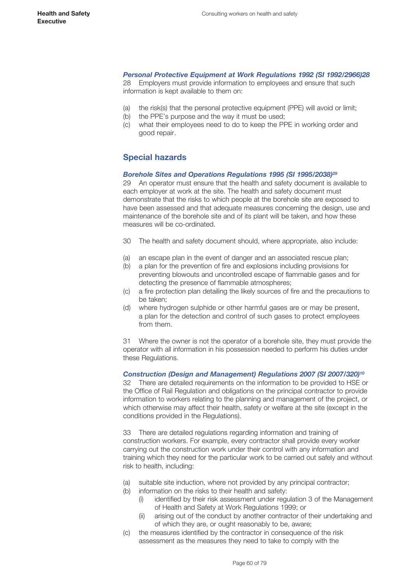#### *Personal Protective Equipment at Work Regulations 1992 (SI 1992/2966)28*

28 Employers must provide information to employees and ensure that such information is kept available to them on:

- (a) the risk(s) that the personal protective equipment (PPE) will avoid or limit;
- (b) the PPE's purpose and the way it must be used;
- (c) what their employees need to do to keep the PPE in working order and good repair.

## **Special hazards**

#### *Borehole Sites and Operations Regulations 1995 (SI 1995/2038)29*

29 An operator must ensure that the health and safety document is available to each employer at work at the site. The health and safety document must demonstrate that the risks to which people at the borehole site are exposed to have been assessed and that adequate measures concerning the design, use and maintenance of the borehole site and of its plant will be taken, and how these measures will be co-ordinated.

- 30 The health and safety document should, where appropriate, also include:
- (a) an escape plan in the event of danger and an associated rescue plan;
- (b) a plan for the prevention of fire and explosions including provisions for preventing blowouts and uncontrolled escape of flammable gases and for detecting the presence of flammable atmospheres;
- (c) a fire protection plan detailing the likely sources of fire and the precautions to be taken;
- (d) where hydrogen sulphide or other harmful gases are or may be present, a plan for the detection and control of such gases to protect employees from them.

31 Where the owner is not the operator of a borehole site, they must provide the operator with all information in his possession needed to perform his duties under these Regulations.

#### *Construction (Design and Management) Regulations 2007 (SI 2007/320)10*

32 There are detailed requirements on the information to be provided to HSE or the Office of Rail Regulation and obligations on the principal contractor to provide information to workers relating to the planning and management of the project, or which otherwise may affect their health, safety or welfare at the site (except in the conditions provided in the Regulations).

33 There are detailed regulations regarding information and training of construction workers. For example, every contractor shall provide every worker carrying out the construction work under their control with any information and training which they need for the particular work to be carried out safely and without risk to health, including:

- (a) suitable site induction, where not provided by any principal contractor;
- (b) information on the risks to their health and safety:
	- (i) identified by their risk assessment under regulation 3 of the Management of Health and Safety at Work Regulations 1999; or
	- (ii) arising out of the conduct by another contractor of their undertaking and of which they are, or ought reasonably to be, aware;
- (c) the measures identified by the contractor in consequence of the risk assessment as the measures they need to take to comply with the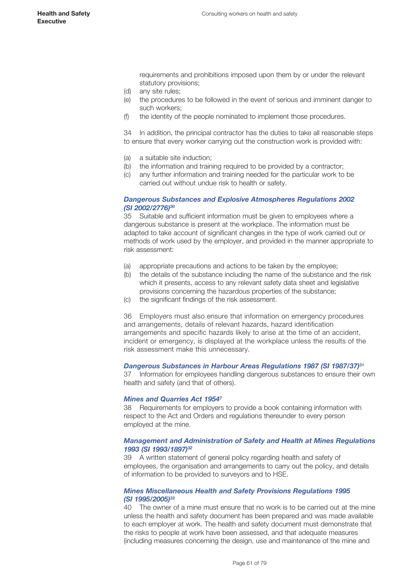requirements and prohibitions imposed upon them by or under the relevant statutory provisions;

- (d) any site rules;
- (e) the procedures to be followed in the event of serious and imminent danger to such workers;
- (f) the identity of the people nominated to implement those procedures.

34 In addition, the principal contractor has the duties to take all reasonable steps to ensure that every worker carrying out the construction work is provided with:

- (a) a suitable site induction;
- (b) the information and training required to be provided by a contractor;
- (c) any further information and training needed for the particular work to be carried out without undue risk to health or safety.

#### *Dangerous Substances and Explosive Atmospheres Regulations 2002 (SI 2002/2776)30*

35 Suitable and sufficient information must be given to employees where a dangerous substance is present at the workplace. The information must be adapted to take account of significant changes in the type of work carried out or methods of work used by the employer, and provided in the manner appropriate to risk assessment:

- (a) appropriate precautions and actions to be taken by the employee;
- (b) the details of the substance including the name of the substance and the risk which it presents, access to any relevant safety data sheet and legislative provisions concerning the hazardous properties of the substance;
- (c) the significant findings of the risk assessment.

36 Employers must also ensure that information on emergency procedures and arrangements, details of relevant hazards, hazard identification arrangements and specific hazards likely to arise at the time of an accident, incident or emergency, is displayed at the workplace unless the results of the risk assessment make this unnecessary.

#### *Dangerous Substances in Harbour Areas Regulations 1987 (SI 1987/37)31*

37 Information for employees handling dangerous substances to ensure their own health and safety (and that of others).

#### *Mines and Quarries Act 19547*

38 Requirements for employers to provide a book containing information with respect to the Act and Orders and regulations thereunder to every person employed at the mine.

#### *Management and Administration of Safety and Health at Mines Regulations 1993 (SI 1993/1897)32*

39 A written statement of general policy regarding health and safety of employees, the organisation and arrangements to carry out the policy, and details of information to be provided to surveyors and to HSE.

#### *Mines Miscellaneous Health and Safety Provisions Regulations 1995 (SI 1995/2005)33*

40 The owner of a mine must ensure that no work is to be carried out at the mine unless the health and safety document has been prepared and was made available to each employer at work. The health and safety document must demonstrate that the risks to people at work have been assessed, and that adequate measures (including measures concerning the design, use and maintenance of the mine and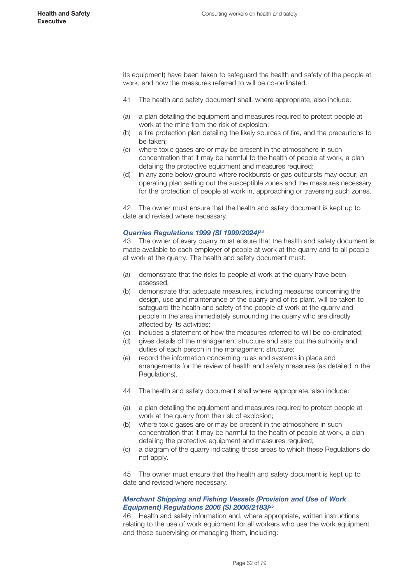its equipment) have been taken to safeguard the health and safety of the people at work, and how the measures referred to will be co-ordinated.

- 41 The health and safety document shall, where appropriate, also include:
- (a) a plan detailing the equipment and measures required to protect people at work at the mine from the risk of explosion;
- (b) a fire protection plan detailing the likely sources of fire, and the precautions to be taken;
- (c) where toxic gases are or may be present in the atmosphere in such concentration that it may be harmful to the health of people at work, a plan detailing the protective equipment and measures required;
- (d) in any zone below ground where rockbursts or gas outbursts may occur, an operating plan setting out the susceptible zones and the measures necessary for the protection of people at work in, approaching or traversing such zones.

42 The owner must ensure that the health and safety document is kept up to date and revised where necessary.

#### *Quarries Regulations 1999 (SI 1999/2024)34*

43 The owner of every quarry must ensure that the health and safety document is made available to each employer of people at work at the quarry and to all people at work at the quarry. The health and safety document must:

- (a) demonstrate that the risks to people at work at the quarry have been assessed;
- (b) demonstrate that adequate measures, including measures concerning the design, use and maintenance of the quarry and of its plant, will be taken to safeguard the health and safety of the people at work at the quarry and people in the area immediately surrounding the quarry who are directly affected by its activities;
- (c) includes a statement of how the measures referred to will be co-ordinated;
- (d) gives details of the management structure and sets out the authority and duties of each person in the management structure;
- (e) record the information concerning rules and systems in place and arrangements for the review of health and safety measures (as detailed in the Regulations).
- 44 The health and safety document shall where appropriate, also include:
- (a) a plan detailing the equipment and measures required to protect people at work at the quarry from the risk of explosion;
- (b) where toxic gases are or may be present in the atmosphere in such concentration that it may be harmful to the health of people at work, a plan detailing the protective equipment and measures required;
- (c) a diagram of the quarry indicating those areas to which these Regulations do not apply.

45 The owner must ensure that the health and safety document is kept up to date and revised where necessary.

#### *Merchant Shipping and Fishing Vessels (Provision and Use of Work Equipment) Regulations 2006 (SI 2006/2183)35*

46 Health and safety information and, where appropriate, written instructions relating to the use of work equipment for all workers who use the work equipment and those supervising or managing them, including: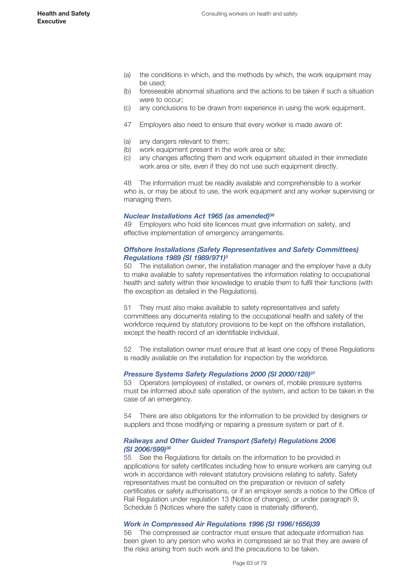- (a) the conditions in which, and the methods by which, the work equipment may be used;
- (b) foreseeable abnormal situations and the actions to be taken if such a situation were to occur;
- (c) any conclusions to be drawn from experience in using the work equipment.
- 47 Employers also need to ensure that every worker is made aware of:
- (a) any dangers relevant to them;
- (b) work equipment present in the work area or site;
- (c) any changes affecting them and work equipment situated in their immediate work area or site, even if they do not use such equipment directly.

48 The information must be readily available and comprehensible to a worker who is, or may be about to use, the work equipment and any worker supervising or managing them.

#### *Nuclear Installations Act 1965 (as amended)36*

49 Employers who hold site licences must give information on safety, and effective implementation of emergency arrangements.

#### *Offshore Installations (Safety Representatives and Safety Committees) Regulations 1989 (SI 1989/971)3*

50 The installation owner, the installation manager and the employer have a duty to make available to safety representatives the information relating to occupational health and safety within their knowledge to enable them to fulfil their functions (with the exception as detailed in the Regulations).

51 They must also make available to safety representatives and safety committees any documents relating to the occupational health and safety of the workforce required by statutory provisions to be kept on the offshore installation, except the health record of an identifiable individual.

52 The installation owner must ensure that at least one copy of these Regulations is readily available on the installation for inspection by the workforce.

#### *Pressure Systems Safety Regulations 2000 (SI 2000/128)37*

53 Operators (employees) of installed, or owners of, mobile pressure systems must be informed about safe operation of the system, and action to be taken in the case of an emergency.

54 There are also obligations for the information to be provided by designers or suppliers and those modifying or repairing a pressure system or part of it.

#### *Railways and Other Guided Transport (Safety) Regulations 2006 (SI 2006/599)38*

55 See the Regulations for details on the information to be provided in applications for safety certificates including how to ensure workers are carrying out work in accordance with relevant statutory provisions relating to safety. Safety representatives must be consulted on the preparation or revision of safety certificates or safety authorisations, or if an employer sends a notice to the Office of Rail Regulation under regulation 13 (Notice of changes), or under paragraph 9, Schedule 5 (Notices where the safety case is materially different).

#### *Work in Compressed Air Regulations 1996 (SI 1996/1656)39*

56 The compressed air contractor must ensure that adequate information has been given to any person who works in compressed air so that they are aware of the risks arising from such work and the precautions to be taken.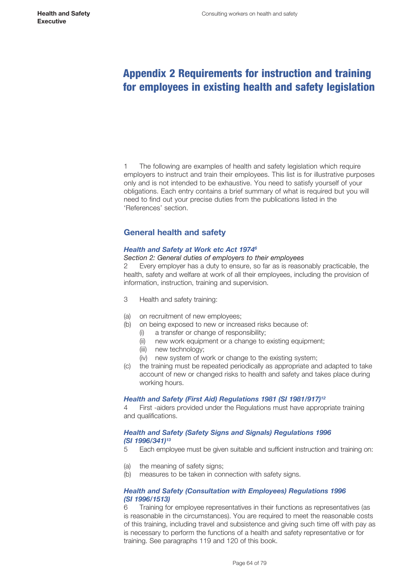# Appendix 2 Requirements for instruction and training for employees in existing health and safety legislation

1 The following are examples of health and safety legislation which require employers to instruct and train their employees. This list is for illustrative purposes only and is not intended to be exhaustive. You need to satisfy yourself of your obligations. Each entry contains a brief summary of what is required but you will need to find out your precise duties from the publications listed in the 'References' section.

## **General health and safety**

#### *Health and Safety at Work etc Act 19746*

#### *Section 2: General duties of employers to their employees*

2 Every employer has a duty to ensure, so far as is reasonably practicable, the health, safety and welfare at work of all their employees, including the provision of information, instruction, training and supervision.

- 3 Health and safety training:
- (a) on recruitment of new employees;
- (b) on being exposed to new or increased risks because of:
	- (i) a transfer or change of responsibility;
	- (ii) new work equipment or a change to existing equipment;
	- (iii) new technology;
	- (iv) new system of work or change to the existing system;
- (c) the training must be repeated periodically as appropriate and adapted to take account of new or changed risks to health and safety and takes place during working hours.

#### *Health and Safety (First Aid) Regulations 1981 (SI 1981/917)12*

4 First -aiders provided under the Regulations must have appropriate training and qualifications.

#### *Health and Safety (Safety Signs and Signals) Regulations 1996 (SI 1996/341)13*

- 5 Each employee must be given suitable and sufficient instruction and training on:
- (a) the meaning of safety signs;
- (b) measures to be taken in connection with safety signs.

#### *Health and Safety (Consultation with Employees) Regulations 1996 (SI 1996/1513)*

6 Training for employee representatives in their functions as representatives (as is reasonable in the circumstances). You are required to meet the reasonable costs of this training, including travel and subsistence and giving such time off with pay as is necessary to perform the functions of a health and safety representative or for training. See paragraphs 119 and 120 of this book.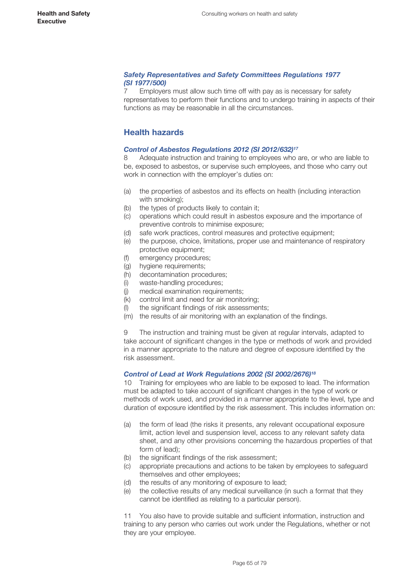#### *Safety Representatives and Safety Committees Regulations 1977 (SI 1977/500)*

Employers must allow such time off with pay as is necessary for safety representatives to perform their functions and to undergo training in aspects of their functions as may be reasonable in all the circumstances.

## **Health hazards**

#### *Control of Asbestos Regulations 2012 (SI 2012/632)17*

8 Adequate instruction and training to employees who are, or who are liable to be, exposed to asbestos, or supervise such employees, and those who carry out work in connection with the employer's duties on:

- (a) the properties of asbestos and its effects on health (including interaction with smoking);
- (b) the types of products likely to contain it;
- (c) operations which could result in asbestos exposure and the importance of preventive controls to minimise exposure;
- (d) safe work practices, control measures and protective equipment;
- (e) the purpose, choice, limitations, proper use and maintenance of respiratory protective equipment;
- (f) emergency procedures;
- (g) hygiene requirements;
- (h) decontamination procedures;
- (i) waste-handling procedures;
- (j) medical examination requirements;
- (k) control limit and need for air monitoring;
- (l) the significant findings of risk assessments;
- (m) the results of air monitoring with an explanation of the findings.

9 The instruction and training must be given at regular intervals, adapted to take account of significant changes in the type or methods of work and provided in a manner appropriate to the nature and degree of exposure identified by the risk assessment.

#### *Control of Lead at Work Regulations 2002 (SI 2002/2676)18*

10 Training for employees who are liable to be exposed to lead. The information must be adapted to take account of significant changes in the type of work or methods of work used, and provided in a manner appropriate to the level, type and duration of exposure identified by the risk assessment. This includes information on:

- (a) the form of lead (the risks it presents, any relevant occupational exposure limit, action level and suspension level, access to any relevant safety data sheet, and any other provisions concerning the hazardous properties of that form of lead);
- (b) the significant findings of the risk assessment;
- (c) appropriate precautions and actions to be taken by employees to safeguard themselves and other employees;
- (d) the results of any monitoring of exposure to lead;
- (e) the collective results of any medical surveillance (in such a format that they cannot be identified as relating to a particular person).

11 You also have to provide suitable and sufficient information, instruction and training to any person who carries out work under the Regulations, whether or not they are your employee.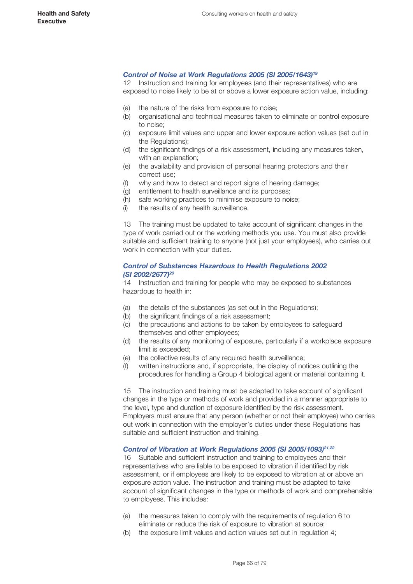#### *Control of Noise at Work Regulations 2005 (SI 2005/1643)19*

12 Instruction and training for employees (and their representatives) who are exposed to noise likely to be at or above a lower exposure action value, including:

- (a) the nature of the risks from exposure to noise;
- (b) organisational and technical measures taken to eliminate or control exposure to noise;
- (c) exposure limit values and upper and lower exposure action values (set out in the Regulations);
- (d) the significant findings of a risk assessment, including any measures taken, with an explanation:
- (e) the availability and provision of personal hearing protectors and their correct use;
- (f) why and how to detect and report signs of hearing damage;
- (g) entitlement to health surveillance and its purposes;
- (h) safe working practices to minimise exposure to noise;
- (i) the results of any health surveillance.

13 The training must be updated to take account of significant changes in the type of work carried out or the working methods you use. You must also provide suitable and sufficient training to anyone (not just your employees), who carries out work in connection with your duties.

#### *Control of Substances Hazardous to Health Regulations 2002 (SI 2002/2677)20*

14 Instruction and training for people who may be exposed to substances hazardous to health in:

- (a) the details of the substances (as set out in the Regulations);
- (b) the significant findings of a risk assessment;
- (c) the precautions and actions to be taken by employees to safeguard themselves and other employees;
- (d) the results of any monitoring of exposure, particularly if a workplace exposure limit is exceeded;
- (e) the collective results of any required health surveillance;
- (f) written instructions and, if appropriate, the display of notices outlining the procedures for handling a Group 4 biological agent or material containing it.

15 The instruction and training must be adapted to take account of significant changes in the type or methods of work and provided in a manner appropriate to the level, type and duration of exposure identified by the risk assessment. Employers must ensure that any person (whether or not their employee) who carries out work in connection with the employer's duties under these Regulations has suitable and sufficient instruction and training.

#### *Control of Vibration at Work Regulations 2005 (SI 2005/1093)21,22*

16 Suitable and sufficient instruction and training to employees and their representatives who are liable to be exposed to vibration if identified by risk assessment, or if employees are likely to be exposed to vibration at or above an exposure action value. The instruction and training must be adapted to take account of significant changes in the type or methods of work and comprehensible to employees. This includes:

- (a) the measures taken to comply with the requirements of regulation 6 to eliminate or reduce the risk of exposure to vibration at source;
- (b) the exposure limit values and action values set out in regulation 4;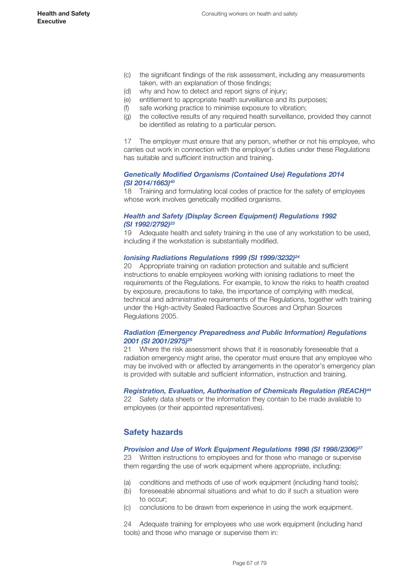- (c) the significant findings of the risk assessment, including any measurements taken, with an explanation of those findings;
- (d) why and how to detect and report signs of injury;
- (e) entitlement to appropriate health surveillance and its purposes;
- (f) safe working practice to minimise exposure to vibration;
- (g) the collective results of any required health surveillance, provided they cannot be identified as relating to a particular person.

17 The employer must ensure that any person, whether or not his employee, who carries out work in connection with the employer's duties under these Regulations has suitable and sufficient instruction and training.

#### *Genetically Modified Organisms (Contained Use) Regulations 2014 (SI 2014/1663)40*

18 Training and formulating local codes of practice for the safety of employees whose work involves genetically modified organisms.

#### *Health and Safety (Display Screen Equipment) Regulations 1992 (SI 1992/2792)23*

19 Adequate health and safety training in the use of any workstation to be used, including if the workstation is substantially modified.

#### *Ionising Radiations Regulations 1999 (SI 1999/3232)24*

20 Appropriate training on radiation protection and suitable and sufficient instructions to enable employees working with ionising radiations to meet the requirements of the Regulations. For example, to know the risks to health created by exposure, precautions to take, the importance of complying with medical, technical and administrative requirements of the Regulations, together with training under the High-activity Sealed Radioactive Sources and Orphan Sources Regulations 2005.

#### *Radiation (Emergency Preparedness and Public Information) Regulations 2001 (SI 2001/2975)25*

21 Where the risk assessment shows that it is reasonably foreseeable that a radiation emergency might arise, the operator must ensure that any employee who may be involved with or affected by arrangements in the operator's emergency plan is provided with suitable and sufficient information, instruction and training.

#### *Registration, Evaluation, Authorisation of Chemicals Regulation (REACH)44*

22 Safety data sheets or the information they contain to be made available to employees (or their appointed representatives).

## **Safety hazards**

#### *Provision and Use of Work Equipment Regulations 1998 (SI 1998/2306)27*

23 Written instructions to employees and for those who manage or supervise them regarding the use of work equipment where appropriate, including:

- (a) conditions and methods of use of work equipment (including hand tools);
- (b) foreseeable abnormal situations and what to do if such a situation were to occur;
- (c) conclusions to be drawn from experience in using the work equipment.

24 Adequate training for employees who use work equipment (including hand tools) and those who manage or supervise them in: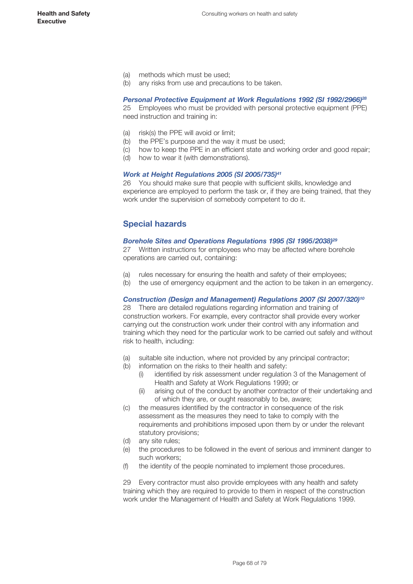- (a) methods which must be used;
- (b) any risks from use and precautions to be taken.

#### *Personal Protective Equipment at Work Regulations 1992 (SI 1992/2966)28*

25 Employees who must be provided with personal protective equipment (PPE) need instruction and training in:

- (a) risk(s) the PPE will avoid or limit;
- (b) the PPE's purpose and the way it must be used;
- (c) how to keep the PPE in an efficient state and working order and good repair;
- (d) how to wear it (with demonstrations).

#### *Work at Height Regulations 2005 (SI 2005/735)41*

26 You should make sure that people with sufficient skills, knowledge and experience are employed to perform the task or, if they are being trained, that they work under the supervision of somebody competent to do it.

## **Special hazards**

#### *Borehole Sites and Operations Regulations 1995 (SI 1995/2038)29*

27 Written instructions for employees who may be affected where borehole operations are carried out, containing:

- (a) rules necessary for ensuring the health and safety of their employees;
- (b) the use of emergency equipment and the action to be taken in an emergency.

#### *Construction (Design and Management) Regulations 2007 (SI 2007/320)10*

28 There are detailed regulations regarding information and training of construction workers. For example, every contractor shall provide every worker carrying out the construction work under their control with any information and training which they need for the particular work to be carried out safely and without risk to health, including:

- (a) suitable site induction, where not provided by any principal contractor;
- (b) information on the risks to their health and safety:
	- (i) identified by risk assessment under regulation 3 of the Management of Health and Safety at Work Regulations 1999; or
	- (ii) arising out of the conduct by another contractor of their undertaking and of which they are, or ought reasonably to be, aware;
- (c) the measures identified by the contractor in consequence of the risk assessment as the measures they need to take to comply with the requirements and prohibitions imposed upon them by or under the relevant statutory provisions;
- (d) any site rules;
- (e) the procedures to be followed in the event of serious and imminent danger to such workers;
- (f) the identity of the people nominated to implement those procedures.

29 Every contractor must also provide employees with any health and safety training which they are required to provide to them in respect of the construction work under the Management of Health and Safety at Work Regulations 1999.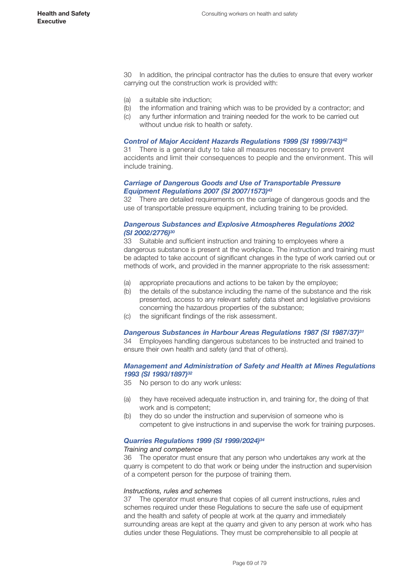30 In addition, the principal contractor has the duties to ensure that every worker carrying out the construction work is provided with:

- (a) a suitable site induction;
- (b) the information and training which was to be provided by a contractor; and
- (c) any further information and training needed for the work to be carried out without undue risk to health or safety.

#### *Control of Major Accident Hazards Regulations 1999 (SI 1999/743)42*

31 There is a general duty to take all measures necessary to prevent accidents and limit their consequences to people and the environment. This will include training.

#### *Carriage of Dangerous Goods and Use of Transportable Pressure Equipment Regulations 2007 (SI 2007/1573)43*

32 There are detailed requirements on the carriage of dangerous goods and the use of transportable pressure equipment, including training to be provided.

#### *Dangerous Substances and Explosive Atmospheres Regulations 2002 (SI 2002/2776)30*

33 Suitable and sufficient instruction and training to employees where a dangerous substance is present at the workplace. The instruction and training must be adapted to take account of significant changes in the type of work carried out or methods of work, and provided in the manner appropriate to the risk assessment:

- (a) appropriate precautions and actions to be taken by the employee;
- (b) the details of the substance including the name of the substance and the risk presented, access to any relevant safety data sheet and legislative provisions concerning the hazardous properties of the substance;
- (c) the significant findings of the risk assessment.

#### *Dangerous Substances in Harbour Areas Regulations 1987 (SI 1987/37)31*

34 Employees handling dangerous substances to be instructed and trained to ensure their own health and safety (and that of others).

#### *Management and Administration of Safety and Health at Mines Regulations 1993 (SI 1993/1897)32*

- 35 No person to do any work unless:
- (a) they have received adequate instruction in, and training for, the doing of that work and is competent;
- (b) they do so under the instruction and supervision of someone who is competent to give instructions in and supervise the work for training purposes.

#### *Quarries Regulations 1999 (SI 1999/2024)34*

#### *Training and competence*

36 The operator must ensure that any person who undertakes any work at the quarry is competent to do that work or being under the instruction and supervision of a competent person for the purpose of training them.

#### *Instructions, rules and schemes*

37 The operator must ensure that copies of all current instructions, rules and schemes required under these Regulations to secure the safe use of equipment and the health and safety of people at work at the quarry and immediately surrounding areas are kept at the quarry and given to any person at work who has duties under these Regulations. They must be comprehensible to all people at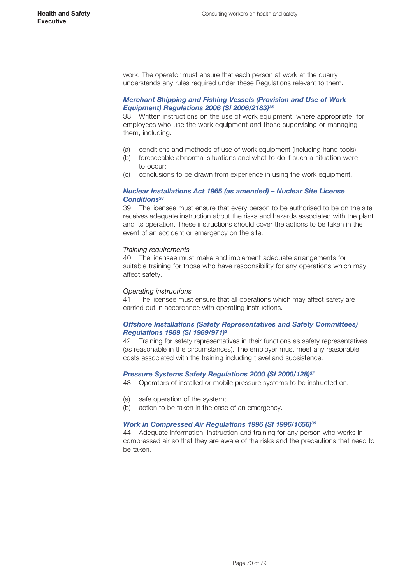work. The operator must ensure that each person at work at the quarry understands any rules required under these Regulations relevant to them.

#### *Merchant Shipping and Fishing Vessels (Provision and Use of Work Equipment) Regulations 2006 (SI 2006/2183)35*

38 Written instructions on the use of work equipment, where appropriate, for employees who use the work equipment and those supervising or managing them, including:

- (a) conditions and methods of use of work equipment (including hand tools);
- (b) foreseeable abnormal situations and what to do if such a situation were to occur;
- (c) conclusions to be drawn from experience in using the work equipment.

#### *Nuclear Installations Act 1965 (as amended) – Nuclear Site License Conditions36*

39 The licensee must ensure that every person to be authorised to be on the site receives adequate instruction about the risks and hazards associated with the plant and its operation. These instructions should cover the actions to be taken in the event of an accident or emergency on the site.

#### *Training requirements*

40 The licensee must make and implement adequate arrangements for suitable training for those who have responsibility for any operations which may affect safety.

#### *Operating instructions*

41 The licensee must ensure that all operations which may affect safety are carried out in accordance with operating instructions.

#### *Offshore Installations (Safety Representatives and Safety Committees) Regulations 1989 (SI 1989/971)3*

42 Training for safety representatives in their functions as safety representatives (as reasonable in the circumstances). The employer must meet any reasonable costs associated with the training including travel and subsistence.

#### *Pressure Systems Safety Regulations 2000 (SI 2000/128)37*

- 43 Operators of installed or mobile pressure systems to be instructed on:
- (a) safe operation of the system;
- (b) action to be taken in the case of an emergency.

#### *Work in Compressed Air Regulations 1996 (SI 1996/1656)39*

44 Adequate information, instruction and training for any person who works in compressed air so that they are aware of the risks and the precautions that need to be taken.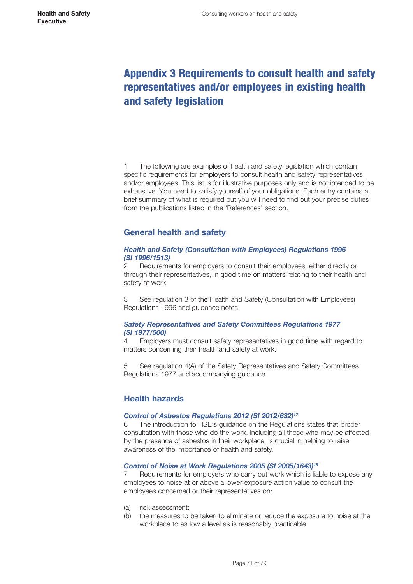# Appendix 3 Requirements to consult health and safety representatives and/or employees in existing health and safety legislation

The following are examples of health and safety legislation which contain specific requirements for employers to consult health and safety representatives and/or employees. This list is for illustrative purposes only and is not intended to be exhaustive. You need to satisfy yourself of your obligations. Each entry contains a brief summary of what is required but you will need to find out your precise duties from the publications listed in the 'References' section.

## **General health and safety**

#### *Health and Safety (Consultation with Employees) Regulations 1996 (SI 1996/1513)*

2 Requirements for employers to consult their employees, either directly or through their representatives, in good time on matters relating to their health and safety at work.

3 See regulation 3 of the Health and Safety (Consultation with Employees) Regulations 1996 and guidance notes.

#### *Safety Representatives and Safety Committees Regulations 1977 (SI 1977/500)*

4 Employers must consult safety representatives in good time with regard to matters concerning their health and safety at work.

5 See regulation 4(A) of the Safety Representatives and Safety Committees Regulations 1977 and accompanying guidance.

## **Health hazards**

#### *Control of Asbestos Regulations 2012 (SI 2012/632)17*

6 The introduction to HSE's guidance on the Regulations states that proper consultation with those who do the work, including all those who may be affected by the presence of asbestos in their workplace, is crucial in helping to raise awareness of the importance of health and safety.

#### *Control of Noise at Work Regulations 2005 (SI 2005/1643)19*

Requirements for employers who carry out work which is liable to expose any employees to noise at or above a lower exposure action value to consult the employees concerned or their representatives on:

- (a) risk assessment;
- (b) the measures to be taken to eliminate or reduce the exposure to noise at the workplace to as Iow a level as is reasonably practicable.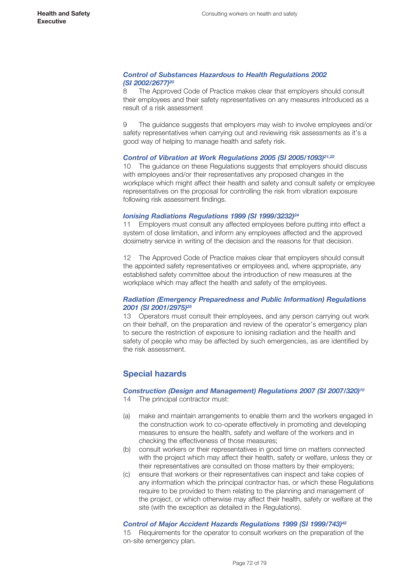#### *Control of Substances Hazardous to Health Regulations 2002 (SI 2002/2677)20*

8 The Approved Code of Practice makes clear that employers should consult their employees and their safety representatives on any measures introduced as a result of a risk assessment

9 The guidance suggests that employers may wish to involve employees and/or safety representatives when carrying out and reviewing risk assessments as it's a good way of helping to manage health and safety risk.

#### *Control of Vibration at Work Regulations 2005 (SI 2005/1093)21,22*

10 The guidance on these Regulations suggests that employers should discuss with employees and/or their representatives any proposed changes in the workplace which might affect their health and safety and consult safety or employee representatives on the proposal for controlling the risk from vibration exposure following risk assessment findings.

#### *Ionising Radiations Regulations 1999 (SI 1999/3232)24*

11 Employers must consult any affected employees before putting into effect a system of dose limitation, and inform any employees affected and the approved dosimetry service in writing of the decision and the reasons for that decision.

12 The Approved Code of Practice makes clear that employers should consult the appointed safety representatives or employees and, where appropriate, any established safety committee about the introduction of new measures at the workplace which may affect the health and safety of the employees.

#### *Radiation (Emergency Preparedness and Public Information) Regulations 2001 (SI 2001/2975)25*

13 Operators must consult their employees, and any person carrying out work on their behalf, on the preparation and review of the operator's emergency plan to secure the restriction of exposure to ionising radiation and the health and safety of people who may be affected by such emergencies, as are identified by the risk assessment.

## **Special hazards**

#### *Construction (Design and Management) Regulations 2007 (SI 2007/320)10*

- 14 The principal contractor must:
- (a) make and maintain arrangements to enable them and the workers engaged in the construction work to co-operate effectively in promoting and developing measures to ensure the health, safety and welfare of the workers and in checking the effectiveness of those measures;
- (b) consult workers or their representatives in good time on matters connected with the project which may affect their health, safety or welfare, unless they or their representatives are consulted on those matters by their employers;
- (c) ensure that workers or their representatives can inspect and take copies of any information which the principal contractor has, or which these Regulations require to be provided to them relating to the planning and management of the project, or which otherwise may affect their health, safety or welfare at the site (with the exception as detailed in the Regulations).

#### *Control of Major Accident Hazards Regulations 1999 (SI 1999/743)42*

15 Requirements for the operator to consult workers on the preparation of the on-site emergency plan.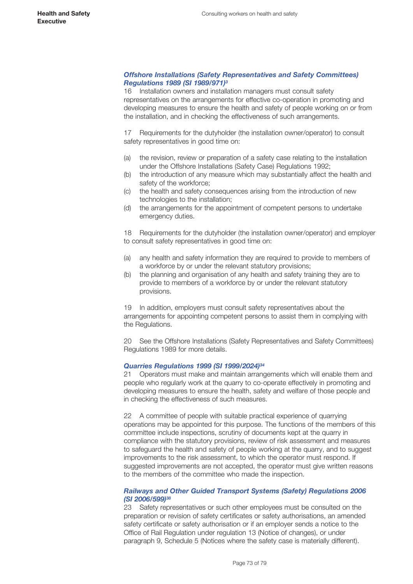#### *Offshore Installations (Safety Representatives and Safety Committees) Regulations 1989 (SI 1989/971)3*

16 Installation owners and installation managers must consult safety representatives on the arrangements for effective co-operation in promoting and developing measures to ensure the health and safety of people working on or from the installation, and in checking the effectiveness of such arrangements.

17 Requirements for the dutyholder (the installation owner/operator) to consult safety representatives in good time on:

- (a) the revision, review or preparation of a safety case relating to the installation under the Offshore Installations (Safety Case) Regulations 1992;
- (b) the introduction of any measure which may substantially affect the health and safety of the workforce;
- (c) the health and safety consequences arising from the introduction of new technologies to the installation;
- (d) the arrangements for the appointment of competent persons to undertake emergency duties.

18 Requirements for the dutyholder (the installation owner/operator) and employer to consult safety representatives in good time on:

- (a) any health and safety information they are required to provide to members of a workforce by or under the relevant statutory provisions;
- (b) the planning and organisation of any health and safety training they are to provide to members of a workforce by or under the relevant statutory provisions.

19 In addition, employers must consult safety representatives about the arrangements for appointing competent persons to assist them in complying with the Regulations.

20 See the Offshore Installations (Safety Representatives and Safety Committees) Regulations 1989 for more details.

## *Quarries Regulations 1999 (SI 1999/2024)34*

21 Operators must make and maintain arrangements which will enable them and people who regularly work at the quarry to co-operate effectively in promoting and developing measures to ensure the health, safety and welfare of those people and in checking the effectiveness of such measures.

22 A committee of people with suitable practical experience of quarrying operations may be appointed for this purpose. The functions of the members of this committee include inspections, scrutiny of documents kept at the quarry in compliance with the statutory provisions, review of risk assessment and measures to safeguard the health and safety of people working at the quarry, and to suggest improvements to the risk assessment, to which the operator must respond. If suggested improvements are not accepted, the operator must give written reasons to the members of the committee who made the inspection.

## *Railways and Other Guided Transport Systems (Safety) Regulations 2006 (SI 2006/599)38*

23 Safety representatives or such other employees must be consulted on the preparation or revision of safety certificates or safety authorisations, an amended safety certificate or safety authorisation or if an employer sends a notice to the Office of Rail Regulation under regulation 13 (Notice of changes), or under paragraph 9, Schedule 5 (Notices where the safety case is materially different).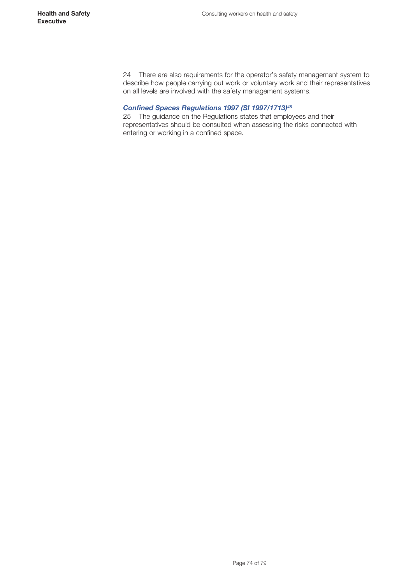24 There are also requirements for the operator's safety management system to describe how people carrying out work or voluntary work and their representatives on all levels are involved with the safety management systems.

# *Confined Spaces Regulations 1997 (SI 1997/1713)45*

25 The guidance on the Regulations states that employees and their representatives should be consulted when assessing the risks connected with entering or working in a confined space.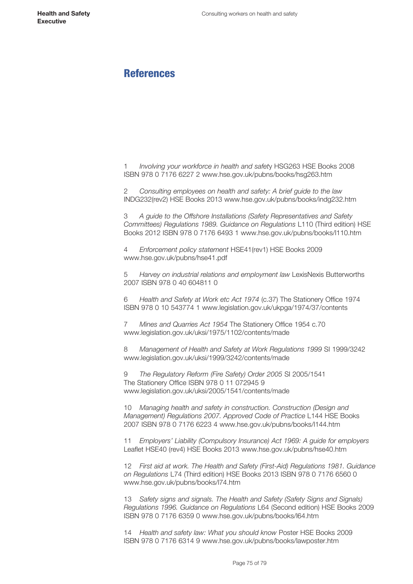# **References**

1 *Involving your workforce in health and safet*y HSG263 HSE Books 2008 ISBN 978 0 7176 6227 2 www.hse.gov.uk/pubns/books/hsg263.htm

2 *Consulting employees on health and safety: A brief guide to the law*  INDG232(rev2) HSE Books 2013 www.hse.gov.uk/pubns/books/indg232.htm

3 *A guide to the Offshore Installations (Safety Representatives and Safety Committees) Regulations 1989. Guidance on Regulations* L110 (Third edition) HSE Books 2012 ISBN 978 0 7176 6493 1 www.hse.gov.uk/pubns/books/l110.htm

4 *Enforcement policy statement* HSE41(rev1) HSE Books 2009 www.hse.gov.uk/pubns/hse41.pdf

5 *Harvey on industrial relations and employment law* LexisNexis Butterworths 2007 ISBN 978 0 40 604811 0

6 *Health and Safety at Work etc Act 1974* (c.37) The Stationery Office 1974 ISBN 978 0 10 543774 1 www.legislation.gov.uk/ukpga/1974/37/contents

7 *Mines and Quarries Act 1954* The Stationery Office 1954 c.70 www.legislation.gov.uk/uksi/1975/1102/contents/made

8 *Management of Health and Safety at Work Regulations 1999* SI 1999/3242 [www.legislation.gov.uk/uksi/1999/3242/contents/made](http://www.legislation.gov.uk/uksi/1999/3242/contents/made 
9) 

9 *The Regulatory Reform (Fire Safety) Order 2005* SI 2005/1541 The Stationery Office ISBN 978 0 11 072945 9 www.legislation.gov.uk/uksi/2005/1541/contents/made

10 *Managing health and safety in construction. Construction (Design and Management) Regulations 2007. Approved Code of Practice* L144 HSE Books 2007 ISBN 978 0 7176 6223 4 www.hse.gov.uk/pubns/books/l144.htm

11 *Employers' Liability (Compulsory Insurance) Act 1969: A guide for employers*  Leaflet HSE40 (rev4) HSE Books 2013 www.hse.gov.uk/pubns/hse40.htm

12 *First aid at work. The Health and Safety (First-Aid) Regulations 1981. Guidance on Regulations* L74 (Third edition) HSE Books 2013 ISBN 978 0 7176 6560 0 www.hse.gov.uk/pubns/books/l74.htm

13 *Safety signs and signals. The Health and Safety (Safety Signs and Signals) Regulations 1996. Guidance on Regulations* L64 (Second edition) HSE Books 2009 ISBN 978 0 7176 6359 0 www.hse.gov.uk/pubns/books/l64.htm

14 *Health and safety law: What you should know* Poster HSE Books 2009 ISBN 978 0 7176 6314 9 www.hse.gov.uk/pubns/books/lawposter.htm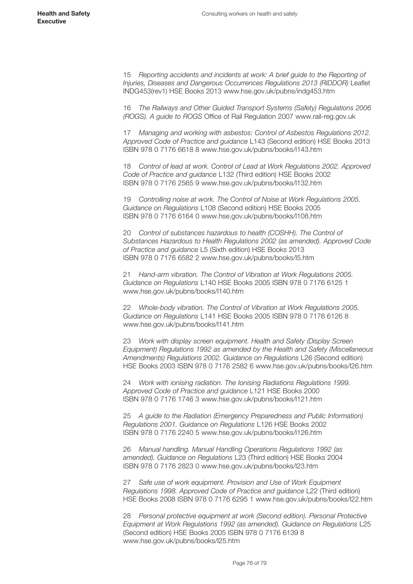15 *Reporting accidents and incidents at work: A brief guide to the Reporting of Injuries, Diseases and Dangerous Occurrences Regulations 2013 (RIDDOR)* Leaflet INDG453(rev1) HSE Books 2013 www.hse.gov.uk/pubns/indg453.htm

16 *The Railways and Other Guided Transport Systems (Safety) Regulations 2006 (ROGS). A guide to ROGS* Office of Rail Regulation 2007 www.rail-reg.gov.uk

17 *Managing and working with asbestos: Control of Asbestos Regulations 2012. Approved Code of Practice and guidance* L143 (Second edition) HSE Books 2013 ISBN 978 0 7176 6618 8 www.hse.gov.uk/pubns/books/l143.htm

18 *Control of lead at work. Control of Lead at Work Regulations 2002. Approved Code of Practice and guidance* L132 (Third edition) HSE Books 2002 ISBN 978 0 7176 2565 9 www.hse.gov.uk/pubns/books/l132.htm

19 *Controlling noise at work. The Control of Noise at Work Regulations 2005. Guidance on Regulations* L108 (Second edition) HSE Books 2005 ISBN 978 0 7176 6164 0 www.hse.gov.uk/pubns/books/l108.htm

20 *Control of substances hazardous to health (COSHH). The Control of Substances Hazardous to Health Regulations 2002 (as amended). Approved Code of Practice and guidance* L5 (Sixth edition) HSE Books 2013 ISBN 978 0 7176 6582 2 www.hse.gov.uk/pubns/books/l5.htm

21 *Hand-arm vibration. The Control of Vibration at Work Regulations 2005. Guidance on Regulations* L140 HSE Books 2005 ISBN 978 0 7176 6125 1 www.hse.gov.uk/pubns/books/l140.htm

22 *Whole-body vibration. The Control of Vibration at Work Regulations 2005. Guidance on Regulations* L141 HSE Books 2005 ISBN 978 0 7176 6126 8 www.hse.gov.uk/pubns/books/l141.htm

23 *Work with display screen equipment. Health and Safety (Display Screen Equipment) Regulations 1992 as amended by the Health and Safety (Miscellaneous Amendments) Regulations 2002. Guidance on Regulations* L26 (Second edition) HSE Books 2003 ISBN 978 0 7176 2582 6 www.hse.gov.uk/pubns/books/l26.htm

24 *Work with ionising radiation. The Ionising Radiations Regulations 1999. Approved Code of Practice and guidance* L121 HSE Books 2000 ISBN 978 0 7176 1746 3 www.hse.gov.uk/pubns/books/l121.htm

25 *A guide to the Radiation (Emergency Preparedness and Public Information) Regulations 2001. Guidance on Regulations* L126 HSE Books 2002 ISBN 978 0 7176 2240 5 www.hse.gov.uk/pubns/books/l126.htm

26 *Manual handling. Manual Handling Operations Regulations 1992 (as amended). Guidance on Regulations* L23 (Third edition) HSE Books 2004 ISBN 978 0 7176 2823 0 www.hse.gov.uk/pubns/books/l23.htm

27 *Safe use of work equipment. Provision and Use of Work Equipment Regulations 1998. Approved Code of Practice and guidance* L22 (Third edition) HSE Books 2008 ISBN 978 0 7176 6295 1 www.hse.gov.uk/pubns/books/l22.htm

28 *Personal protective equipment at work (Second edition). Personal Protective Equipment at Work Regulations 1992 (as amended). Guidance on Regulations* L25 (Second edition) HSE Books 2005 ISBN 978 0 7176 6139 8 www.hse.gov.uk/pubns/books/l25.htm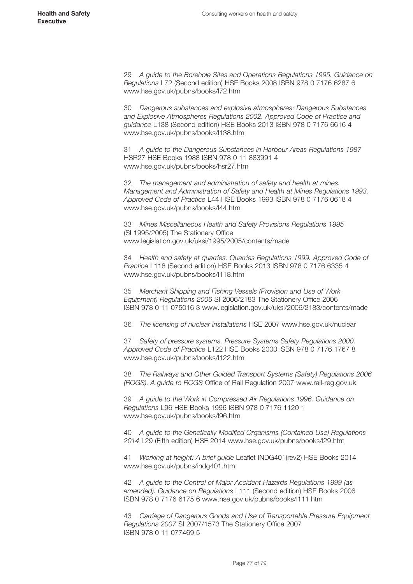29 *A guide to the Borehole Sites and Operations Regulations 1995. Guidance on Regulations* L72 (Second edition) HSE Books 2008 ISBN 978 0 7176 6287 6 www.hse.gov.uk/pubns/books/l72.htm

30 *Dangerous substances and explosive atmospheres: Dangerous Substances and Explosive Atmospheres Regulations 2002. Approved Code of Practice and guidance* L138 (Second edition) HSE Books 2013 ISBN 978 0 7176 6616 4 www.hse.gov.uk/pubns/books/l138.htm

31 *A guide to the Dangerous Substances in Harbour Areas Regulations 1987*  HSR27 HSE Books 1988 ISBN 978 0 11 883991 4 www.hse.gov.uk/pubns/books/hsr27.htm

32 *The management and administration of safety and health at mines. Management and Administration of Safety and Health at Mines Regulations 1993. Approved Code of Practice* L44 HSE Books 1993 ISBN 978 0 7176 0618 4 [www.hse.gov.uk/pubns/books/l44.htm](http://www.hse.gov.uk/pubns/books/l44.htm)

33 *Mines Miscellaneous Health and Safety Provisions Regulations 1995* (SI 1995/2005) The Stationery Office www.legislation.gov.uk/uksi/1995/2005/contents/made

34 *Health and safety at quarries. Quarries Regulations 1999. Approved Code of Practice* L118 (Second edition) HSE Books 2013 ISBN 978 0 7176 6335 4 [www.hse.gov.uk/pubns/books/l118.htm](http://www.hse.gov.uk/pubns/books/l118.htm)

35 *Merchant Shipping and Fishing Vessels (Provision and Use of Work Equipment) Regulations 2006* SI 2006/2183 The Stationery Office 2006 ISBN 978 0 11 075016 3 www.legislation.gov.uk/uksi/2006/2183/contents/made

36 *The licensing of nuclear installations* HSE 2007 www.hse.gov.uk/nuclear

37 *Safety of pressure systems. Pressure Systems Safety Regulations 2000. Approved Code of Practice* L122 HSE Books 2000 ISBN 978 0 7176 1767 8 [www.hse.gov.uk/pubns/books/l122.htm](http://www.hse.gov.uk/pubns/books/l122.htm)

38 *The Railways and Other Guided Transport Systems (Safety) Regulations 2006 (ROGS). A guide to ROGS* Office of Rail Regulation 2007 www.rail-reg.gov.uk

39 *A guide to the Work in Compressed Air Regulations 1996. Guidance on Regulations* L96 HSE Books 1996 ISBN 978 0 7176 1120 1 www.hse.gov.uk/pubns/books/l96.htm

40 *A guide to the Genetically Modified Organisms (Contained Use) Regulations 2014* L29 (Fifth edition) HSE 2014 www.hse.gov.uk/pubns/books/l29.htm

41 *Working at height: A brief guide* Leaflet INDG401(rev2) HSE Books 2014 [www.hse.gov.uk/pubns/indg401.htm](http://www.hse.gov.uk/pubns/indg401.htm)

42 *A guide to the Control of Major Accident Hazards Regulations 1999 (as amended). Guidance on Regulations* L111 (Second edition) HSE Books 2006 ISBN 978 0 7176 6175 6 [www.hse.gov.uk/pubns/books/l111.htm](http://www.hse.gov.uk/pubns/books/l111.htm)

43 *Carriage of Dangerous Goods and Use of Transportable Pressure Equipment Regulations 2007* SI 2007/1573 The Stationery Office 2007 ISBN 978 0 11 077469 5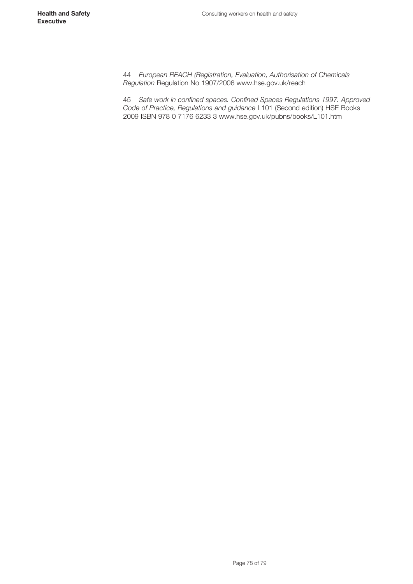44 *European REACH (Registration, Evaluation, Authorisation of Chemicals Regulation* Regulation No 1907/2006 [www.hse.gov.uk/reach](http://www.hse.gov.uk/reach)

45 *Safe work in confined spaces. Confined Spaces Regulations 1997. Approved Code of Practice, Regulations and guidance* L101 (Second edition) HSE Books 2009 ISBN 978 0 7176 6233 3 www.hse.gov.uk/pubns/books/L101.htm